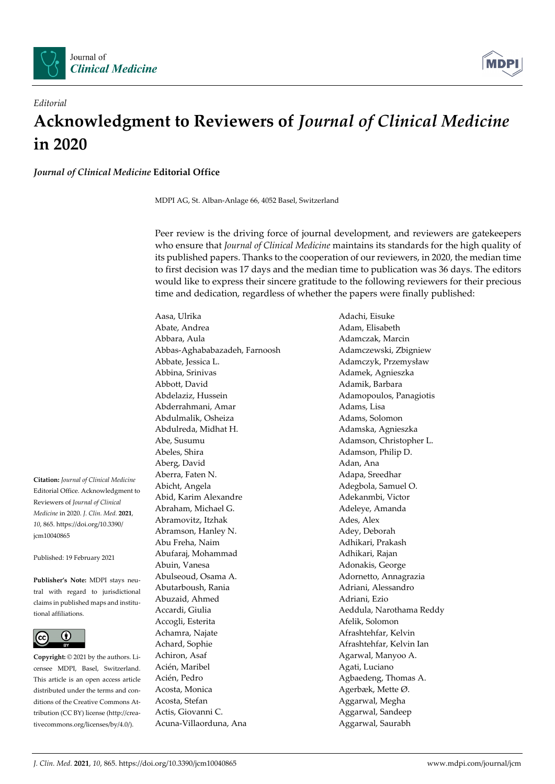



## *Editorial*  **Acknowledgment to Reviewers of** *Journal of Clinical Medicine*  **in 2020**

*Journal of Clinical Medicine* **Editorial Office** 

MDPI AG, St. Alban-Anlage 66, 4052 Basel, Switzerland

Peer review is the driving force of journal development, and reviewers are gatekeepers who ensure that *Journal of Clinical Medicine* maintains its standards for the high quality of its published papers. Thanks to the cooperation of our reviewers, in 2020, the median time to first decision was 17 days and the median time to publication was 36 days. The editors would like to express their sincere gratitude to the following reviewers for their precious time and dedication, regardless of whether the papers were finally published:

**Citation:** *Journal of Clinical Medicine* Editorial Office. Acknowledgment to Reviewers of *Journal of Clinical Medicine* in 2020. *J. Clin. Med.* **2021**, *10*, 865. https://doi.org/10.3390/ jcm10040865

Published: 19 February 2021

**Publisher's Note:** MDPI stays neutral with regard to jurisdictional claims in published maps and institutional affiliations.



**Copyright:** © 2021 by the authors. Licensee MDPI, Basel, Switzerland. This article is an open access article distributed under the terms and conditions of the Creative Commons Attribution (CC BY) license (http://creativecommons.org/licenses/by/4.0/).

Abate, Andrea **Adam, Elisabeth** Abbara, Aula **Adamczak, Marcin** Abbas-Aghababazadeh, Farnoosh Adamczewski, Zbigniew Abbate, Jessica L. Adamczyk, Przemysław Abbina, Srinivas Adamek, Agnieszka Abbott, David Adamik, Barbara Abdelaziz, Hussein Adamopoulos, Panagiotis Abderrahmani, Amar **Adams**, Lisa Abdulmalik, Osheiza Adams, Solomon Abdulreda, Midhat H. Adamska, Agnieszka Abe, Susumu Adamson, Christopher L. Abeles, Shira Adamson, Philip D. Aberg, David Adan, Ana Aberra, Faten N. Adapa, Sreedhar Abicht, Angela Adegbola, Samuel O. Abid, Karim Alexandre **Adekanmbi**, Victor Abraham, Michael G. Andrew Adeleye, Amanda Abramovitz, Itzhak Ades, Alex Abramson, Hanley N. Abramson, Hanley N. Abu Freha, Naim **Adhikari**, Prakash Abufaraj, Mohammad Adhikari, Rajan Abuin, Vanesa **Adonakis**, George Abulseoud, Osama A. Adornetto, Annagrazia Abutarboush, Rania **Adriani, Alessandro** Adriani, Alessandro Abuzaid, Ahmed Adriani, Ezio Accardi, Giulia **Accardi, Accardi, Giulia** Aeddula, Narothama Reddy Accogli, Esterita Afelik, Solomon Achamra, Najate **Afrashtehfar**, Kelvin Achard, Sophie **Afrashtehfar**, Kelvin Ian Achiron, Asaf Agarwal, Manyoo A. Acién, Maribel **Agati**, Luciano Acién, Pedro **Agbaedeng**, Thomas A. Acosta, Monica Agerbæk, Mette Ø. Acosta, Stefan **Aggarwal**, Megha Actis, Giovanni C. **Aggarwal, Sandeep** Acuna-Villaorduna, Ana Aggarwal, Saurabh

Aasa, Ulrika Adachi, Eisuke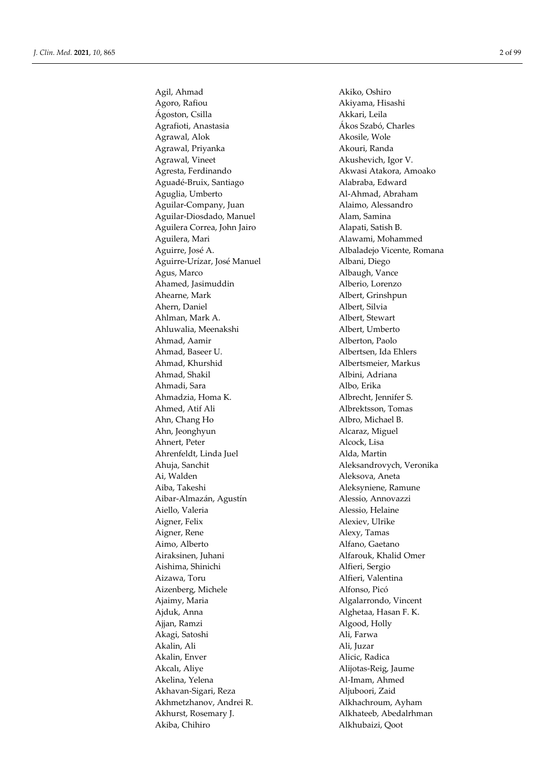Agil, Ahmad Akiko, Oshiro Agoro, Rafiou **Akiyama, Hisashi** Ágoston, Csilla Akkari, Leila Agrafioti, Anastasia Ákos Szabó, Charles Agrawal, Alok **Akosile**, Wole Agrawal, Priyanka **Akouri, Randa** Agrawal, Vineet **Akushevich, Igor V.** Akushevich, Igor V. Agresta, Ferdinando **Akwasi Atakora, Amoako** Aguadé-Bruix, Santiago Alabraba, Edward Aguglia, Umberto **Al-Ahmad, Abraham** Aguilar-Company, Juan Alaimo, Alessandro Aguilar-Diosdado, Manuel **Alam, Samina** Aguilera Correa, John Jairo **Alapati**, Satish B. Aguilera, Mari **Alawami, Mohammed** Aguirre, José A. (2008) Albaladejo Vicente, Romana Aguirre-Urízar, José Manuel **Albani**, Diego Agus, Marco Albaugh, Vance Ahamed, Jasimuddin Alberio, Lorenzo Ahearne, Mark Albert, Grinshpun Ahern, Daniel **Albert**, Silvia Ahlman, Mark A. Albert, Stewart Ahluwalia, Meenakshi Albert, Umberto Ahmad, Aamir Alberton, Paolo Ahmad, Baseer U. Albertsen, Ida Ehlers Ahmad, Khurshid Albertsmeier, Markus Ahmad, Shakil Albini, Adriana Ahmadi, Sara **Albo**, Erika Ahmadzia, Homa K. Albrecht, Jennifer S. Ahmed, Atif Ali Albrektsson, Tomas Ahn, Chang Ho Albro, Michael B. Ahn, Jeonghyun Alcaraz, Miguel Ahnert, Peter Alcock, Lisa Ahrenfeldt, Linda Juel Alda, Martin Ahuja, Sanchit Aleksandrovych, Veronika Ai, Walden Aleksova, Aneta Aiba, Takeshi **Aleksyniene, Ramune** Aibar-Almazán, Agustín Alessio, Annovazzi Aiello, Valeria **Alessio, Helaine** Aigner, Felix Alexiev, Ulrike Aigner, Rene Alexy, Tamas Aimo, Alberto Alfano, Gaetano Airaksinen, Juhani Alfarouk, Khalid Omer Aishima, Shinichi Alfieri, Sergio Aizawa, Toru **Alfieri, Valentina** Aizenberg, Michele Alfonso, Picó Ajaimy, Maria **Algalarrondo**, Vincent Ajduk, Anna **Alghetaa, Hasan F. K.** Ajjan, Ramzi Algood, Holly Akagi, Satoshi akagi aka shi a shekarar Ali, Farwa Akalin, Ali Ali, Juzar Akalin, Enver Alicic, Radica Akcalı, Aliye **Alijotas-Reig, Jaume** Akelina, Yelena Al-Imam, Ahmed Akhavan-Sigari, Reza Aljuboori, Zaid Akhmetzhanov, Andrei R. Alkhachroum, Ayham Akhurst, Rosemary J. Alkhateeb, Abedalrhman Akiba, Chihiro **Alkhubaizi**, Qoot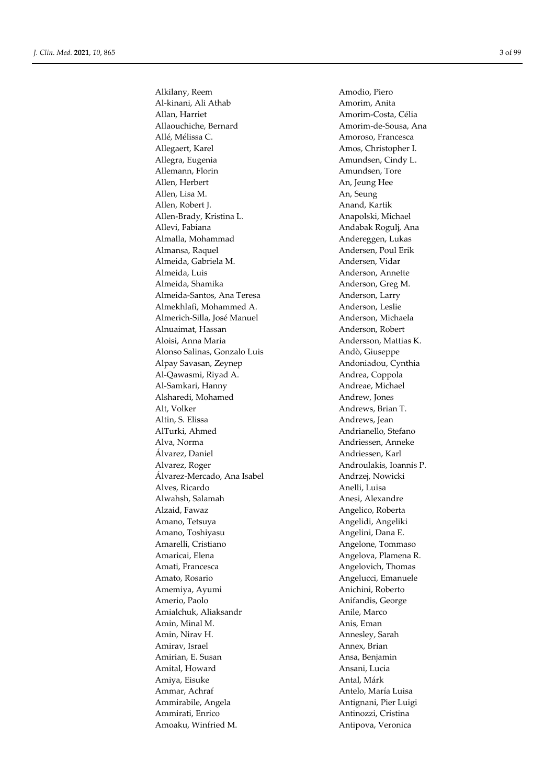Alkilany, Reem Amodio, Piero Al-kinani, Ali Athab Amorim, Anita Allan, Harriet **Amorim-Costa**, Célia Allaouchiche, Bernard **Amorim-de-Sousa**, Ana Allé, Mélissa C. Amoroso, Francesca Allegaert, Karel **Amos**, Christopher I. Allegra, Eugenia **Amundsen**, Cindy L. Allemann, Florin **Amundsen**, Tore Allen, Herbert An, Jeung Hee Allen, Lisa M. An, Seung Allen, Robert J. **Anand, Kartik** Allen-Brady, Kristina L. Anapolski, Michael Allevi, Fabiana **Andabak Rogulj**, Ana Almalla, Mohammad Andereggen, Lukas Almansa, Raquel **Andersen**, Poul Erik Almeida, Gabriela M. Andersen, Vidar Almeida, Luis **Anderson**, Annette Almeida, Shamika **Anderson**, Greg M. Almeida-Santos, Ana Teresa Anderson, Larry Almekhlafi, Mohammed A. Anderson, Leslie Almerich-Silla, José Manuel **Anderson**, Michaela Alnuaimat, Hassan Anderson, Robert Aloisi, Anna Maria **Andersson**, Mattias K. Alonso Salinas, Gonzalo Luis Andò, Giuseppe Alpay Savasan, Zeynep Andoniadou, Cynthia Al-Qawasmi, Riyad A. Andrea, Coppola Al-Samkari, Hanny **Al-Samkari, Hanny Andreae**, Michael Alsharedi, Mohamed Andrew, Jones Alt, Volker Andrews, Brian T. Altin, S. Elissa Andrews, Jean AlTurki, Ahmed Andrianello, Stefano Alva, Norma Andriessen, Anneke Álvarez, Daniel Andriessen, Karl Alvarez, Roger Androulakis, Ioannis P. Álvarez-Mercado, Ana Isabel Andrzej, Nowicki Alves, Ricardo Anelli, Luisa Alwahsh, Salamah **Anesi**, Alexandre Alzaid, Fawaz **Angelico**, Roberta Amano, Tetsuya **Angelidi**, Angeliki Amano, Toshiyasu Angelini, Dana E. Amarelli, Cristiano **Angelone**, Tommaso Amaricai, Elena **Angelova**, Plamena R. Amati, Francesca **Angelovich, Thomas** Amato, Rosario **Angelucci**, Emanuele Amemiya, Ayumi Anichini, Roberto Amerio, Paolo **Anifandis**, George Amialchuk, Aliaksandr **Anile, Marco** Anile, Marco Amin, Minal M. Anis, Eman Amin, Nirav H. Annesley, Sarah Amirav, Israel Annex, Brian Amirian, E. Susan Ansa, Benjamin Amital, Howard Ansani, Lucia Amiya, Eisuke Antal, Márk Ammar, Achraf **Antelo**, María Luisa Ammirabile, Angela Antignani, Pier Luigi Ammirati, Enrico Antinozzi, Cristina Amoaku, Winfried M. Antipova, Veronica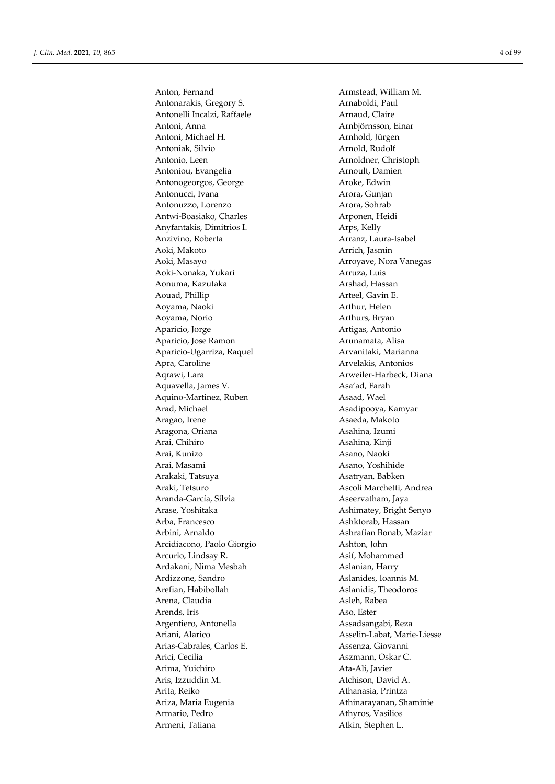Antonarakis, Gregory S. Arnaboldi, Paul Antonelli Incalzi, Raffaele **Arnaud, Claire** Arnaud, Claire Antoni, Anna Arnbjörnsson, Einar Antoni, Michael H. Arnhold, Jürgen Antoniak, Silvio Arnold, Rudolf Antonio, Leen Arnoldner, Christoph Antoniou, Evangelia Arnoult, Damien Antonogeorgos, George Aroke, Edwin Antonucci, Ivana Arora, Gunjan Antonuzzo, Lorenzo Arora, Sohrab Antwi-Boasiako, Charles **Arponen**, Heidi Anyfantakis, Dimitrios I. Arps, Kelly Anzivino, Roberta **Arranz**, Laura-Isabel Aoki, Makoto Arrich, Jasmin Aoki, Masayo **Arroyave, Nora Vanegas** Aoki-Nonaka, Yukari **Arruza**, Luis Aonuma, Kazutaka **Arshad, Hassan** Aouad, Phillip Arteel, Gavin E. Aoyama, Naoki **Arthur**, Helen Aoyama, Norio Arthurs, Bryan Aparicio, Jorge Artigas, Antonio Aparicio, Jose Ramon **Arunamata**, Alisa Aparicio-Ugarriza, Raquel **Arvanitaki**, Marianna Apra, Caroline **Arvelakis**, Antonios Aqrawi, Lara **Arweiler-Harbeck**, Diana Aquavella, James V. Asa'ad, Farah Aquino-Martinez, Ruben Asaad, Wael Arad, Michael **Asadipooya**, Kamyar Aragao, Irene **Asaeda, Makoto** Aragona, Oriana **Asahina**, Izumi Arai, Chihiro **Asahina, Kinji** Arai, Kunizo Asano, Naoki Arai, Masami Asano, Yoshihide Arakaki, Tatsuya **Asatryan, Babken** Araki, Tetsuro Ascoli Marchetti, Andrea Aranda-García, Silvia Aseervatham, Jaya Arase, Yoshitaka Arase, Yoshitaka Ashimatey, Bright Senyo Arba, Francesco **Ashktorab**, Hassan Arbini, Arnaldo Ashrafian Bonab, Maziar Arcidiacono, Paolo Giorgio Ashton, John Arcurio, Lindsay R. Asif, Mohammed Ardakani, Nima Mesbah Aslanian, Harry Ardizzone, Sandro **Aslanides**, Ioannis M. Arefian, Habibollah Aslanidis, Theodoros Arena, Claudia **Asleh, Rabea** Asleh, Rabea Arends, Iris Aso, Ester Argentiero, Antonella Assadsangabi, Reza Ariani, Alarico Asselin-Labat, Marie-Liesse Arias-Cabrales, Carlos E. Assenza, Giovanni Arici, Cecilia Aszmann, Oskar C. Arima, Yuichiro **Ata-Ali, Javier** Ata-Ali, Javier Aris, Izzuddin M. Atchison, David A. Arita, Reiko **Athanasia, Printza** Ariza, Maria Eugenia **Athinarayanan**, Shaminie Armario, Pedro Athyros, Vasilios Armeni, Tatiana **Atkin**, Stephen L.

Anton, Fernand **Armstead, William M.**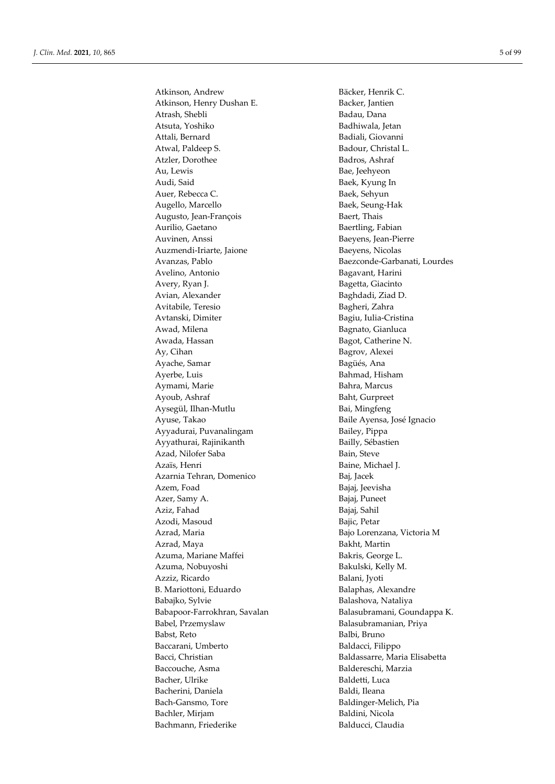Atkinson, Andrew Bäcker, Henrik C. Atkinson, Henry Dushan E. Backer, Jantien Atrash, Shebli Badau, Dana Atsuta, Yoshiko Badhiwala, Jetan Attali, Bernard Badiali, Giovanni Atwal, Paldeep S. Badour, Christal L. Atzler, Dorothee Badros, Ashraf Au, Lewis Bae, Jeehyeon Audi, Said Baek, Kyung In Auer, Rebecca C. Baek, Sehyun Augello, Marcello Baek, Seung-Hak Augusto, Jean-François Baert, Thais Aurilio, Gaetano Baertling, Fabian Auvinen, Anssi Baeyens, Jean-Pierre Auzmendi-Iriarte, Jaione Baeyens, Nicolas Avelino, Antonio Bagavant, Harini Avery, Ryan J. Bagetta, Giacinto Avian, Alexander **Baghdadi**, Ziad D. Avitabile, Teresio Bagheri, Zahra Avtanski, Dimiter Bagiu, Iulia-Cristina Awad, Milena **Bagnato**, Gianluca Awada, Hassan Bagot, Catherine N. Ay, Cihan Bagrov, Alexei Ayache, Samar **Bagüés**, Ana Ayerbe, Luis **Bahmad**, Hisham Aymami, Marie **Bahra**, Marcus Ayoub, Ashraf Baht, Gurpreet Aysegül, Ilhan-Mutlu **Bai**, Mingfeng Ayuse, Takao Baile Ayensa, José Ignacio Ayyadurai, Puvanalingam Bailey, Pippa Ayyathurai, Rajinikanth **Bailly**, Sébastien Azad, Nilofer Saba Bain, Steve Azaïs, Henri **Baine**, Michael J. Azarnia Tehran, Domenico Baj, Jacek Azem, Foad Bajaj, Jeevisha Azer, Samy A. Bajaj, Puneet Aziz, Fahad Bajaj, Sahil Azodi, Masoud Bajic, Petar Azrad, Maria Bajo Lorenzana, Victoria M Azrad, Maya **Bakht**, Martin Azuma, Mariane Maffei Bakris, George L. Azuma, Nobuyoshi Bakulski, Kelly M. Azziz, Ricardo Balani, Jyoti B. Mariottoni, Eduardo Balaphas, Alexandre Babajko, Sylvie Balashova, Nataliya Babel, Przemyslaw Balasubramanian, Priya Babst, Reto Balbi, Bruno Baccarani, Umberto Baldacci, Filippo Bacci, Christian Baldassarre, Maria Elisabetta Baccouche, Asma Baldereschi, Marzia Bacher, Ulrike Baldetti, Luca Bacherini, Daniela Baldi, Ileana Bach-Gansmo, Tore Baldinger-Melich, Pia Bachler, Mirjam Baldini, Nicola Bachmann, Friederike Balducci, Claudia

Avanzas, Pablo Baezconde-Garbanati, Lourdes Babapoor-Farrokhran, Savalan Balasubramani, Goundappa K.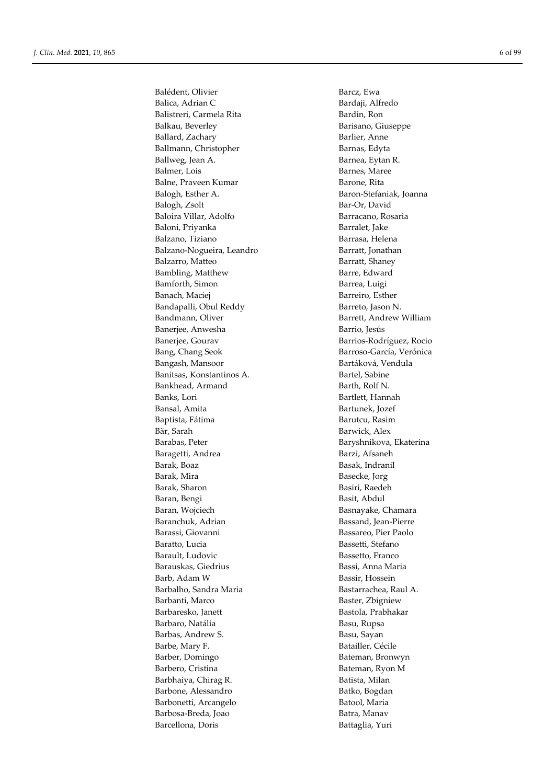Balédent, Olivier Barcz, Ewa Balica, Adrian C<br>Bardaji, Alfredo Balistreri, Carmela Rita Bardin, Ron Balkau, Beverley Barisano, Giuseppe Ballard, Zachary Barlier, Anne Ballmann, Christopher Barnas, Edyta Ballweg, Jean A. Barnea, Eytan R. Balmer, Lois Barnes, Maree Balne, Praveen Kumar Barone, Rita Balogh, Esther A. Baron-Stefaniak, Joanna Balogh, Zsolt Bar-Or, David Baloira Villar, Adolfo Barracano, Rosaria Baloni, Priyanka Barralet, Jake Balzano, Tiziano **Barrasa**, Helena Balzano-Nogueira, Leandro Barratt, Jonathan Balzarro, Matteo **Barratt, Shaney** Bambling, Matthew Barre, Edward Bamforth, Simon Barrea, Luigi Banach, Maciej Barreiro, Esther Bandapalli, Obul Reddy Barreto, Jason N. Bandmann, Oliver **Bandmann**, Oliver **Bandmann**, Oliver **Bandmann**, Oliver **Bandmann**, Oliver **Bandmann** Banerjee, Anwesha Barrio, Jesús Banerjee, Gourav Barrios-Rodríguez, Rocio Bang, Chang Seok Barroso-García, Verónica Bangash, Mansoor **Bartáková, Vendula** Banitsas, Konstantinos A. Bartel, Sabine Bankhead, Armand Barth, Rolf N. Banks, Lori Bartlett, Hannah Bansal, Amita Bartunek, Jozef Baptista, Fátima **Barutcu, Rasim** Bär, Sarah Barwick, Alex Barabas, Peter Baryshnikova, Ekaterina Baragetti, Andrea Barzi, Afsaneh Barak, Boaz Basak, Indranil Barak, Mira Basecke, Jorg Barak, Sharon Basiri, Raedeh Baran, Bengi Basit, Abdul Baran, Wojciech Basnayake, Chamara Baranchuk, Adrian Bassand, Jean-Pierre Barassi, Giovanni Bassareo, Pier Paolo Baratto, Lucia Bassetti, Stefano Barault, Ludovic Bassetto, Franco Barauskas, Giedrius **Bassi**, Anna Maria Barb, Adam W Bassir, Hossein Barbalho, Sandra Maria **Bastarrachea**, Raul A. Barbanti, Marco Baster, Zbigniew Barbaresko, Janett Bastola, Prabhakar Barbaro, Natália **Basu, Rupsa** Barbas, Andrew S. Basu, Sayan Barbe, Mary F. Batailler, Cécile Barber, Domingo Bateman, Bronwyn Barbero, Cristina Bateman, Ryon M Barbhaiya, Chirag R. Batista, Milan Barbone, Alessandro Batko, Bogdan Barbonetti, Arcangelo Batool, Maria Barbosa-Breda, Joao Batra, Manav Barcellona, Doris Battaglia, Yuri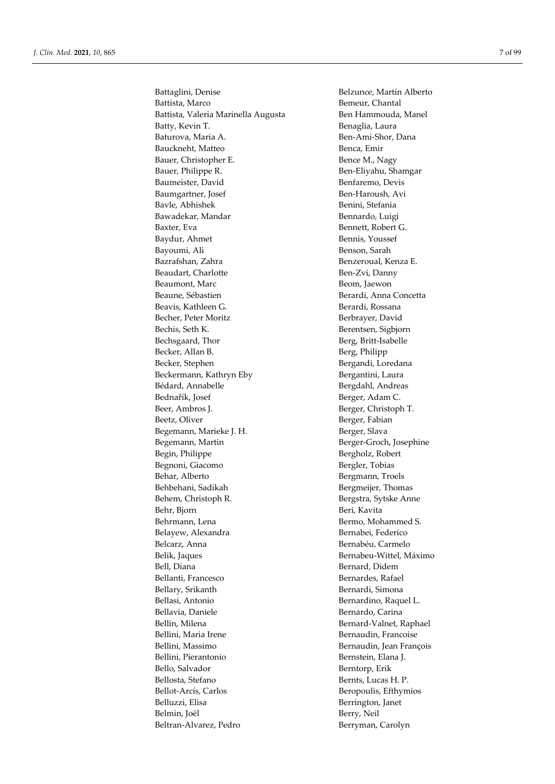Battaglini, Denise Belzunce, Martín Alberto Battista, Marco Bemeur, Chantal Battista, Valeria Marinella Augusta Ben Hammouda, Manel Batty, Kevin T. Benaglia, Laura Baturova, Maria A. Ben-Ami-Shor, Dana Bauckneht, Matteo Benca, Emir Bauer, Christopher E. Bence M., Nagy Bauer, Philippe R. Ben-Eliyahu, Shamgar Baumeister, David Benfaremo, Devis Baumgartner, Josef Ben-Haroush, Avi Bavle, Abhishek Benini, Stefania Bawadekar, Mandar **Bennardo**, Luigi Baxter, Eva Bennett, Robert G. Baydur, Ahmet Bennis, Youssef Bayoumi, Ali Benson, Sarah Bazrafshan, Zahra Benzeroual, Kenza E. Beaudart, Charlotte **Ben-Zvi**, Danny Beaumont, Marc Beom, Jaewon Beaune, Sébastien **Berardi**, Anna Concetta Beavis, Kathleen G. **Berardi**, Rossana Becher, Peter Moritz Berbrayer, David Bechis, Seth K. Berentsen, Sigbjorn Bechsgaard, Thor Berg, Britt-Isabelle Becker, Allan B. Berg, Philipp Becker, Stephen Bergandi, Loredana Beckermann, Kathryn Eby Bergantini, Laura Bédard, Annabelle **Bergdahl**, Andreas Bednařík, Josef Berger, Adam C. Beer, Ambros J. Berger, Christoph T. Beetz, Oliver Berger, Fabian Begemann, Marieke J. H. Berger, Slava Begemann, Martin Berger-Groch, Josephine Begin, Philippe Bergholz, Robert Begnoni, Giacomo Bergler, Tobias Behar, Alberto Bergmann, Troels Behbehani, Sadikah Bergmeijer, Thomas Behem, Christoph R. Bergstra, Sytske Anne Behr, Bjorn Beri, Kavita Behrmann, Lena Bermo, Mohammed S. Belayew, Alexandra Bernabei, Federico Belcarz, Anna Bernabéu, Carmelo Belik, Jaques Bernabeu-Wittel, Máximo Bell, Diana Bernard, Didem Bellanti, Francesco Bernardes, Rafael Bellary, Srikanth Bernardi, Simona Bellasi, Antonio Bernardino, Raquel L. Bellavia, Daniele Bernardo, Carina Bellin, Milena Bernard-Valnet, Raphael Bellini, Maria Irene Bernaudin, Francoise Bellini, Massimo Bernaudin, Jean François Bellini, Pierantonio Bernstein, Elana J. Bello, Salvador Berntorp, Erik Bellosta, Stefano Bernts, Lucas H. P. Bellot-Arcís, Carlos Beropoulis, Efthymios Belluzzi, Elisa Berrington, Janet Belmin, Joël Berry, Neil Beltran-Alvarez, Pedro Berryman, Carolyn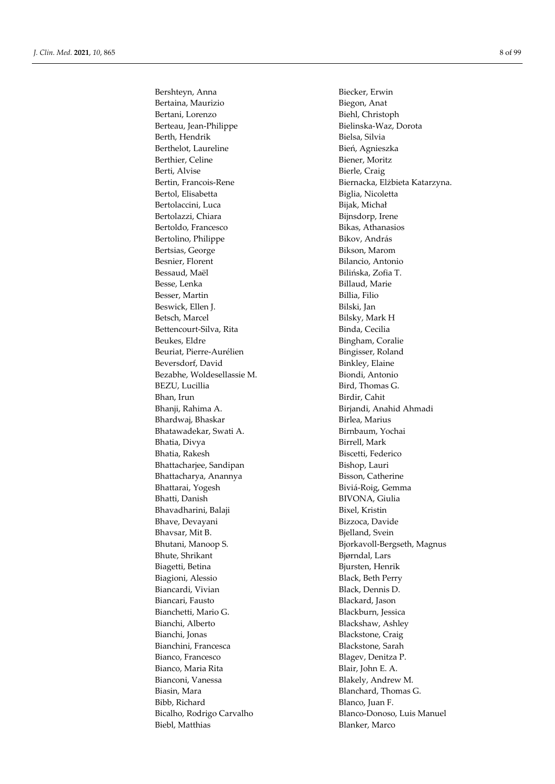Bershteyn, Anna Biecker, Erwin Bertaina, Maurizio **Biegon, Anat** Bertani, Lorenzo Biehl, Christoph Berteau, Jean-Philippe Bielinska-Waz, Dorota Berth, Hendrik Bielsa, Silvia Berthelot, Laureline Bień, Agnieszka Berthier, Celine Biener, Moritz<br>
Biener, Moritz<br>
Biener, Craig Bertol, Elisabetta Biglia, Nicoletta Bertolaccini, Luca Bijak, Michał Bertolazzi, Chiara Bijnsdorp, Irene Bertoldo, Francesco Bikas, Athanasios Bertolino, Philippe Bikov, András Bertsias, George Bikson, Marom Besnier, Florent Bilancio, Antonio Bessaud, Maël Bilińska, Zofia T. Besse, Lenka Billaud, Marie Besser, Martin Billia, Filio Beswick, Ellen J. Bilski, Jan Betsch, Marcel Bilsky, Mark H Bettencourt-Silva, Rita Binda, Cecilia Beukes, Eldre **Bingham**, Coralie Beuriat, Pierre-Aurélien and Bingisser, Roland Beversdorf, David Binkley, Elaine Bezabhe, Woldesellassie M. Biondi, Antonio BEZU, Lucillia Bird, Thomas G. Bhan, Irun Birdir, Cahit Bhanji, Rahima A. Birjandi, Anahid Ahmadi Bhardwaj, Bhaskar Birlea, Marius Bhatawadekar, Swati A. Birnbaum, Yochai Bhatia, Divya Birrell, Mark Bhatia, Rakesh Biscetti, Federico Bhattacharjee, Sandipan Bishop, Lauri Bhattacharya, Anannya Bisson, Catherine Bhattarai, Yogesh Biviá-Roig, Gemma Bhatti, Danish BIVONA, Giulia Bhavadharini, Balaji Bixel, Kristin Bhave, Devayani Bizzoca, Davide Bhavsar, Mit B. Bjelland, Svein Bhute, Shrikant Bjørndal, Lars Biagetti, Betina Bjursten, Henrik Biagioni, Alessio Black, Beth Perry Biancardi, Vivian Black, Dennis D. Biancari, Fausto Blackard, Jason Bianchetti, Mario G. Blackburn, Jessica Bianchi, Alberto Blackshaw, Ashley Bianchi, Jonas Blackstone, Craig Bianchini, Francesca Blackstone, Sarah Bianco, Francesco Blagev, Denitza P. Bianco, Maria Rita **Blair**, John E. A. Bianconi, Vanessa Blakely, Andrew M. Biasin, Mara **Blanchard, Thomas G.** Bibb, Richard Blanco, Juan F. Biebl, Matthias Blanker, Marco

Bierle, Craig Bertin, Francois-Rene Biernacka, Elżbieta Katarzyna. Bhutani, Manoop S. Shutani, Magnus Bicalho, Rodrigo Carvalho Blanco-Donoso, Luis Manuel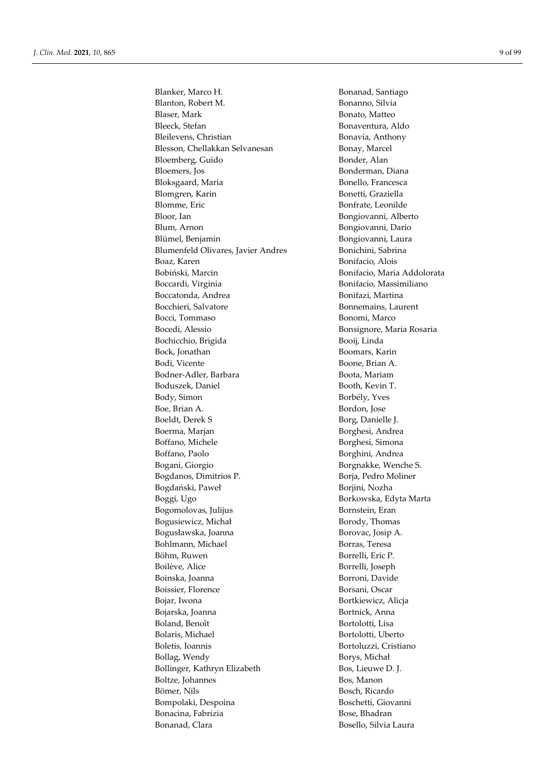Blanker, Marco H. Bonanad, Santiago Blanton, Robert M. Bonanno, Silvia Blaser, Mark Bonato, Matteo Bleeck, Stefan Bonaventura, Aldo Bleilevens, Christian Bonavia, Anthony Blesson, Chellakkan Selvanesan Bonay, Marcel Bloemberg, Guido Bonder, Alan Bloemers, Jos Bonderman, Diana Bloksgaard, Maria Bonello, Francesca Blomgren, Karin Bonetti, Graziella Blomme, Eric Bonfrate, Leonilde Bloor, Ian Bongiovanni, Alberto Blum, Arnon Bongiovanni, Dario Blümel, Benjamin Bongiovanni, Laura Blumenfeld Olivares, Javier Andres Bonichini, Sabrina Boaz, Karen 1986 - Bonifacio, Alois<br>Bobiński, Marcin 1986 - Bonifacio, Maria Boccardi, Virginia **Bonifacio**, Massimiliano Boccatonda, Andrea **Bonifazi**, Martina Bocchieri, Salvatore **Bonnemains**, Laurent Bocci, Tommaso Bonomi, Marco Bocedi, Alessio Bonsignore, Maria Rosaria Bochicchio, Brigida Booij, Linda Bock, Jonathan Boomars, Karin Bodi, Vicente Boone, Brian A. Bodner-Adler, Barbara Boota, Mariam Boduszek, Daniel Booth, Kevin T. Body, Simon Borbély, Yves Boe, Brian A. Bordon, Jose Boeldt, Derek S Borg, Danielle J. Boerma, Marjan **Borghesi**, Andrea Boffano, Michele Borghesi, Simona Boffano, Paolo Borghini, Andrea Bogani, Giorgio Borgnakke, Wenche S. Bogdanos, Dimitrios P. Borja, Pedro Moliner Bogdański, Paweł **Borganda Borgania**, Nozha Boggi, Ugo Borkowska, Edyta Marta Bogomolovas, Julijus Bornstein, Eran Bogusiewicz, Michał Borody, Thomas Bogusławska, Joanna Borovac, Josip A. Bohlmann, Michael Borras, Teresa Böhm, Ruwen Borrelli, Eric P. Boilève, Alice Borrelli, Joseph Boinska, Joanna Borroni, Davide Boissier, Florence Borsani, Oscar Bojar, Iwona Bortkiewicz, Alicja Bojarska, Joanna Bortnick, Anna Boland, Benoît Bortolotti, Lisa Bolaris, Michael Bortolotti, Uberto Boletis, Ioannis Bortoluzzi, Cristiano Bollag, Wendy Borys, Michał Bollinger, Kathryn Elizabeth Bos, Lieuwe D. J. Boltze, Johannes Bos, Manon Bömer, Nils Bosch, Ricardo Bompolaki, Despoina Boschetti, Giovanni Bonacina, Fabrizia and announced a Bose, Bhadran Bonanad, Clara Bosello, Silvia Laura

Bonifacio, Maria Addolorata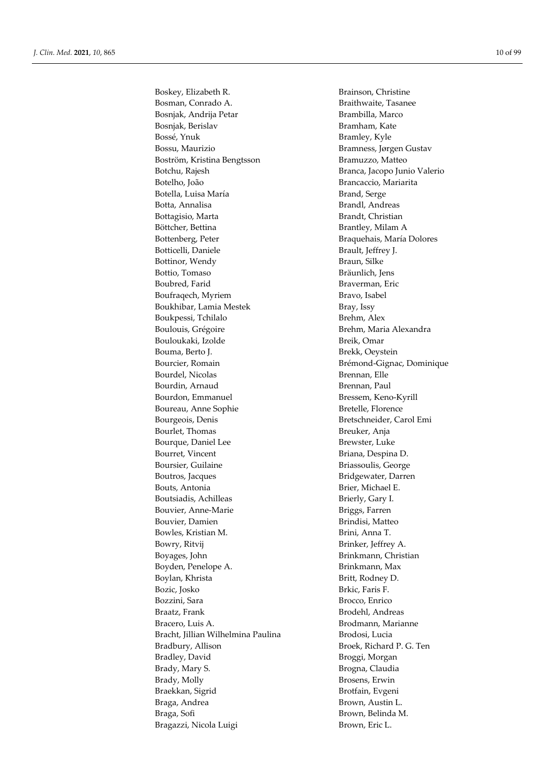Boskey, Elizabeth R. Brainson, Christine Bosman, Conrado A. **Braithwaite**, Tasanee Bosnjak, Andrija Petar Brambilla, Marco Bosnjak, Berislav Bramham, Kate Bossé, Ynuk Bramley, Kyle Bossu, Maurizio Bramness, Jørgen Gustav Boström, Kristina Bengtsson Bramuzzo, Matteo Botchu, Rajesh Branca, Jacopo Junio Valerio Botelho, João Brancaccio, Mariarita Botella, Luisa María **Brand, Serge** Botta, Annalisa **Brandl**, Andreas Bottagisio, Marta Brandt, Christian Böttcher, Bettina Brantley, Milam A Bottenberg, Peter Braquehais, María Dolores Botticelli, Daniele Brault, Jeffrey J. Bottinor, Wendy Braun, Silke Bottio, Tomaso Bräunlich, Jens Boubred, Farid Braverman, Eric Boufragech, Myriem Bravo, Isabel Boukhibar, Lamia Mestek Bray, Issy Boukpessi, Tchilalo Brehm, Alex Boulouis, Grégoire **Brehm**, Maria Alexandra Bouloukaki, Izolde Breik, Omar Bouma, Berto J. Brekk, Oeystein Bourcier, Romain **Brémond-Gignac, Dominique** Bourdel, Nicolas **Brennan**, Elle Bourdin, Arnaud Brennan, Paul Bourdon, Emmanuel Bressem, Keno-Kyrill Boureau, Anne Sophie Bretelle, Florence Bourgeois, Denis Bretschneider, Carol Emi Bourlet, Thomas Breuker, Anja Bourque, Daniel Lee Brewster, Luke Bourret, Vincent Briana, Despina D. Boursier, Guilaine Briassoulis, George Boutros, Jacques Bridgewater, Darren Bouts, Antonia Brier, Michael E. Boutsiadis, Achilleas Brierly, Gary I. Bouvier, Anne-Marie Briggs, Farren Bouvier, Damien Brindisi, Matteo Bowles, Kristian M. Brini, Anna T. Bowry, Ritvij Brinker, Jeffrey A. Boyages, John Brinkmann, Christian Boyden, Penelope A. Brinkmann, Max Boylan, Khrista Britt, Rodney D. Bozic, Josko Brkic, Faris F. Bozzini, Sara Brocco, Enrico Braatz, Frank Brodehl, Andreas Bracero, Luis A. **Brodmann**, Marianne Bracht, Jillian Wilhelmina Paulina **Brodosi**, Lucia Bradbury, Allison Broek, Richard P. G. Ten Bradley, David Broggi, Morgan Brady, Mary S. Brogna, Claudia Brady, Molly Brosens, Erwin Braekkan, Sigrid Brotfain, Evgeni Braga, Andrea Brown, Austin L. Braga, Sofi Brown, Belinda M. Bragazzi, Nicola Luigi Brown, Eric L.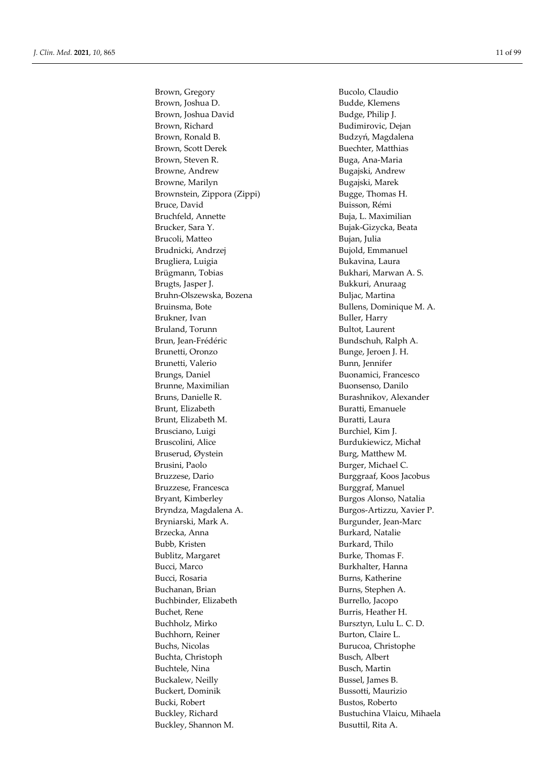Brown, Gregory Bucolo, Claudio Brown, Joshua D. **Budde**, Klemens Brown, Joshua David Budge, Philip J. Brown, Richard Budimirovic, Dejan Brown, Ronald B. Sandard Brown, Ronald B. Sandard Budzyń, Magdalena Brown, Scott Derek Buechter, Matthias Brown, Steven R. **Brown**, Steven R. **Buga**, Ana-Maria Browne, Andrew Bugajski, Andrew Browne, Marilyn Bugajski, Marek Brownstein, Zippora (Zippi) Bugge, Thomas H. Bruce, David Buisson, Rémi Bruchfeld, Annette Buja, L. Maximilian Brucker, Sara Y. Bujak-Gizycka, Beata Brucoli, Matteo **Bujan, Julia** Brudnicki, Andrzej Bujold, Emmanuel Brugliera, Luigia **Bukavina, Laura** Brügmann, Tobias Bukhari, Marwan A. S. Brugts, Jasper J. **Bukkuri**, Anuraag Bruhn-Olszewska, Bozena Buljac, Martina Bruinsma, Bote Bullens, Dominique M. A. Brukner, Ivan Buller, Harry Bruland, Torunn Bultot, Laurent Brun, Jean-Frédéric **Bundschuh, Ralph A.** Brunetti, Oronzo Bunge, Jeroen J. H. Brunetti, Valerio Bunn, Jennifer Brungs, Daniel Buonamici, Francesco Brunne, Maximilian Buonsenso, Danilo Bruns, Danielle R. Burashnikov, Alexander Brunt, Elizabeth Buratti, Emanuele Brunt, Elizabeth M. Buratti, Laura Brusciano, Luigi Burchiel, Kim J. Bruscolini, Alice Burdukiewicz, Michał Bruserud, Øystein Burg, Matthew M. Brusini, Paolo Burger, Michael C. Bruzzese, Dario Burggraaf, Koos Jacobus Bruzzese, Francesca **Burggraf**, Manuel Bryant, Kimberley Burgos Alonso, Natalia Bryndza, Magdalena A. Burgos-Artizzu, Xavier P. Bryniarski, Mark A. Burgunder, Jean-Marc Brzecka, Anna Burkard, Natalie Bubb, Kristen Burkard, Thilo Bublitz, Margaret Burke, Thomas F. Bucci, Marco Burkhalter, Hanna Bucci, Rosaria **Burns, Katherine** Buchanan, Brian Burns, Stephen A. Buchbinder, Elizabeth Burrello, Jacopo Buchet, Rene Burris, Heather H. Buchholz, Mirko Bursztyn, Lulu L. C. D. Buchhorn, Reiner Burton, Claire L. Buchs, Nicolas Burucoa, Christophe Buchta, Christoph Busch, Albert Buchtele, Nina Busch, Martin Buckalew, Neilly Bussel, James B. Buckert, Dominik Bussotti, Maurizio Bucki, Robert Bustos, Roberto Buckley, Richard Bustuchina Vlaicu, Mihaela Buckley, Shannon M. Busuttil, Rita A.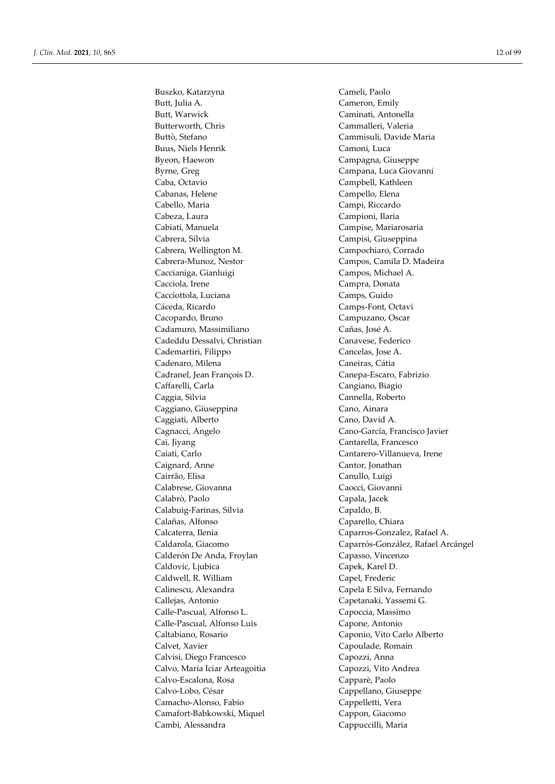Butt, Julia A. Cameron, Emily Butt, Warwick Caminati, Antonella Butterworth, Chris Cammalleri, Valeria Buttò, Stefano Cammisuli, Davide Maria Buus, Niels Henrik Camoni, Luca Byeon, Haewon Campagna, Giuseppe Byrne, Greg Campana, Luca Giovanni Caba, Octavio Campbell, Kathleen Cabanas, Helene Campello, Elena Cabello, Maria Campi, Riccardo Cabeza, Laura Campioni, Ilaria Cabiati, Manuela Campise, Mariarosaria Cabrera, Sílvia Campisi, Giuseppina Cabrera, Wellington M. Campochiaro, Corrado Cabrera-Munoz, Nestor Campos, Camila D. Madeira Caccianiga, Gianluigi Campos, Michael A. Cacciola, Irene Campra, Donata Cacciottola, Luciana Camps, Guido Cáceda, Ricardo Camps-Font, Octavi Cacopardo, Bruno Campuzano, Oscar Cadamuro, Massimiliano Cañas, José A. Cadeddu Dessalvi, Christian Canavese, Federico Cademartiri, Filippo Cancelas, Jose A. Cadenaro, Milena **Caneiras**, Cátia Cadranel, Jean François D. Canepa-Escaro, Fabrizio Caffarelli, Carla Cangiano, Biagio Caggia, Silvia Cannella, Roberto Caggiano, Giuseppina Cano, Ainara Caggiati, Alberto Cano, David A. Cagnacci, Angelo Cano-García, Francisco Javier Cai, Jiyang Cantarella, Francesco Caiati, Carlo Cantarero-Villanueva, Irene Caignard, Anne Cantor, Jonathan Cairrão, Elisa Canullo, Luigi Calabrese, Giovanna Caocci, Giovanni Calabrò, Paolo Capala, Jacek Calabuig-Farinas, Silvia Capaldo, B. Calañas, Alfonso Caparello, Chiara Calcaterra, Ilenia Caparros-Gonzalez, Rafael A. Calderón De Anda, Froylan Capasso, Vincenzo Caldovic, Ljubica Capek, Karel D. Caldwell, R. William Capel, Frederic Calinescu, Alexandra Capela E Silva, Fernando Callejas, Antonio Capetanaki, Yassemi G. Calle-Pascual, Alfonso L. Capoccia, Massimo Calle-Pascual, Alfonso Luis Capone, Antonio Caltabiano, Rosario Caponio, Vito Carlo Alberto Calvet, Xavier Capoulade, Romain Calvisi, Diego Francesco Capozzi, Anna Calvo, Maria Icíar Arteagoitia Capozzi, Vito Andrea Calvo-Escalona, Rosa Capparè, Paolo Calvo-Lobo, César Cappellano, Giuseppe Camacho-Alonso, Fabio Cappelletti, Vera Camafort-Babkowski, Miquel Cappon, Giacomo Cambi, Alessandra Cappuccilli, Maria

Buszko, Katarzyna Cameli, Paolo Caldarola, Giacomo Caparrós-González, Rafael Arcángel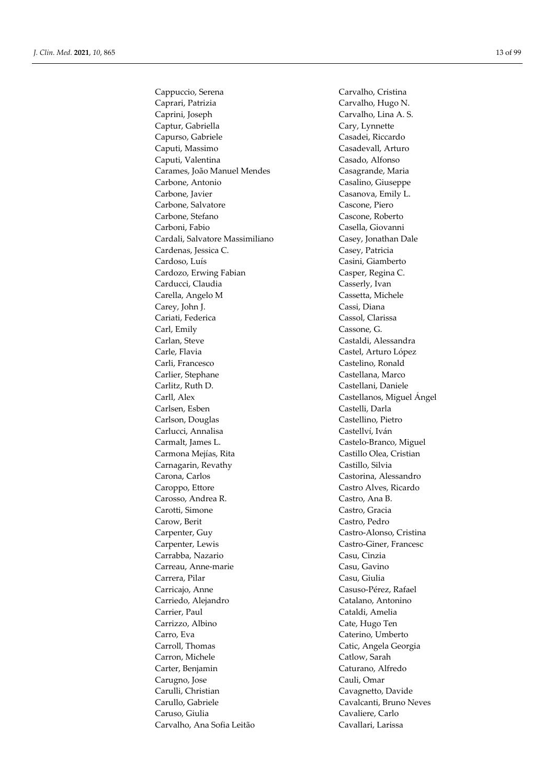Cappuccio, Serena Carvalho, Cristina Caprari, Patrizia Carvalho, Hugo N. Caprini, Joseph Carvalho, Lina A. S. Captur, Gabriella Cary, Lynnette Capurso, Gabriele Casadei, Riccardo Caputi, Massimo Casadevall, Arturo Caputi, Valentina Casado, Alfonso Carames, João Manuel Mendes Casagrande, Maria Carbone, Antonio Casalino, Giuseppe Carbone, Javier Casanova, Emily L. Carbone, Salvatore Cascone, Piero Carbone, Stefano Cascone, Roberto Carboni, Fabio Casella, Giovanni Cardali, Salvatore Massimiliano Casey, Jonathan Dale Cardenas, Jessica C. Casey, Patricia Cardoso, Luís Casini, Giamberto Cardozo, Erwing Fabian Casper, Regina C. Carducci, Claudia Casserly, Ivan Carella, Angelo M Cassetta, Michele Carey, John J. Cassi, Diana Cariati, Federica Cassol, Clarissa Carl, Emily Cassone, G. Carlan, Steve Castaldi, Alessandra Carle, Flavia Castel, Arturo López Carli, Francesco Castelino, Ronald Carlier, Stephane Castellana, Marco Carlitz, Ruth D. Castellani, Daniele Carll, Alex Castellanos, Miguel Ángel Carlsen, Esben Castelli, Darla Carlson, Douglas Castellino, Pietro Carlucci, Annalisa Castellví, Iván Carmalt, James L. Castelo-Branco, Miguel Carmona Mejías, Rita Castillo Olea, Cristian Carnagarin, Revathy Castillo, Silvia Carona, Carlos Castorina, Alessandro Caroppo, Ettore Castro Alves, Ricardo Carosso, Andrea R. Castro, Ana B. Carotti, Simone Castro, Gracia Carow, Berit Castro, Pedro Carpenter, Guy Castro-Alonso, Cristina Carpenter, Lewis Castro-Giner, Francesc Carrabba, Nazario Casu, Cinzia Carreau, Anne-marie Casu, Gavino Carrera, Pilar Casu, Giulia Carricajo, Anne Casuso-Pérez, Rafael Carriedo, Alejandro Catalano, Antonino Carrier, Paul Cataldi, Amelia Carrizzo, Albino Cate, Hugo Ten Carro, Eva Caterino, Umberto Carroll, Thomas Catic, Angela Georgia Carron, Michele Catlow, Sarah Carter, Benjamin Caturano, Alfredo Carugno, Jose Cauli, Omar Carulli, Christian Cavagnetto, Davide Carullo, Gabriele Cavalcanti, Bruno Neves Caruso, Giulia Cavaliere, Carlo Carvalho, Ana Sofia Leitão Cavallari, Larissa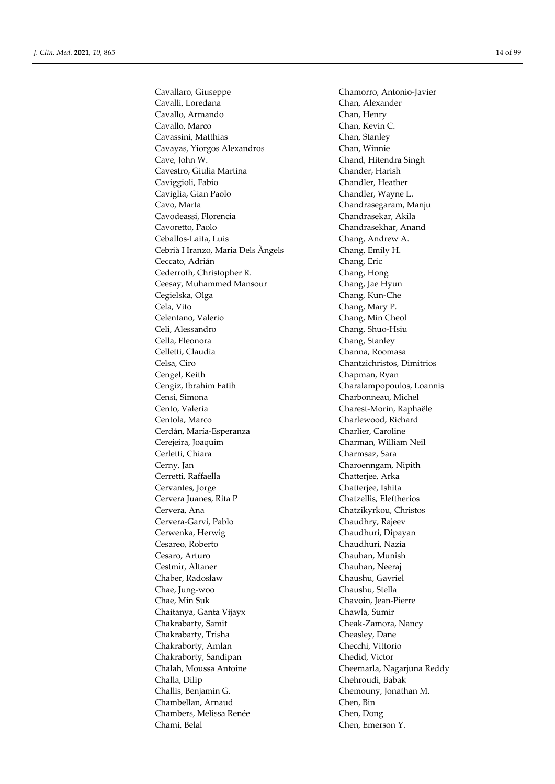Cavallaro, Giuseppe Chamorro, Antonio-Javier Cavalli, Loredana Chan, Alexander Cavallo, Armando Chan, Henry Cavallo, Marco Chan, Kevin C. Cavassini, Matthias Chan, Stanley Cavayas, Yiorgos Alexandros Chan, Winnie Cave, John W. Chand, Hitendra Singh Cavestro, Giulia Martina Chander, Harish Caviggioli, Fabio Chandler, Heather Caviglia, Gian Paolo Chandler, Wayne L. Cavo, Marta Chandrasegaram, Manju Cavodeassi, Florencia Chandrasekar, Akila Cavoretto, Paolo Chandrasekhar, Anand Ceballos-Laita, Luis Chang, Andrew A. Cebrià I Iranzo, Maria Dels Àngels Chang, Emily H. Ceccato, Adrián Chang, Eric Cederroth, Christopher R. Chang, Hong Ceesay, Muhammed Mansour Chang, Jae Hyun Cegielska, Olga Chang, Kun-Che Cela, Vito Chang, Mary P. Celentano, Valerio Chang, Min Cheol Celi, Alessandro Chang, Shuo-Hsiu Cella, Eleonora Chang, Stanley Celletti, Claudia Channa, Roomasa Celsa, Ciro Chantzichristos, Dimitrios Cengel, Keith Chapman, Ryan Cengiz, Ibrahim Fatih Charalampopoulos, Loannis Censi, Simona Charbonneau, Michel Cento, Valeria Charest-Morin, Raphaële Centola, Marco Charlewood, Richard Cerdán, María-Esperanza Charlier, Caroline Cerejeira, Joaquim Charman, William Neil Cerletti, Chiara Charmsaz, Sara Cerny, Jan Charoenngam, Nipith Cerretti, Raffaella Chatterjee, Arka Cervantes, Jorge Chatterjee, Ishita Cervera Juanes, Rita P Chatzellis, Eleftherios Cervera, Ana Chatzikyrkou, Christos Cervera-Garvi, Pablo Chaudhry, Rajeev Cerwenka, Herwig Chaudhuri, Dipayan Cesareo, Roberto Chaudhuri, Nazia Cesaro, Arturo Chauhan, Munish Cestmir, Altaner Chauhan, Neeraj Chaber, Radosław Chaushu, Gavriel Chae, Jung-woo Chaushu, Stella Chae, Min Suk Chavoin, Jean-Pierre Chaitanya, Ganta Vijayx Chawla, Sumir Chakrabarty, Samit Cheak-Zamora, Nancy Chakrabarty, Trisha Cheasley, Dane Chakraborty, Amlan Checchi, Vittorio Chakraborty, Sandipan Chedid, Victor Chalah, Moussa Antoine Cheemarla, Nagarjuna Reddy Challa, Dilip Chehroudi, Babak Challis, Benjamin G. Chemouny, Jonathan M. Chambellan, Arnaud Chen, Bin Chambers, Melissa Renée Chen, Dong Chami, Belal Chen, Emerson Y.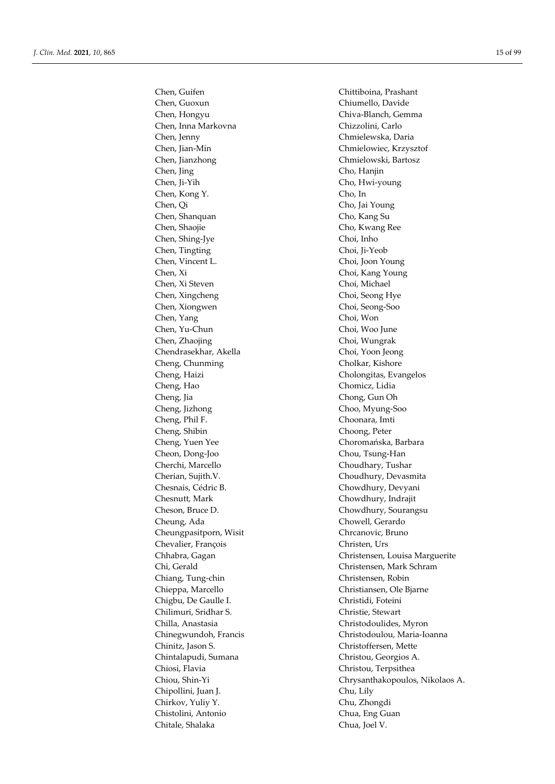Chen, Guoxun Chiumello, Davide Chen, Hongyu Chiva-Blanch, Gemma Chen, Inna Markovna Chizzolini, Carlo Chen, Jenny Chmielewska, Daria Chen, Jian-Min Chmielowiec, Krzysztof Chen, Jianzhong Chmielowski, Bartosz Chen, Jing Cho, Hanjin Chen, Ji-Yih Cho, Hwi-young Chen, Kong Y. Cho, In Chen, Qi Cho, Jai Young Chen, Shanquan Cho, Kang Su Chen, Shaojie Cho, Kwang Ree Chen, Shing-Jye Choi, Inho Chen, Tingting Choi, Ji-Yeob Chen, Vincent L. Choi, Joon Young Chen, Xi Choi, Kang Young Chen, Xi Steven Choi, Michael Chen, Xingcheng Choi, Seong Hye Chen, Xiongwen Choi, Seong-Soo Chen, Yang Choi, Won Chen, Yu-Chun Choi, Woo June Chen, Zhaojing Choi, Wungrak Chendrasekhar, Akella Choi, Yoon Jeong Cheng, Chunming Cholkar, Kishore Cheng, Haizi Cholongitas, Evangelos Cheng, Hao Chomicz, Lidia Cheng, Jia Chong, Gun Oh Cheng, Jizhong Choo, Myung-Soo Cheng, Phil F. Choonara, Imti Cheng, Shibin Choong, Peter Cheng, Yuen Yee Choromańska, Barbara Cheon, Dong-Joo Chou, Tsung-Han Cherchi, Marcello Choudhary, Tushar Cherian, Sujith.V. Choudhury, Devasmita Chesnais, Cédric B. Chowdhury, Devyani Chesnutt, Mark Chowdhury, Indrajit Cheson, Bruce D. Chowdhury, Sourangsu Cheung, Ada Chowell, Gerardo Cheungpasitporn, Wisit Chrcanovic, Bruno Chevalier, François Christen, Urs Chi, Gerald Christensen, Mark Schram Chiang, Tung-chin Christensen, Robin Chieppa, Marcello Christiansen, Ole Bjarne Chigbu, De Gaulle I. Christidi, Foteini Chilimuri, Sridhar S. Christie, Stewart Chilla, Anastasia Christodoulides, Myron Chinitz, Jason S. Christoffersen, Mette Chintalapudi, Sumana Christou, Georgios A. Chiosi, Flavia Christou, Terpsithea Chipollini, Juan J. Chu, Lily Chirkov, Yuliy Y. Chu, Zhongdi Chistolini, Antonio Chua, Eng Guan Chitale, Shalaka Chua, Joel V.

Chen, Guifen Chittiboina, Prashant Chhabra, Gagan Christensen, Louisa Marguerite Chinegwundoh, Francis Christodoulou, Maria-Ioanna Chiou, Shin-Yi Chrysanthakopoulos, Nikolaos A.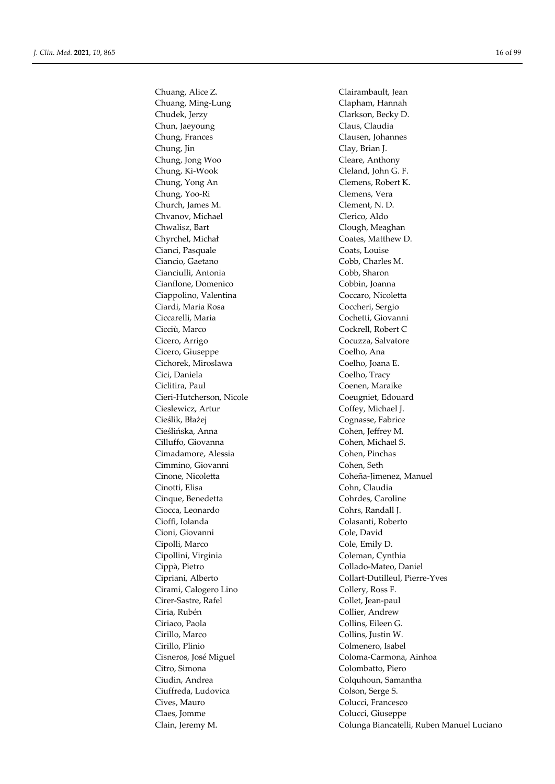Chuang, Ming-Lung Clapham, Hannah Chudek, Jerzy Clarkson, Becky D. Chun, Jaeyoung Claus, Claudia Chung, Frances Clausen, Johannes Chung, Jin Clay, Brian J. Chung, Jong Woo Cleare, Anthony Chung, Ki-Wook Cleland, John G. F. Chung, Yong An Clemens, Robert K. Chung, Yoo-Ri Clemens, Vera Church, James M. Clement, N. D. Chvanov, Michael Clerico, Aldo Chwalisz, Bart Clough, Meaghan Chyrchel, Michał Coates, Matthew D. Cianci, Pasquale Coats, Louise Ciancio, Gaetano Cobb, Charles M. Cianciulli, Antonia Cobb, Sharon Cianflone, Domenico Cobbin, Joanna Ciappolino, Valentina Coccaro, Nicoletta Ciardi, Maria Rosa Coccheri, Sergio Ciccarelli, Maria Cochetti, Giovanni Cicciù, Marco Cockrell, Robert C Cicero, Arrigo Cocuzza, Salvatore Cicero, Giuseppe Coelho, Ana Cichorek, Miroslawa Coelho, Joana E. Cici, Daniela Coelho, Tracy Ciclitira, Paul Coenen, Maraike Cieri-Hutcherson, Nicole Coeugniet, Edouard Cieslewicz, Artur Coffey, Michael J. Cieślik, Błażej Cognasse, Fabrice Cieślińska, Anna Cohen, Jeffrey M. Cilluffo, Giovanna Cohen, Michael S. Cimadamore, Alessia Cohen, Pinchas Cimmino, Giovanni Cohen, Seth Cinotti, Elisa Cohn, Claudia Cinque, Benedetta Cohrdes, Caroline Ciocca, Leonardo Cohrs, Randall J. Cioffi, Iolanda Colasanti, Roberto Cioni, Giovanni Cole, David Cipolli, Marco Cole, Emily D. Cipollini, Virginia Coleman, Cynthia Cippà, Pietro Collado-Mateo, Daniel Cirami, Calogero Lino Collery, Ross F. Cirer-Sastre, Rafel Collet, Jean-paul Ciria, Rubén Collier, Andrew Ciriaco, Paola Collins, Eileen G. Cirillo, Marco Collins, Justin W. Cirillo, Plinio Colmenero, Isabel Citro, Simona Colombatto, Piero Ciudin, Andrea Colquhoun, Samantha Ciuffreda, Ludovica Colson, Serge S. Cives, Mauro Colucci, Francesco Claes, Jomme Colucci, Giuseppe

Chuang, Alice Z. Clairambault, Jean Cinone, Nicoletta Coheña-Jimenez, Manuel Cipriani, Alberto Collart-Dutilleul, Pierre-Yves Cisneros, José Miguel Coloma-Carmona, Ainhoa Clain, Jeremy M. Colunga Biancatelli, Ruben Manuel Luciano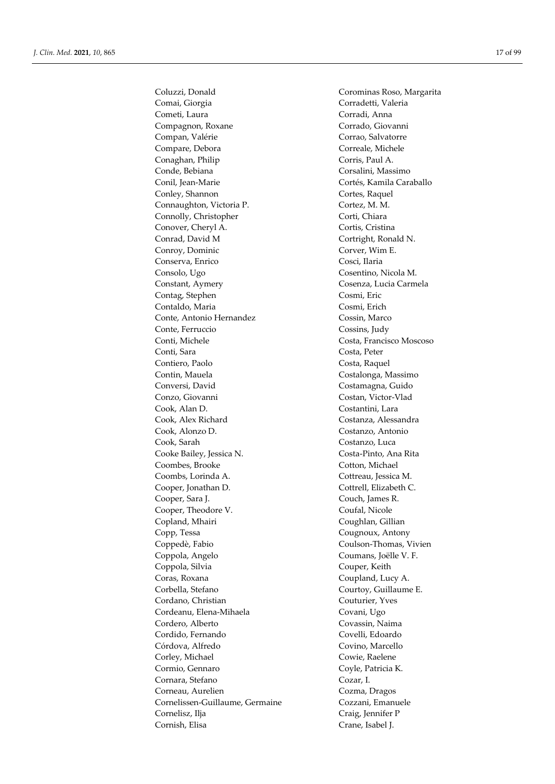Comai, Giorgia Corradetti, Valeria Cometi, Laura Corradi, Anna Compagnon, Roxane Corrado, Giovanni Compan, Valérie Corrao, Salvatorre Compare, Debora Correale, Michele Conaghan, Philip Corris, Paul A. Conde, Bebiana Corsalini, Massimo Conil, Jean-Marie Cortés, Kamila Caraballo Conley, Shannon Cortes, Raquel Connaughton, Victoria P. Cortez, M. M. Connolly, Christopher Corti, Chiara Conover, Cheryl A. Cortis, Cristina Conrad, David M Cortright, Ronald N. Conroy, Dominic Corver, Wim E. Conserva, Enrico Cosci, Ilaria Consolo, Ugo Cosentino, Nicola M. Constant, Aymery Cosenza, Lucia Carmela Contag, Stephen Cosmi, Eric Contaldo, Maria Cosmi, Erich Conte, Antonio Hernandez Cossin, Marco Conte, Ferruccio Cossins, Judy Conti, Michele Costa, Francisco Moscoso Conti, Sara Costa, Peter Contiero, Paolo **Costa, Raquel** Contin, Mauela Costalonga, Massimo Conversi, David Costamagna, Guido Conzo, Giovanni Costan, Victor-Vlad Cook, Alan D. Costantini, Lara Cook, Alex Richard Costanza, Alessandra Cook, Alonzo D. Costanzo, Antonio Cook, Sarah Costanzo, Luca Cooke Bailey, Jessica N. Costa-Pinto, Ana Rita Coombes, Brooke Cotton, Michael Coombs, Lorinda A. Cottreau, Jessica M. Cooper, Jonathan D. Cottrell, Elizabeth C. Cooper, Sara J. Couch, James R. Cooper, Theodore V. Coufal, Nicole Copland, Mhairi Coughlan, Gillian Copp, Tessa Cougnoux, Antony Coppedè, Fabio Coulson-Thomas, Vivien Coppola, Angelo Coumans, Joëlle V. F. Coppola, Silvia Couper, Keith Coras, Roxana Coupland, Lucy A. Corbella, Stefano Courtoy, Guillaume E. Cordano, Christian Couturier, Yves Cordeanu, Elena-Mihaela Covani, Ugo Cordero, Alberto Covassin, Naima Cordido, Fernando Covelli, Edoardo Córdova, Alfredo Covino, Marcello Corley, Michael Cowie, Raelene Cormio, Gennaro Coyle, Patricia K. Cornara, Stefano Cozar, I. Corneau, Aurelien Cozma, Dragos Cornelissen-Guillaume, Germaine Cozzani, Emanuele Cornelisz, Ilja Craig, Jennifer P Cornish, Elisa Crane, Isabel J.

Coluzzi, Donald Corominas Roso, Margarita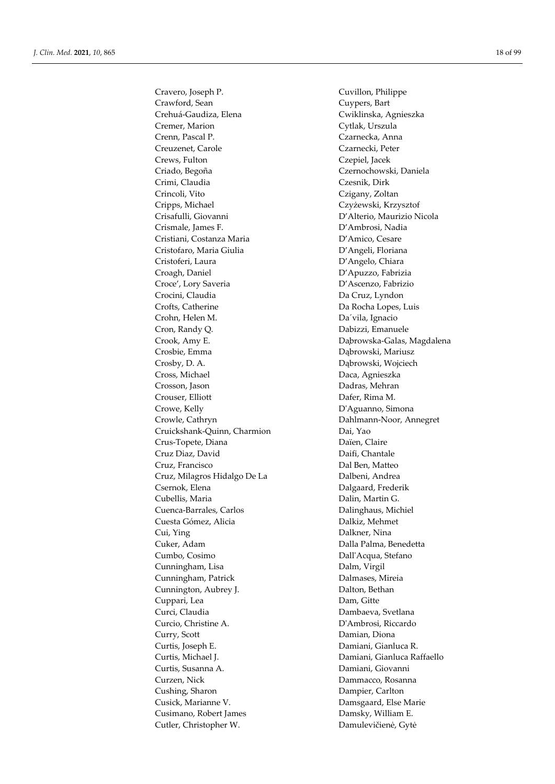Cravero, Joseph P. Cuvillon, Philippe Crawford, Sean Cuypers, Bart Crehuá-Gaudiza, Elena Cwiklinska, Agnieszka Cremer, Marion Cytlak, Urszula Crenn, Pascal P. Czarnecka, Anna Creuzenet, Carole Czarnecki, Peter Crews, Fulton Czepiel, Jacek Criado, Begoña Czernochowski, Daniela Crimi, Claudia Czesnik, Dirk Crincoli, Vito Czigany, Zoltan Cripps, Michael Czyżewski, Krzysztof Crisafulli, Giovanni D'Alterio, Maurizio Nicola Crismale, James F. D'Ambrosi, Nadia Cristiani, Costanza Maria **D'Amico, Cesare** Cristofaro, Maria Giulia D'Angeli, Floriana Cristoferi, Laura D'Angelo, Chiara Croagh, Daniel D'Apuzzo, Fabrizia Croce', Lory Saveria D'Ascenzo, Fabrizio Crocini, Claudia Da Cruz, Lyndon Crofts, Catherine Da Rocha Lopes, Luis Crohn, Helen M. Da´vila, Ignacio Cron, Randy Q. Dabizzi, Emanuele Crook, Amy E. Da̧browska-Galas, Magdalena Crosbie, Emma Dąbrowski, Mariusz Crosby, D. A. Dąbrowski, Wojciech Cross, Michael Daca, Agnieszka Crosson, Jason Dadras, Mehran Crouser, Elliott Dafer, Rima M. Crowe, Kelly D'Aguanno, Simona Crowle, Cathryn **Dahlmann-Noor**, Annegret Cruickshank-Quinn, Charmion Dai, Yao Crus-Topete, Diana Daïen, Claire Cruz Diaz, David Daifi, Chantale Cruz, Francisco Dal Ben, Matteo Cruz, Milagros Hidalgo De La Dalbeni, Andrea Csernok, Elena Dalgaard, Frederik Cubellis, Maria Dalin, Martin G. Cuenca-Barrales, Carlos Dalinghaus, Michiel Cuesta Gómez, Alicia Dalkiz, Mehmet Cui, Ying Dalkner, Nina Cuker, Adam Dalla Palma, Benedetta Cumbo, Cosimo Dall'Acqua, Stefano Cunningham, Lisa Dalm, Virgil Cunningham, Patrick Dalmases, Mireia Cunnington, Aubrey J. Dalton, Bethan Cuppari, Lea Dam, Gitte Curci, Claudia Dambaeva, Svetlana Curcio, Christine A. D'Ambrosi, Riccardo Curry, Scott Damian, Diona Curtis, Joseph E. Damiani, Gianluca R. Curtis, Michael J. Damiani, Gianluca Raffaello Curtis, Susanna A. Damiani, Giovanni Curzen, Nick Dammacco, Rosanna Cushing, Sharon Dampier, Carlton Cusick, Marianne V. Damsgaard, Else Marie Cusimano, Robert James Damsky, William E. Cutler, Christopher W. Damulevičienė, Gytė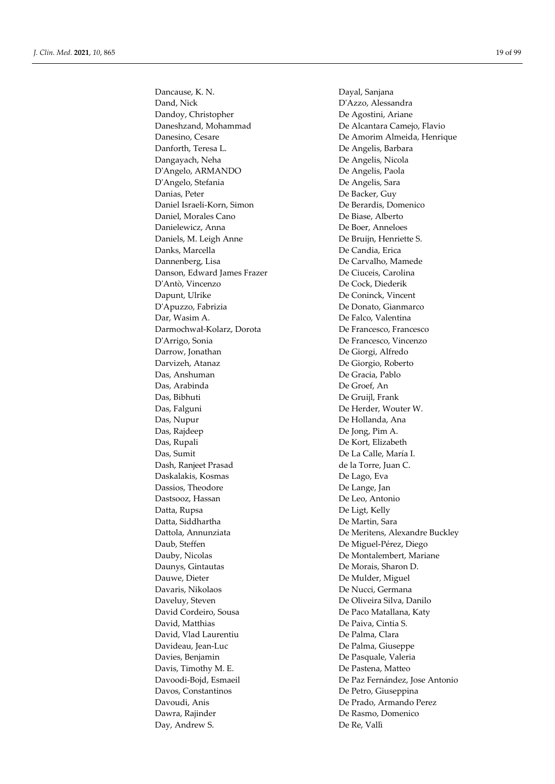Dancause, K. N. Dayal, Sanjana Dand, Nick D'Azzo, Alessandra Dandoy, Christopher De Agostini, Ariane Daneshzand, Mohammad De Alcantara Camejo, Flavio Danforth, Teresa L. De Angelis, Barbara Dangayach, Neha De Angelis, Nicola D'Angelo, ARMANDO De Angelis, Paola D'Angelo, Stefania De Angelis, Sara Danias, Peter De Backer, Guy Daniel Israeli-Korn, Simon De Berardis, Domenico Daniel, Morales Cano De Biase, Alberto Danielewicz, Anna De Boer, Anneloes Daniels, M. Leigh Anne De Bruijn, Henriette S. Danks, Marcella De Candia, Erica Dannenberg, Lisa De Carvalho, Mamede Danson, Edward James Frazer De Ciuceis, Carolina D'Antò, Vincenzo De Cock, Diederik Dapunt, Ulrike De Coninck, Vincent D'Apuzzo, Fabrizia De Donato, Gianmarco Dar, Wasim A. De Falco, Valentina Darmochwał-Kolarz, Dorota De Francesco, Francesco Darrow, Jonathan De Giorgi, Alfredo Darvizeh, Atanaz De Giorgio, Roberto Das, Anshuman De Gracia, Pablo Das, Arabinda De Groef, An Das, Bibhuti De Gruijl, Frank Das, Falguni De Herder, Wouter W. Das, Nupur De Hollanda, Ana Das, Rajdeep De Jong, Pim A. Das, Rupali De Kort, Elizabeth Das, Sumit De La Calle, María I. Dash, Ranjeet Prasad de la Torre, Juan C. Daskalakis, Kosmas De Lago, Eva Dassios, Theodore De Lange, Jan Dastsooz, Hassan De Leo, Antonio Datta, Rupsa De Ligt, Kelly Datta, Siddhartha De Martin, Sara Daub, Steffen De Miguel-Pérez, Diego Dauby, Nicolas De Montalembert, Mariane Daunys, Gintautas De Morais, Sharon D. Dauwe, Dieter **Dieter Executes** De Mulder, Miguel Davaris, Nikolaos De Nucci, Germana Daveluy, Steven De Oliveira Silva, Danilo David Cordeiro, Sousa De Paco Matallana, Katy David, Matthias De Paiva, Cintia S. David, Vlad Laurentiu De Palma, Clara Davideau, Jean-Luc De Palma, Giuseppe Davies, Benjamin De Pasquale, Valeria Davis, Timothy M. E. De Pastena, Matteo Davos, Constantinos De Petro, Giuseppina Davoudi, Anis De Prado, Armando Perez Dawra, Rajinder **De Rasmo**, Domenico Day, Andrew S. De Re, Vallì

Danesino, Cesare De Amorim Almeida, Henrique De Francesco, Vincenzo Dattola, Annunziata De Meritens, Alexandre Buckley Davoodi-Bojd, Esmaeil De Paz Fernández, Jose Antonio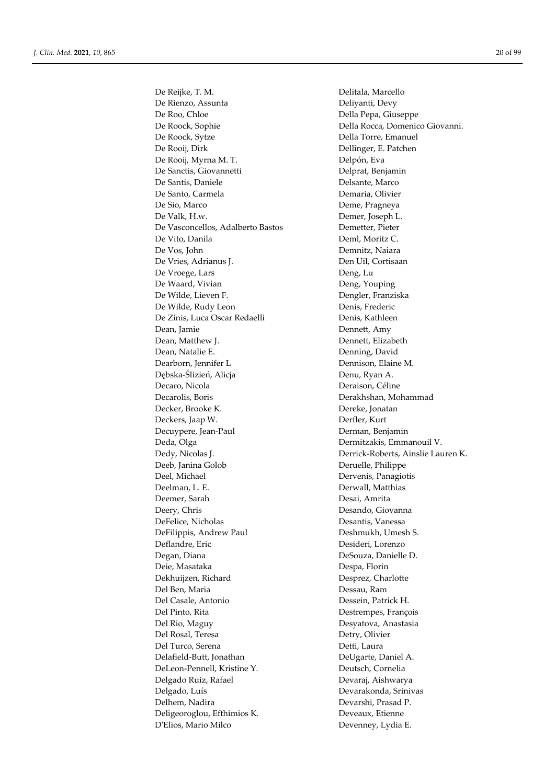De Reijke, T. M. Delitala, Marcello De Rienzo, Assunta Deliyanti, Devy De Roo, Chloe Della Pepa, Giuseppe De Roock, Sophie Della Rocca, Domenico Giovanni. De Roock, Sytze Della Torre, Emanuel De Rooij, Dirk Dellinger, E. Patchen De Rooij, Myrna M. T. Delpón, Eva De Sanctis, Giovannetti Delprat, Benjamin De Santis, Daniele **Delsante**, Marco De Santo, Carmela **Demaria**, Olivier De Sio, Marco **Deme, Pragneya** De Valk, H.w. Demer, Joseph L. De Vasconcellos, Adalberto Bastos Demetter, Pieter De Vito, Danila Deml, Moritz C. De Vos, John Demnitz, Naiara De Vries, Adrianus J. Den Uil, Cortisaan De Vroege, Lars Deng, Lu De Waard, Vivian Deng, Youping De Wilde, Lieven F. Dengler, Franziska De Wilde, Rudy Leon Denis, Frederic De Zinis, Luca Oscar Redaelli Denis, Kathleen Dean, Jamie Dennett, Amy Dean, Matthew J. Dennett, Elizabeth Dean, Natalie E. South and Denning, David Dearborn, Jennifer L Dennison, Elaine M. Dębska-Ślizień, Alicja **Denu, Ryan A.** Decaro, Nicola Deraison, Céline Decarolis, Boris Derakhshan, Mohammad Decker, Brooke K. Dereke, Jonatan Deckers, Jaap W. Derfler, Kurt Decuypere, Jean-Paul Derman, Benjamin Deda, Olga Dermitzakis, Emmanouil V. Dedy, Nicolas J. Derrick-Roberts, Ainslie Lauren K. Deeb, Janina Golob Deruelle, Philippe Deel, Michael Dervenis, Panagiotis Deelman, L. E. Derwall, Matthias Deemer, Sarah Desai, Amrita Deery, Chris Desando, Giovanna DeFelice, Nicholas Desantis, Vanessa DeFilippis, Andrew Paul Deshmukh, Umesh S. Deflandre, Eric Desideri, Lorenzo Degan, Diana DeSouza, Danielle D. Deie, Masataka Despa, Florin Dekhuijzen, Richard Desprez, Charlotte Del Ben, Maria Dessau, Ram Del Casale, Antonio Dessein, Patrick H. Del Pinto, Rita **Destrempes**, François Del Rio, Maguy Desyatova, Anastasia Del Rosal, Teresa Detry, Olivier Del Turco, Serena Detti, Laura Delafield-Butt, Jonathan DeUgarte, Daniel A. DeLeon-Pennell, Kristine Y. Deutsch, Cornelia Delgado Ruiz, Rafael Devaraj, Aishwarya Delgado, Luís Devarakonda, Srinivas Delhem, Nadira Devarshi, Prasad P. Deligeoroglou, Efthimios K. Deveaux, Etienne D'Elios, Mario Milco Devenney, Lydia E.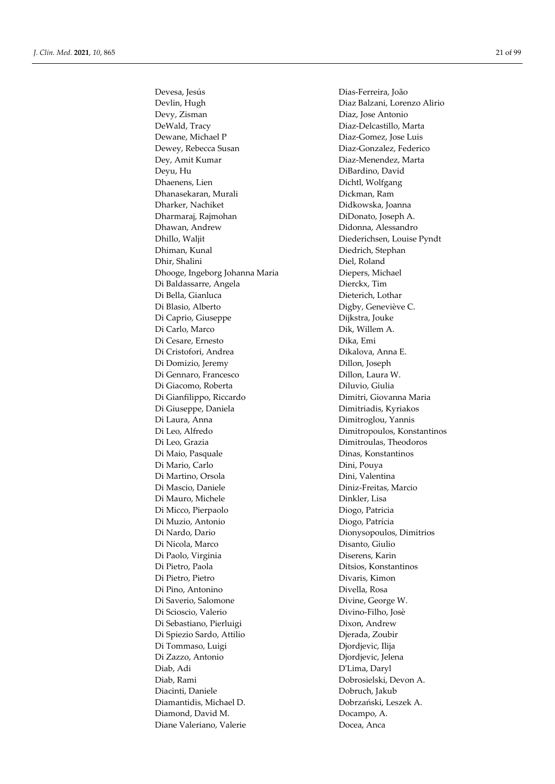Devesa, Jesús Dias-Ferreira, João Devlin, Hugh Diaz Balzani, Lorenzo Alirio Devy, Zisman Diaz, Jose Antonio DeWald, Tracy Diaz-Delcastillo, Marta Dewane, Michael P Diaz-Gomez, Jose Luis Dewey, Rebecca Susan Diaz-Gonzalez, Federico Dey, Amit Kumar Diaz-Menendez, Marta Deyu, Hu DiBardino, David Dhaenens, Lien Dichtl, Wolfgang Dhanasekaran, Murali Dickman, Ram Dharker, Nachiket Didkowska, Joanna Dharmaraj, Rajmohan DiDonato, Joseph A. Dhawan, Andrew Didonna, Alessandro Dhillo, Waljit Diederichsen, Louise Pyndt Dhiman, Kunal Diedrich, Stephan Dhir, Shalini Diel, Roland Dhooge, Ingeborg Johanna Maria Diepers, Michael Di Baldassarre, Angela Dierckx, Tim Di Bella, Gianluca Dieterich, Lothar Di Blasio, Alberto Digby, Geneviève C. Di Caprio, Giuseppe Dijkstra, Jouke Di Carlo, Marco Dik, Willem A. Di Cesare, Ernesto Dika, Emi Di Cristofori, Andrea Dikalova, Anna E. Di Domizio, Jeremy Dillon, Joseph Di Gennaro, Francesco Dillon, Laura W. Di Giacomo, Roberta Diluvio, Giulia Di Gianfilippo, Riccardo Dimitri, Giovanna Maria Di Giuseppe, Daniela Dimitriadis, Kyriakos Di Laura, Anna Dimitroglou, Yannis Di Leo, Alfredo Dimitropoulos, Konstantinos Di Leo, Grazia Dimitroulas, Theodoros Di Maio, Pasquale Dinas, Konstantinos Di Mario, Carlo **Dini, Pouva** Di Martino, Orsola Dini, Valentina Di Mascio, Daniele Diniz-Freitas, Marcio Di Mauro, Michele Dinkler, Lisa Di Micco, Pierpaolo **Diogo, Patricia** Di Muzio, Antonio Diogo, Patrícia Di Nardo, Dario Dionysopoulos, Dimitrios Di Nicola, Marco Disanto, Giulio Di Paolo, Virginia Diserens, Karin Di Pietro, Paola Ditsios, Konstantinos Di Pietro, Pietro Divaris, Kimon Di Pino, Antonino Divella, Rosa Di Saverio, Salomone Divine, George W. Di Scioscio, Valerio Divino-Filho, Josè Di Sebastiano, Pierluigi Dixon, Andrew Di Spiezio Sardo, Attilio Djerada, Zoubir Di Tommaso, Luigi Diordjevic, Ilija Di Zazzo, Antonio Djordjevic, Jelena Diab, Adi D'Lima, Daryl Diab, Rami Dobrosielski, Devon A. Diacinti, Daniele Dobruch, Jakub Diamantidis, Michael D. Dobrzański, Leszek A. Diamond, David M. Docampo, A. Diane Valeriano, Valerie **Docea**, Anca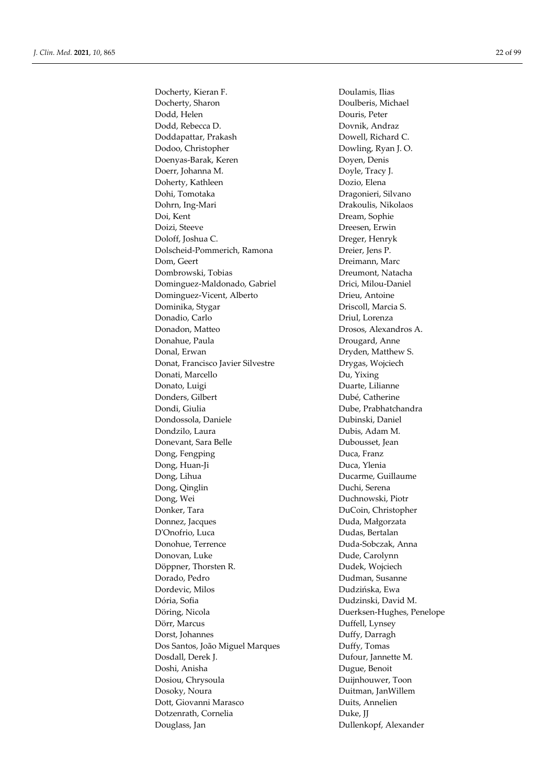Docherty, Kieran F. Doulamis, Ilias Docherty, Sharon Doulberis, Michael Dodd, Helen Douris, Peter Dodd, Rebecca D. Dovnik, Andraz Doddapattar, Prakash Dowell, Richard C. Dodoo, Christopher Dowling, Ryan J. O. Doenyas-Barak, Keren Doyen, Denis Doerr, Johanna M. Doyle, Tracy J. Doherty, Kathleen Dozio, Elena Dohi, Tomotaka Dragonieri, Silvano Dohrn, Ing-Mari Drakoulis, Nikolaos Doi, Kent Dream, Sophie Doizi, Steeve Dreesen, Erwin Doloff, Joshua C. Dreger, Henryk Dolscheid-Pommerich, Ramona Dreier, Jens P. Dom, Geert Dreimann, Marc Dombrowski, Tobias Dreumont, Natacha Dominguez-Maldonado, Gabriel Drici, Milou-Daniel Dominguez-Vicent, Alberto Drieu, Antoine Dominika, Stygar Driscoll, Marcia S. Donadio, Carlo **Driul, Lorenza** Donadon, Matteo Drosos, Alexandros A. Donahue, Paula **Drougard**, Anne Donal, Erwan Dryden, Matthew S. Donat, Francisco Javier Silvestre Drygas, Wojciech Donati, Marcello Du, Yixing Donato, Luigi Duarte, Lilianne Donders, Gilbert Dubé, Catherine Dondi, Giulia **Dube, Prabhatchandra** Dondossola, Daniele Dubinski, Daniel Dondzilo, Laura Dubis, Adam M. Donevant, Sara Belle Dubousset, Jean Dong, Fengping Duca, Franz Dong, Huan-Ji Duca, Ylenia Dong, Lihua Ducarme, Guillaume Dong, Qinglin Duchi, Serena Dong, Wei Duchnowski, Piotr Donker, Tara DuCoin, Christopher Donnez, Jacques Duda, Małgorzata D'Onofrio, Luca Dudas, Bertalan Donohue, Terrence Duda-Sobczak, Anna Donovan, Luke Dude, Carolynn Döppner, Thorsten R. Dudek, Wojciech Dorado, Pedro **Dudman, Susanne** Dordevic, Milos Dudzińska, Ewa Dória, Sofia Dudzinski, David M. Döring, Nicola Duerksen-Hughes, Penelope Dörr, Marcus Duffell, Lynsey Dorst, Johannes Duffy, Darragh Dos Santos, João Miguel Marques Duffy, Tomas Dosdall, Derek J. Dufour, Jannette M. Doshi, Anisha Dugue, Benoit Dosiou, Chrysoula Duijnhouwer, Toon Dosoky, Noura Duitman, JanWillem Dott, Giovanni Marasco Duits, Annelien Dotzenrath, Cornelia Duke, JJ Douglass, Jan Dullenkopf, Alexander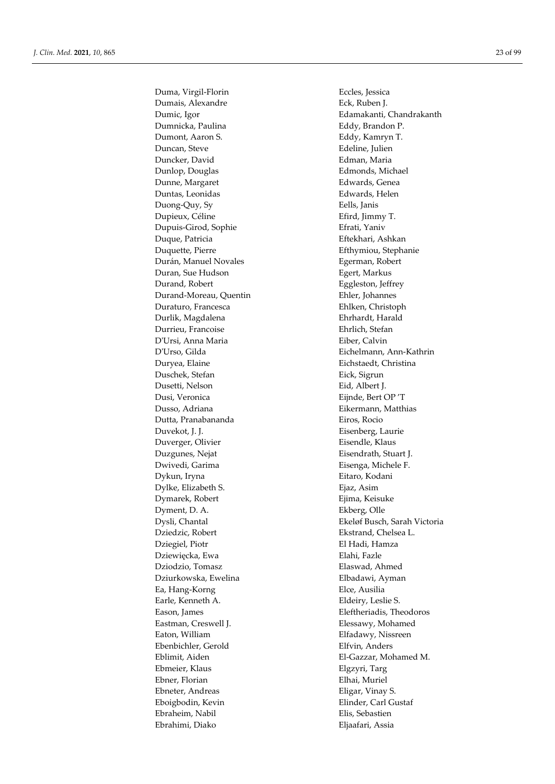Duma, Virgil-Florin Eccles, Jessica Dumais, Alexandre Eck, Ruben J. Dumnicka, Paulina Eddy, Brandon P. Dumont, Aaron S. Eddy, Kamryn T. Duncan, Steve Edeline, Julien Duncker, David Edman, Maria Dunlop, Douglas Edmonds, Michael Dunne, Margaret **Edwards**, Genea Duntas, Leonidas Edwards, Helen Duong-Quy, Sy Eells, Janis Dupieux, Céline **Efird**, Jimmy T. Dupuis-Girod, Sophie Efrati, Yaniv Duque, Patricia Eftekhari, Ashkan Duquette, Pierre Efthymiou, Stephanie Durán, Manuel Novales Egerman, Robert Duran, Sue Hudson Egert, Markus Durand, Robert Eggleston, Jeffrey Durand-Moreau, Quentin Ehler, Johannes Duraturo, Francesca Ehlken, Christoph Durlik, Magdalena Ehrhardt, Harald Durrieu, Francoise Ehrlich, Stefan D'Ursi, Anna Maria Eiber, Calvin Duryea, Elaine **Eichstaedt**, Christina Duschek, Stefan Eick, Sigrun Dusetti, Nelson Eid, Albert J. Dusi, Veronica Eijnde, Bert OP 'T Dusso, Adriana Eikermann, Matthias Dutta, Pranabananda Eiros, Rocio Duvekot, J. J. Eisenberg, Laurie Duverger, Olivier **Eisendle**, Klaus Duzgunes, Nejat **Eisendrath, Stuart J.** Dwivedi, Garima Eisenga, Michele F. Dykun, Iryna Eitaro, Kodani Dylke, Elizabeth S. Ejaz, Asim Dymarek, Robert **E**jima, Keisuke Dyment, D. A. Ekberg, Olle Dziedzic, Robert Ekstrand, Chelsea L. Dziegiel, Piotr **El Hadi, Hamza** Dziewięcka, Ewa **Elahi, Fazle** Dziodzio, Tomasz Elaswad, Ahmed Dziurkowska, Ewelina **Elbadawi, Ayman** Ea, Hang-Korng Elce, Ausilia Earle, Kenneth A. Eldeiry, Leslie S. Eason, James **Eleftheriadis**, Theodoros Eastman, Creswell J. **Elessawy, Mohamed** Eaton, William Elfadawy, Nissreen Ebenbichler, Gerold Elfvin, Anders Eblimit, Aiden El-Gazzar, Mohamed M. Ebmeier, Klaus Elgzyri, Targ Ebner, Florian Elhai, Muriel Ebneter, Andreas Eligar, Vinay S. Eboigbodin, Kevin **Elinder**, Carl Gustaf Ebraheim, Nabil Elis, Sebastien Ebrahimi, Diako Eljaafari, Assia

Dumic, Igor Edamakanti, Chandrakanth D'Urso, Gilda Eichelmann, Ann-Kathrin Dysli, Chantal Ekeløf Busch, Sarah Victoria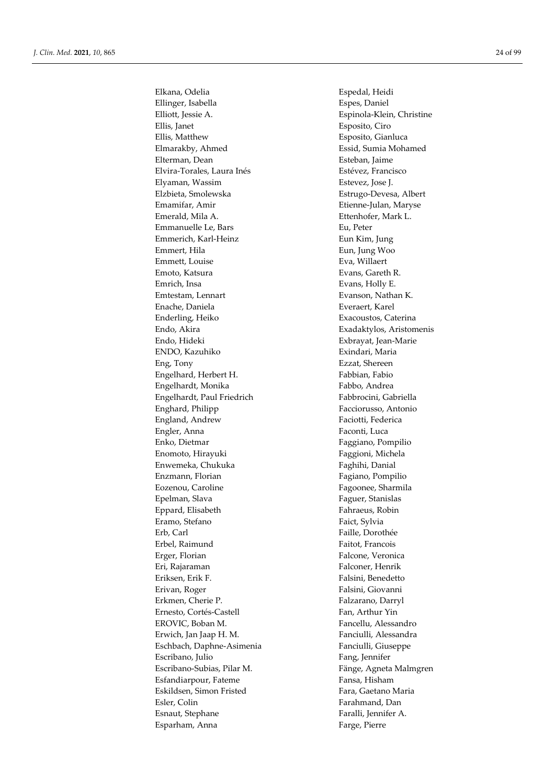Elkana, Odelia **Espedal**, Heidi Ellinger, Isabella Espes, Daniel Elliott, Jessie A. Espinola-Klein, Christine Ellis, Janet Esposito, Ciro Ellis, Matthew Esposito, Gianluca Elmarakby, Ahmed Essid, Sumia Mohamed Elterman, Dean Esteban, Jaime Elvira-Torales, Laura Inés<br>
Estévez, Francisco Elyaman, Wassim Estevez, Jose J. Elzbieta, Smolewska Estrugo-Devesa, Albert Emamifar, Amir **Etienne-Julan, Maryse** Emerald, Mila A. Ettenhofer, Mark L. Emmanuelle Le, Bars Fu, Peter Emmerich, Karl-Heinz **Eun Kim, Jung** Emmert, Hila Eun, Jung Woo Emmett, Louise **Example 1998** Eva, Willaert Emoto, Katsura **Evans, Gareth R.** Emrich, Insa Evans, Holly E. Emtestam, Lennart **Evanson**, Nathan K. Enache, Daniela Everaert, Karel Enderling, Heiko **Exacoustos**, Caterina Endo, Akira Exadaktylos, Aristomenis Endo, Hideki Exbrayat, Jean-Marie ENDO, Kazuhiko Exindari, Maria Eng, Tony Ezzat, Shereen Engelhard, Herbert H. Fabbian, Fabio Engelhardt, Monika Fabbo, Andrea Engelhardt, Paul Friedrich Fabbrocini, Gabriella Enghard, Philipp Facciorusso, Antonio England, Andrew Faciotti, Federica Engler, Anna Faconti, Luca Enko, Dietmar Faggiano, Pompilio Enomoto, Hirayuki Faggioni, Michela Enwemeka, Chukuka Faghihi, Danial Enzmann, Florian Fagiano, Pompilio Eozenou, Caroline **Fagoonee**, Sharmila Epelman, Slava Faguer, Stanislas Eppard, Elisabeth Fahraeus, Robin Eramo, Stefano **Faict**, Sylvia Erb, Carl Faille, Dorothée Erbel, Raimund Faitot, Francois Erger, Florian Falcone, Veronica Eri, Rajaraman Falconer, Henrik Eriksen, Erik F. **Falsini**, Benedetto Erivan, Roger Falsini, Giovanni Erkmen, Cherie P. **Falzarano**, Darryl Ernesto, Cortés-Castell Fan, Arthur Yin EROVIC, Boban M. Fancellu, Alessandro Erwich, Jan Jaap H. M. **Fanciulli**, Alessandra Eschbach, Daphne-Asimenia Fanciulli, Giuseppe Escribano, Julio Fang, Jennifer Escribano-Subias, Pilar M. Fänge, Agneta Malmgren Esfandiarpour, Fateme Fansa, Hisham Eskildsen, Simon Fristed Fara, Gaetano Maria Esler, Colin Farahmand, Dan Esnaut, Stephane Faralli, Jennifer A. Esparham, Anna **Farge**, Pierre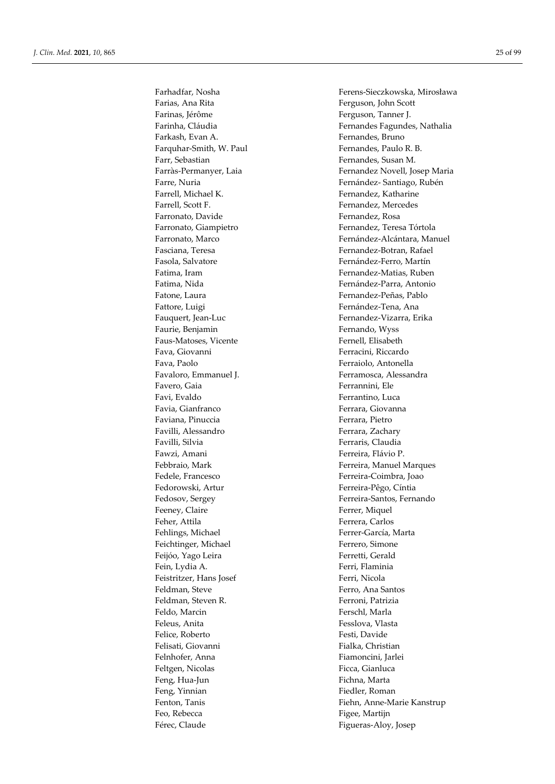Farinas, Jérôme **Ferguson**, Tanner J. Farkash, Evan A. Fernandes, Bruno Farquhar-Smith, W. Paul Fernandes, Paulo R. B. Farr, Sebastian Fernandes, Susan M. Farrell, Michael K. Fernandez, Katharine Farrell, Scott F. The Fernandez, Mercedes Farronato, Davide Fernandez, Rosa Fasola, Salvatore **Fasola**, Salvatore **Fernández-Ferro, Martín** Fatone, Laura Fernandez-Peñas, Pablo Fattore, Luigi Fattore, Luigi Fernández-Tena, Ana Fauquert, Jean-Luc Fernandez-Vizarra, Erika Faurie, Benjamin Fernando, Wyss Faus-Matoses, Vicente Fernell, Elisabeth Fava, Giovanni Ferracini, Riccardo Fava, Paolo Ferraiolo, Antonella Favaloro, Emmanuel J. Ferramosca, Alessandra Favero, Gaia Ferrannini, Ele Favi, Evaldo Ferrantino, Luca Favia, Gianfranco **Ferrara**, Giovanna Faviana, Pinuccia **Ferrara**, Pietro Favilli, Alessandro Ferrara, Zachary Favilli, Silvia **Ferraris**, Claudia Fawzi, Amani Ferreira, Flávio P. Fedele, Francesco **Fedele**, Francesco **Ferreira-Coimbra**, Joao Fedorowski, Artur Ferreira-Pêgo, Cíntia Feeney, Claire Ferrer, Miquel Feher, Attila Ferrera, Carlos Fehlings, Michael Ferrer-García, Marta Feichtinger, Michael Ferrero, Simone Feijóo, Yago Leira Ferretti, Gerald Fein, Lydia A. Ferri, Flaminia Feistritzer, Hans Josef Ferri, Nicola Feldman, Steve Ferro, Ana Santos Feldman, Steven R. Ferroni, Patrizia Feldo, Marcin Ferschl, Marla Feleus, Anita Fesslova, Vlasta Felice, Roberto Festi, Davide Felisati, Giovanni Fialka, Christian Felnhofer, Anna Fiamoncini, Jarlei Feltgen, Nicolas Ficca, Gianluca Feng, Hua-Jun Fichna, Marta Feng, Yinnian Fiedler, Roman Feo, Rebecca Figee, Martijn Férec, Claude Férec, Claude Figueras-Aloy, Josep

Farhadfar, Nosha Ferens-Sieczkowska, Mirosława Ferguson, John Scott Farinha, Cláudia **Fernandes Fagundes, Nathalia** Fernandes Fagundes, Nathalia Farràs-Permanyer, Laia Fernandez Novell, Josep Maria Farre, Nuria **Farre, Nuria Establaceae** Fernández- Santiago, Rubén Farronato, Giampietro Fernandez, Teresa Tórtola Farronato, Marco Fernández-Alcántara, Manuel Fasciana, Teresa Fernandez-Botran, Rafael Fatima, Iram Fernandez-Matias, Ruben Fatima, Nida **Fatima**, Antonio Febbraio, Mark Ferreira, Manuel Marques Fedosov, Sergey Ferreira-Santos, Fernando Fenton, Tanis Fenton, Tanis Fiehn, Anne-Marie Kanstrup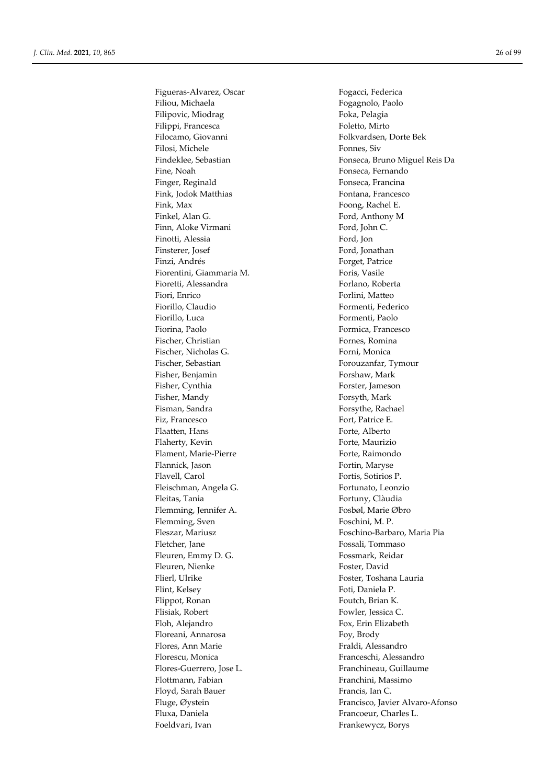Filiou, Michaela **Filiou**, Michaela Filipovic, Miodrag Foka, Pelagia Filippi, Francesca Foletto, Mirto Filocamo, Giovanni Folkvardsen, Dorte Bek Filosi, Michele Fonnes, Siv Fine, Noah Fonseca, Fernando Finger, Reginald Fonseca, Francina Fink, Jodok Matthias Fontana, Francesco Fink, Max Foong, Rachel E. Finkel, Alan G. The Contract of the Ford, Anthony M Finn, Aloke Virmani Ford, John C. Finotti, Alessia Ford, Jon Finsterer, Josef Ford, Jonathan Finzi, Andrés Forget, Patrice Fiorentini, Giammaria M. Foris, Vasile Fioretti, Alessandra **Forlano**, Roberta Fiori, Enrico Forlini, Matteo Fiorillo, Claudio **Formenti**, Federico Fiorillo, Luca Formenti, Paolo Fiorina, Paolo **Francesco** Formica, Francesco Fischer, Christian Fornes, Romina Fischer, Nicholas G. Forni, Monica Fischer, Sebastian Forouzanfar, Tymour Fisher, Benjamin Forshaw, Mark Fisher, Cynthia Forster, Jameson Fisher, Mandy Forsyth, Mark Fisman, Sandra Forsythe, Rachael Fiz, Francesco Fort, Patrice E. Flaatten, Hans Forte, Alberto Flaherty, Kevin Forte, Maurizio Flament, Marie-Pierre Forte, Raimondo Flannick, Jason Fortin, Maryse Flavell, Carol **Fortis**, Sotirios P. Fleischman, Angela G. Fortunato, Leonzio Fleitas, Tania **Fortuny**, Clàudia Flemming, Jennifer A. Fosbøl, Marie Øbro Flemming, Sven Foschini, M. P. Fletcher, Jane **Fossali**, Tommaso Fleuren, Emmy D. G. Fossmark, Reidar Fleuren, Nienke Foster, David Flierl, Ulrike Foster, Toshana Lauria Flint, Kelsey Foti, Daniela P. Flippot, Ronan Foutch, Brian K. Flisiak, Robert Fowler, Jessica C. Floh, Alejandro Fox, Erin Elizabeth Floreani, Annarosa Foy, Brody Flores, Ann Marie **Frances** Fraldi, Alessandro Florescu, Monica Franceschi, Alessandro Flores-Guerrero, Jose L. Franchineau, Guillaume Flottmann, Fabian Franchini, Massimo Floyd, Sarah Bauer Francis, Ian C. Fluxa, Daniela **Francoeur**, Charles L. Foeldvari, Ivan Frankewycz, Borys

Figueras-Alvarez, Oscar Fogacci, Federica Findeklee, Sebastian Fonseca, Bruno Miguel Reis Da Fleszar, Mariusz Foschino-Barbaro, Maria Pia Fluge, Øystein Francisco, Javier Alvaro-Afonso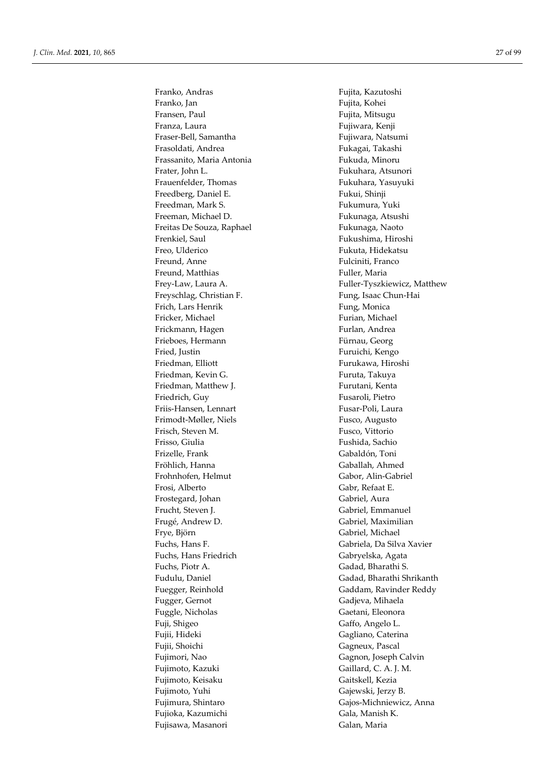Franko, Andras Fujita, Kazutoshi Franko, Jan Fujita, Kohei Fransen, Paul Fransen, Paul Fujita, Mitsugu Franza, Laura **Franza, Kenji** Fraser-Bell, Samantha Fujiwara, Natsumi Frasoldati, Andrea **Frasoldati, Andrea** Fukagai, Takashi Frassanito, Maria Antonia Fukuda, Minoru Frater, John L. Fukuhara, Atsunori Frauenfelder, Thomas Fukuhara, Yasuyuki Freedberg, Daniel E. Fukui, Shinji Freedman, Mark S. The Controller School and Tukumura, Yuki Freeman, Michael D. **Fukunaga**, Atsushi Freitas De Souza, Raphael Freitas De Souza, Raphael Frenkiel, Saul Fukushima, Hiroshi Freo, Ulderico **Fukuta**, Hidekatsu Freund, Anne Fulciniti, Franco Freund, Matthias Fuller, Maria Freyschlag, Christian F. Fung, Isaac Chun-Hai Frich, Lars Henrik Fung, Monica Fricker, Michael Furian, Michael Frickmann, Hagen Furlan, Andrea Frieboes, Hermann Fürnau, Georg Fried, Justin Furuichi, Kengo Friedman, Elliott **Furukawa**, Hiroshi Friedman, Kevin G. The Contract of Turuta, Takuya Friedman, Matthew J. **Furutani**, Kenta Friedrich, Guy Fusaroli, Pietro Friis-Hansen, Lennart Fusar-Poli, Laura Frimodt-Møller, Niels Fusco, Augusto Frisch, Steven M. Fusco, Vittorio Frisso, Giulia Fushida, Sachio Frizelle, Frank Gabaldón, Toni Fröhlich, Hanna Gaballah, Ahmed Frohnhofen, Helmut Gabor, Alin-Gabriel Frosi, Alberto Gabr, Refaat E. Frostegard, Johan Gabriel, Aura Frucht, Steven J. **Gabriel**, Emmanuel Frugé, Andrew D. Gabriel, Maximilian Frye, Björn Gabriel, Michael Fuchs, Hans Friedrich Gabryelska, Agata Fuchs, Piotr A. Gadad, Bharathi S. Fugger, Gernot Gadjeva, Mihaela Fuggle, Nicholas Gaetani, Eleonora Fuji, Shigeo Gaffo, Angelo L. Fujii, Hideki Gagliano, Caterina Fujii, Shoichi Gagneux, Pascal Fujimori, Nao Gagnon, Joseph Calvin Fujimoto, Kazuki Gaillard, C. A. J. M. Fujimoto, Keisaku Gaitskell, Kezia Fujimoto, Yuhi Gajewski, Jerzy B. Fujioka, Kazumichi Gala, Manish K. Fujisawa, Masanori Galan, Maria

Frey-Law, Laura A. The South Controller-Tyszkiewicz, Matthew Fuchs, Hans F. Gabriela, Da Silva Xavier Fudulu, Daniel Gadad, Bharathi Shrikanth Fuegger, Reinhold Gaddam, Ravinder Reddy Fujimura, Shintaro Gajos-Michniewicz, Anna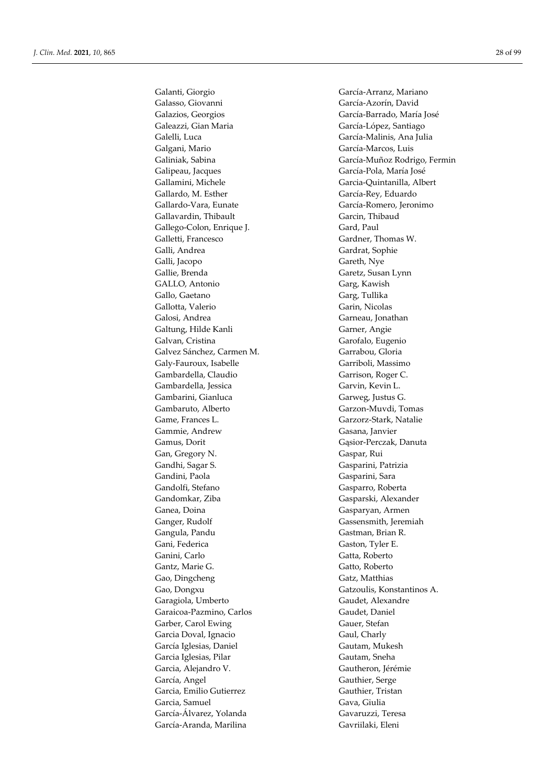Galanti, Giorgio García-Arranz, Mariano Galasso, Giovanni García-Azorín, David Galazios, Georgios García-Barrado, María José Galeazzi, Gian Maria García-López, Santiago Galelli, Luca García-Malinis, Ana Julia Galgani, Mario García-Marcos, Luis Galipeau, Jacques García-Pola, María José Gallamini, Michele Garcia-Quintanilla, Albert Gallardo, M. Esther García-Rey, Eduardo Gallardo-Vara, Eunate García-Romero, Jeronimo Gallavardin, Thibault Garcin, Thibaud Gallego-Colon, Enrique J. Gard, Paul Galletti, Francesco Gardner, Thomas W. Galli, Andrea Gardrat, Sophie Galli, Jacopo Gareth, Nye<br>Gallie. Brenda Garetz, Susa GALLO, Antonio Garg, Kawish Gallo, Gaetano Garg, Tullika Gallotta, Valerio Garin, Nicolas Galosi, Andrea Garneau, Jonathan Galtung, Hilde Kanli Garner, Angie Galvan, Cristina Garofalo, Eugenio Galvez Sánchez, Carmen M. Garrabou, Gloria Galy-Fauroux, Isabelle Garriboli, Massimo Gambardella, Claudio Garrison, Roger C. Gambardella, Jessica Garvin, Kevin L. Gambarini, Gianluca Garweg, Justus G. Gambaruto, Alberto Garzon-Muvdi, Tomas Game, Frances L. Garzorz-Stark, Natalie Gammie, Andrew Gasana, Janvier Gamus, Dorit Gąsior-Perczak, Danuta Gan, Gregory N. Gaspar, Rui Gandhi, Sagar S. Gasparini, Patrizia Gandini, Paola Gasparini, Sara Gandolfi, Stefano Gasparro, Roberta Gandomkar, Ziba Gasparski, Alexander Ganea, Doina Gasparyan, Armen Ganger, Rudolf Gassensmith, Jeremiah Gangula, Pandu Gastman, Brian R. Gani, Federica Gaston, Tyler E. Ganini, Carlo Gatta, Roberto Gantz, Marie G. Gatto, Roberto Gao, Dingcheng Gatz, Matthias Gao, Dongxu Gatzoulis, Konstantinos A. Garagiola, Umberto Gaudet, Alexandre Garaicoa-Pazmino, Carlos Gaudet, Daniel Garber, Carol Ewing Gauer, Stefan Garcia Doval, Ignacio Gaul, Charly García Iglesias, Daniel Gautam, Mukesh Garcia Iglesias, Pilar Gautam, Sneha Garcia, Alejandro V. Gautheron, Jérémie García, Angel Gauthier, Serge Garcia, Emilio Gutierrez Gauthier, Tristan Garcia, Samuel Gava, Giulia García-Álvarez, Yolanda Gavaruzzi, Teresa

Galiniak, Sabina García-Muñoz Rodrigo, Fermin Garetz, Susan Lynn García-Aranda, Marilina Gavriilaki, Eleni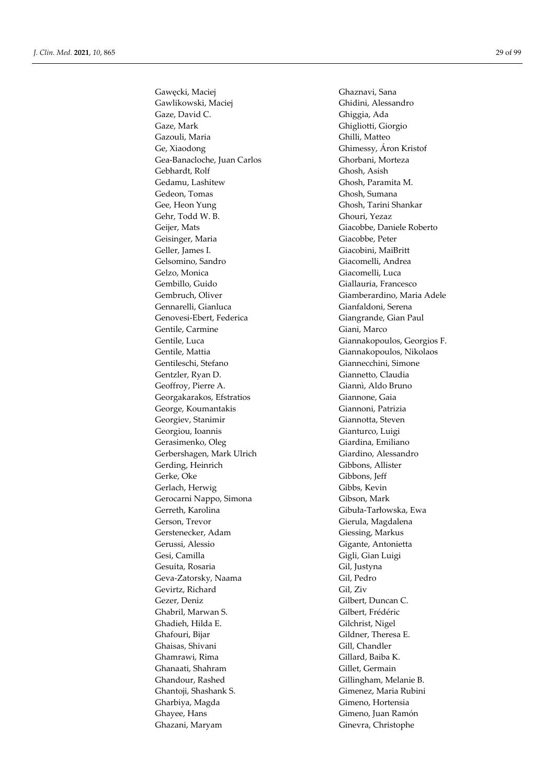Gawęcki, Maciej Ghaznavi, Sana Gawlikowski, Maciej Ghidini, Alessandro Gaze, David C. **Ghiggia**, Ada Gaze, Mark Ghigliotti, Giorgio Gazouli, Maria Ghilli, Matteo Ge, Xiaodong Ghimessy, Áron Kristof Gea-Banacloche, Juan Carlos Ghorbani, Morteza Gebhardt, Rolf Ghosh, Asish Gedamu, Lashitew Ghosh, Paramita M. Gedeon, Tomas Ghosh, Sumana Gee, Heon Yung Ghosh, Tarini Shankar Gehr, Todd W. B. Ghouri, Yezaz Geijer, Mats Giacobbe, Daniele Roberto Geisinger, Maria Giacobbe, Peter Geller, James I. Giacobini, MaiBritt Gelsomino, Sandro Giacomelli, Andrea Gelzo, Monica Giacomelli, Luca Gembillo, Guido Giallauria, Francesco Gembruch, Oliver Giamberardino, Maria Adele Gennarelli, Gianluca Gianfaldoni, Serena Genovesi-Ebert, Federica Giangrande, Gian Paul Gentile, Carmine Giani, Marco Gentile, Luca Giannakopoulos, Georgios F. Gentile, Mattia Giannakopoulos, Nikolaos Gentileschi, Stefano Giannecchini, Simone Gentzler, Ryan D. Giannetto, Claudia Geoffroy, Pierre A. Giannì, Aldo Bruno Georgakarakos, Efstratios Giannone, Gaia George, Koumantakis Giannoni, Patrizia Georgiev, Stanimir Giannotta, Steven Georgiou, Ioannis **Gianturco**, Luigi Gerasimenko, Oleg Giardina, Emiliano Gerbershagen, Mark Ulrich Giardino, Alessandro Gerding, Heinrich Gibbons, Allister Gerke, Oke Gibbons, Jeff Gerlach, Herwig Gibbs, Kevin Gerocarni Nappo, Simona Gibson, Mark Gerreth, Karolina Gibuła-Tarłowska, Ewa Gerson, Trevor Gierula, Magdalena Gerstenecker, Adam Giessing, Markus Gerussi, Alessio Gigante, Antonietta Gesi, Camilla Gigli, Gian Luigi Gesuita, Rosaria Gil, Justyna Geva-Zatorsky, Naama Gil, Pedro Gevirtz, Richard Gil, Ziv Gezer, Deniz Gilbert, Duncan C. Ghabril, Marwan S. Gilbert, Frédéric Ghadieh, Hilda E. Gilchrist, Nigel Ghafouri, Bijar Gildner, Theresa E. Ghaisas, Shivani Gill, Chandler Ghamrawi, Rima Gillard, Baiba K. Ghanaati, Shahram Gillet, Germain Ghandour, Rashed Gillingham, Melanie B. Ghantoji, Shashank S. Gimenez, Maria Rubini Gharbiya, Magda Gimeno, Hortensia Ghayee, Hans Gimeno, Juan Ramón Ghazani, Maryam Ginevra, Christophe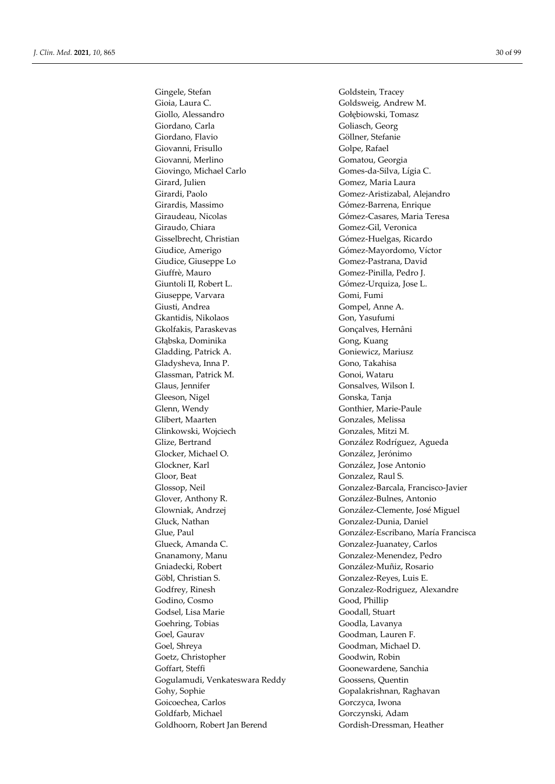Gingele, Stefan Goldstein, Tracey Gioia, Laura C. Goldsweig, Andrew M. Giollo, Alessandro Gołębiowski, Tomasz Giordano, Carla Goliasch, Georg Giordano, Flavio Göllner, Stefanie Giovanni, Frisullo Golpe, Rafael Giovanni, Merlino Gomatou, Georgia Giovingo, Michael Carlo Gomes-da-Silva, Lígia C. Girard, Julien Gomez, Maria Laura Girardi, Paolo Gomez-Aristizabal, Alejandro Girardis, Massimo Gómez-Barrena, Enrique Giraudeau, Nicolas Gómez-Casares, Maria Teresa Giraudo, Chiara Gomez-Gil, Veronica Gisselbrecht, Christian Gómez-Huelgas, Ricardo Giudice, Amerigo Gómez-Mayordomo, Víctor Giudice, Giuseppe Lo Gomez-Pastrana, David Giuffrè, Mauro Gomez-Pinilla, Pedro J. Giuntoli II, Robert L. Gómez-Urquiza, Jose L. Giuseppe, Varvara Gomi, Fumi Giusti, Andrea Gompel, Anne A. Gkantidis, Nikolaos Gon, Yasufumi Gkolfakis, Paraskevas Gonçalves, Hernâni Głąbska, Dominika Gong, Kuang Gladding, Patrick A. Goniewicz, Mariusz Gladysheva, Inna P. (Gono, Takahisa Glassman, Patrick M. Gonoi, Wataru Glaus, Jennifer Gonsalves, Wilson I. Gleeson, Nigel Gonska, Tanja Glenn, Wendy Gonthier, Marie-Paule Glibert, Maarten Gonzales, Melissa Glinkowski, Wojciech Gonzales, Mitzi M. Glize, Bertrand González Rodríguez, Agueda Glocker, Michael O. González, Jerónimo Glockner, Karl González, Jose Antonio Gloor, Beat Gonzalez, Raul S. Glover, Anthony R. González-Bulnes, Antonio Glowniak, Andrzej González-Clemente, José Miguel Gluck, Nathan Gonzalez-Dunia, Daniel Glueck, Amanda C. Gonzalez-Juanatey, Carlos Gnanamony, Manu Gonzalez-Menendez, Pedro Gniadecki, Robert González-Muñiz, Rosario Göbl, Christian S. Gonzalez-Reyes, Luis E. Godfrey, Rinesh Gonzalez-Rodriguez, Alexandre Godino, Cosmo Good, Phillip Godsel, Lisa Marie Goodall, Stuart Goehring, Tobias Goodla, Lavanya Goel, Gaurav Goodman, Lauren F. Goel, Shreya Goodman, Michael D.<br>
Goodwin. Robin<br>
Goodwin. Robin Goetz, Christopher Goffart, Steffi Goonewardene, Sanchia Gogulamudi, Venkateswara Reddy Goossens, Quentin Gohy, Sophie Gopalakrishnan, Raghavan Goicoechea, Carlos Gorczyca, Iwona Goldfarb, Michael Gorczynski, Adam Goldhoorn, Robert Jan Berend Gordish-Dressman, Heather

Glossop, Neil Gonzalez-Barcala, Francisco-Javier Glue, Paul González-Escribano, María Francisca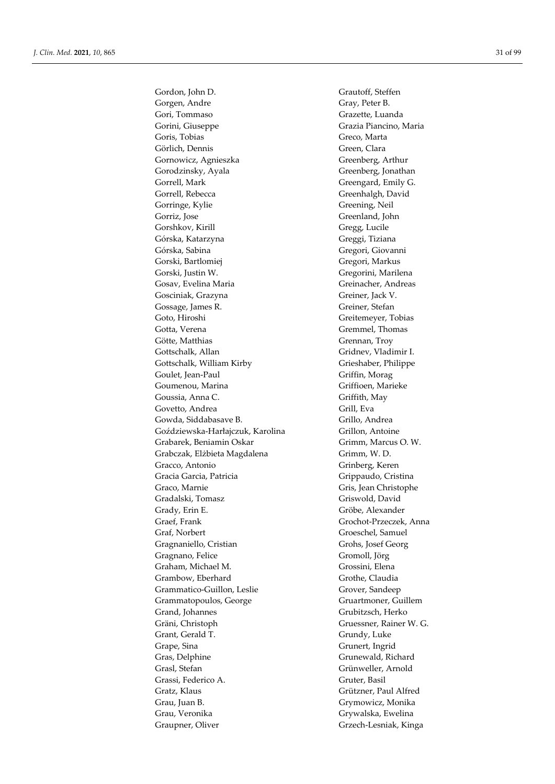Gordon, John D. Grautoff, Steffen Gorgen, Andre Gray, Peter B. Gori, Tommaso Grazette, Luanda Gorini, Giuseppe Grazia Piancino, Maria Goris, Tobias Greco, Marta Görlich, Dennis Green, Clara Gornowicz, Agnieszka Greenberg, Arthur Gorodzinsky, Ayala Greenberg, Jonathan Gorrell, Mark Greengard, Emily G. Gorrell, Rebecca Greenhalgh, David Gorringe, Kylie Greening, Neil Gorriz, Jose Greenland, John Gorshkov, Kirill Gregg, Lucile Górska, Katarzyna Greggi, Tiziana Górska, Sabina Gregori, Giovanni Gorski, Bartlomiej Gregori, Markus Gorski, Justin W. Gregorini, Marilena Gosav, Evelina Maria **Greinacher**, Andreas Gosciniak, Grazyna Greiner, Jack V. Gossage, James R. Greiner, Stefan Goto, Hiroshi Greitemeyer, Tobias Gotta, Verena Gremmel, Thomas Götte, Matthias Grennan, Troy Gottschalk, Allan Gridnev, Vladimir I. Gottschalk, William Kirby Grieshaber, Philippe Goulet, Jean-Paul Griffin, Morag Goumenou, Marina Griffioen, Marieke Goussia, Anna C. Griffith, May Govetto, Andrea Grill, Eva Gowda, Siddabasave B. Grillo, Andrea Goździewska-Harłajczuk, Karolina Grillon, Antoine Grabarek, Beniamin Oskar Grimm, Marcus O. W. Grabczak, Elżbieta Magdalena Grimm, W. D. Gracco, Antonio Grinberg, Keren Gracia Garcia, Patricia Graecia Grippaudo, Cristina Graco, Marnie Graco, Marnie Graco, Marnie Graco, Marnie Graco, Graco, Marnie Graco, Graco, Graco, Graco, Graco Gradalski, Tomasz Griswold, David Grady, Erin E. Gröbe, Alexander Graef, Frank Grochot-Przeczek, Anna Graf, Norbert Groeschel, Samuel Gragnaniello, Cristian Grohs, Josef Georg Gragnano, Felice Gromoll, Jörg Graham, Michael M. Grossini, Elena Grambow, Eberhard Grothe, Claudia Grammatico-Guillon, Leslie Grover, Sandeep Grammatopoulos, George Gruartmoner, Guillem Grand, Johannes Grubitzsch, Herko Gräni, Christoph Gruessner, Rainer W. G. Grant, Gerald T. Grundy, Luke Grape, Sina Grunert, Ingrid Gras, Delphine Gras, Orthographic Gras, Orthographic Gras, Grunewald, Richard Grasl, Stefan Grünweller, Arnold Grassi, Federico A. Gruter, Basil Gratz, Klaus Grützner, Paul Alfred Grau, Juan B. Grymowicz, Monika Grau, Veronika Grywalska, Ewelina Graupner, Oliver Graupner, Oliver Graupner, Oliver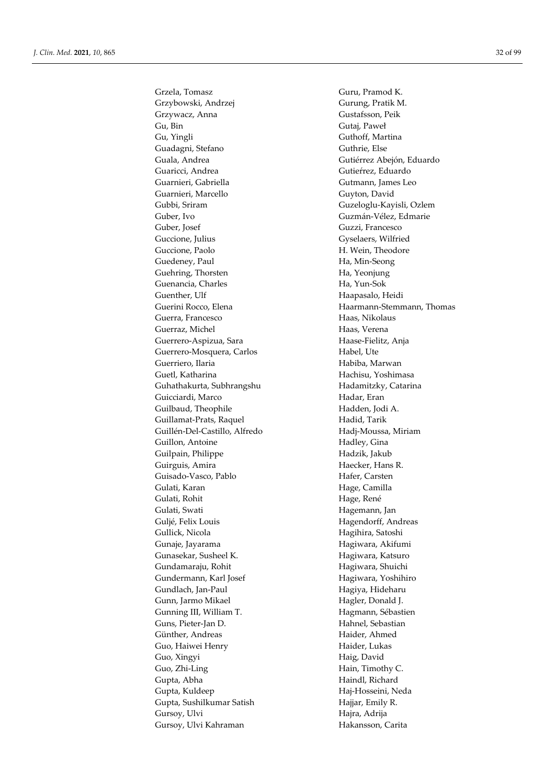Grzela, Tomasz Guru, Pramod K. Grzybowski, Andrzej Gurung, Pratik M. Grzywacz, Anna Gustafsson, Peik Gu, Bin Gutaj, Paweł Gu, Yingli Guthoff, Martina Guadagni, Stefano Guthrie, Else Guala, Andrea Gutiérrez Abejón, Eduardo Guaricci, Andrea Gutieŕrez, Eduardo Guarnieri, Gabriella Gutmann, James Leo Guarnieri, Marcello Guyton, David Gubbi, Sriram Guzeloglu-Kayisli, Ozlem Guber, Ivo Guzmán-Vélez, Edmarie Guber, Josef Guzzi, Francesco Guccione, Julius Gyselaers, Wilfried Guccione, Paolo **H. Wein, Theodore** Guedeney, Paul Ha, Min-Seong Guehring, Thorsten Ha, Yeonjung Guenancia, Charles Ha, Yun-Sok Guenther, Ulf Haapasalo, Heidi Guerini Rocco, Elena **Haarmann-Stemmann**, Thomas Guerra, Francesco Haas, Nikolaus Guerraz, Michel **Haas**, Verena Guerrero-Aspizua, Sara Haase-Fielitz, Anja Guerrero-Mosquera, Carlos Habel, Ute Guerriero, Ilaria **Habiba, Marwan** Guetl, Katharina Hachisu, Yoshimasa Guhathakurta, Subhrangshu Hadamitzky, Catarina Guicciardi, Marco Hadar, Eran Guilbaud, Theophile Hadden, Jodi A. Guillamat-Prats, Raquel Hadid, Tarik Guillén-Del-Castillo, Alfredo Hadj-Moussa, Miriam Guillon, Antoine Hadley, Gina Guilpain, Philippe Hadzik, Jakub Guirguis, Amira Haecker, Hans R. Guisado-Vasco, Pablo Hafer, Carsten Gulati, Karan **Hage, Camilla** Gulati, Rohit Hage, René Gulati, Swati **Hagemann**, Jan Guljé, Felix Louis Hagendorff, Andreas Gullick, Nicola Hagihira, Satoshi Gunaje, Jayarama **Hagiwara**, Akifumi Gunasekar, Susheel K. Hagiwara, Katsuro Gundamaraju, Rohit **Hagiwara**, Shuichi Gundermann, Karl Josef Hagiwara, Yoshihiro Gundlach, Jan-Paul Hagiya, Hideharu Gunn, Jarmo Mikael **Hagler**, Donald J. Gunning III, William T. **Hagmann**, Sébastien Guns, Pieter-Jan D. Hahnel, Sebastian Günther, Andreas Haider, Ahmed Guo, Haiwei Henry **Haider**, Lukas Guo, Xingyi **Haig, David** Guo, Zhi-Ling Hain, Timothy C. Gupta, Abha **Haindl**, Richard Gupta, Kuldeep Haj-Hosseini, Neda Gupta, Sushilkumar Satish Hajjar, Emily R. Gursoy, Ulvi Hajra, Adrija Gursoy, Ulvi Kahraman **Hakansson**, Carita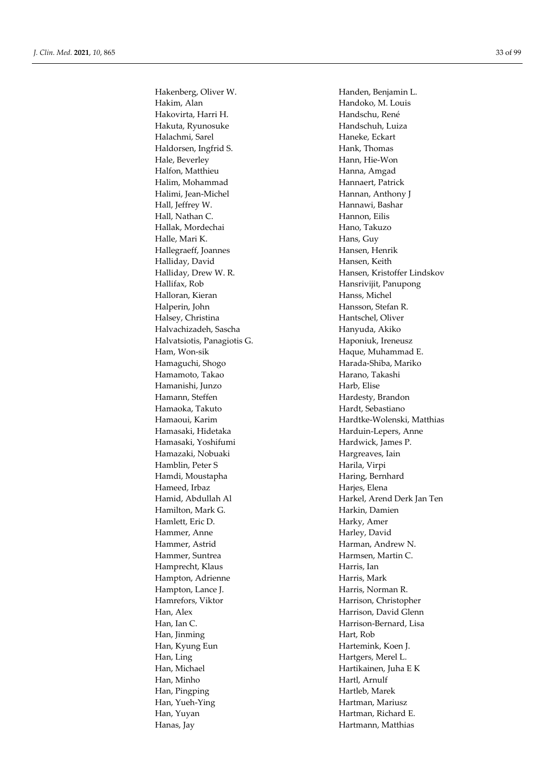Hakenberg, Oliver W. Handen, Benjamin L. Hakim, Alan Handoko, M. Louis Hakovirta, Harri H. Kanadschu, René Hakuta, Ryunosuke Handschuh, Luiza Halachmi, Sarel **Haneke**, Eckart Haldorsen, Ingfrid S. Hank, Thomas Hale, Beverley **Hann**, Hie-Won Halfon, Matthieu **Hanna**, Amgad Halim, Mohammad Hannaert, Patrick Halimi, Jean-Michel Hannan, Anthony J Hall, Jeffrey W. **Hannawi**, Bashar Hall, Nathan C. **Hannon**, Eilis Hallak, Mordechai **Hano**, Takuzo Halle, Mari K. Hans, Guy Hallegraeff, Joannes Hansen, Henrik Halliday, David Hansen, Keith Hallifax, Rob Hansrivijit, Panupong Halloran, Kieran **Hanss**, Michel Halperin, John Hansson, Stefan R. Halsey, Christina Hantschel, Oliver Halvachizadeh, Sascha **Hanyuda, Akiko** Halvatsiotis, Panagiotis G. **Haponiuk**, Ireneusz Ham, Won-sik Haque, Muhammad E. Hamaguchi, Shogo Harada-Shiba, Mariko Hamamoto, Takao **Harano**, Takashi Hamanishi, Junzo Harb, Elise Hamann, Steffen Hardesty, Brandon Hamaoka, Takuto **Hardt**, Sebastiano Hamasaki, Hidetaka Harduin-Lepers, Anne Hamasaki, Yoshifumi Hardwick, James P. Hamazaki, Nobuaki Hargreaves, Iain Hamblin, Peter S Harila, Virpi Hamdi, Moustapha **Haring**, Bernhard Hameed, Irbaz Harjes, Elena Hamilton, Mark G. **Hamilton**, Mark G. Hamlett, Eric D. Harky, Amer Hammer, Anne Harley, David Hammer, Astrid Harman, Andrew N. Hammer, Suntrea **Harmsen**, Martin C. Hamprecht, Klaus Harris, Ian Hampton, Adrienne Harris, Mark Hampton, Lance J. **Harris**, Norman R. Hamrefors, Viktor Harrison, Christopher Han, Alex Harrison, David Glenn Han, Ian C. **Harrison-Bernard**, Lisa Han, Jinming Hart, Rob Han, Kyung Eun **Hartemink**, Koen J. Han, Ling Hartgers, Merel L. Han, Michael Hartikainen, Juha E K Han, Minho **Hartl**, Arnulf Han, Pingping **Hartleb**, Marek Han, Yueh-Ying **Hartman**, Mariusz Han, Yuyan Hartman, Richard E. Hanas, Jay **Hartmann**, Matthias

Halliday, Drew W. R. **Hansen**, Kristoffer Lindskov Hamaoui, Karim Hardtke-Wolenski, Matthias Hamid, Abdullah Al Harkel, Arend Derk Jan Ten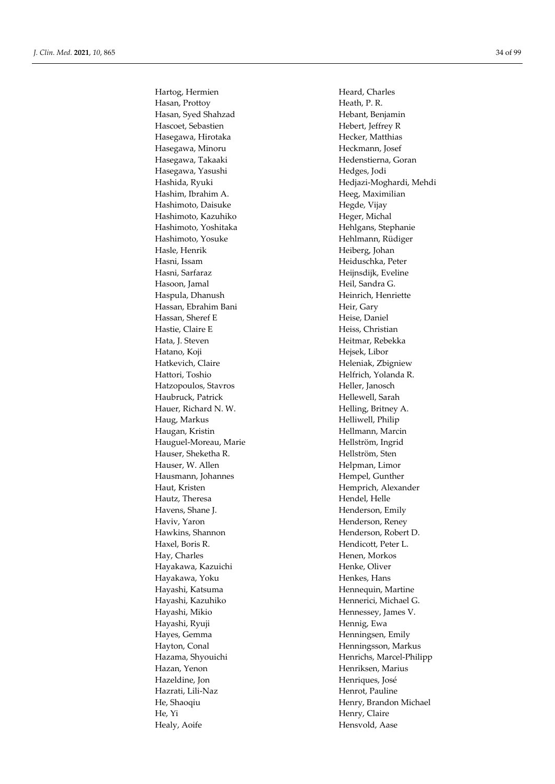Hartog, Hermien Heard, Charles Hasan, Prottoy **Heath, P. R.** Heath, P. R. Hasan, Syed Shahzad Hebant, Benjamin Hascoet, Sebastien Hebert, Jeffrey R Hasegawa, Hirotaka Hecker, Matthias Hasegawa, Minoru Heckmann, Josef Hasegawa, Takaaki **Hedenstierna**, Goran Hasegawa, Yasushi **Hedges**, Jodi Hashim, Ibrahim A. **Heeg**, Maximilian Hashimoto, Daisuke Hegde, Vijay Hashimoto, Kazuhiko **Heger**, Michal Hashimoto, Yoshitaka Hehlgans, Stephanie Hashimoto, Yosuke Hehlmann, Rüdiger Hasle, Henrik Heiberg, Johan Hasni, Issam Heiduschka, Peter Hasni, Sarfaraz **Heijnsdijk**, Eveline Hasoon, Jamal Heil, Sandra G. Haspula, Dhanush **Heinrich, Henriette** Hassan, Ebrahim Bani **Heir, Gary** Heir, Gary Hassan, Sheref E Heise, Daniel Hastie, Claire E Heiss, Christian Hata, J. Steven Heitmar, Rebekka Hatano, Koji Hejsek, Libor Hatkevich, Claire **Heleniak**, Zbigniew Hattori, Toshio Helfrich, Yolanda R. Hatzopoulos, Stavros Heller, Janosch Haubruck, Patrick Hellewell, Sarah Hauer, Richard N. W. Helling, Britney A. Haug, Markus Helliwell, Philip Haugan, Kristin **Hellmann**, Marcin Hauguel-Moreau, Marie Hellström, Ingrid Hauser, Sheketha R. **Hellström**, Sten Hauser, W. Allen Helpman, Limor Hausmann, Johannes Hempel, Gunther Haut, Kristen Hemprich, Alexander Hautz, Theresa Hendel, Helle Havens, Shane J. **Henderson**, Emily Haviv, Yaron **Henderson**, Reney Hawkins, Shannon Henderson, Robert D. Haxel, Boris R. **Hendicott**, Peter L. Hay, Charles **Henen**, Morkos Hayakawa, Kazuichi **Henke**, Oliver Hayakawa, Yoku **Henkes**, Hans Hayashi, Katsuma Hennequin, Martine Hayashi, Kazuhiko Hennerici, Michael G. Hayashi, Mikio Hennessey, James V. Hayashi, Ryuji **Hennig**, Ewa Hayes, Gemma Henningsen, Emily Hayton, Conal Henningsson, Markus Hazan, Yenon Henriksen, Marius Hazeldine, Jon Henriques, José Hazrati, Lili-Naz Henrot, Pauline He, Yi Henry, Claire Healy, Aoife Hensvold, Aase

Hashida, Ryuki Hedjazi-Moghardi, Mehdi Hazama, Shyouichi Henrichs, Marcel-Philipp He, Shaoqiu Henry, Brandon Michael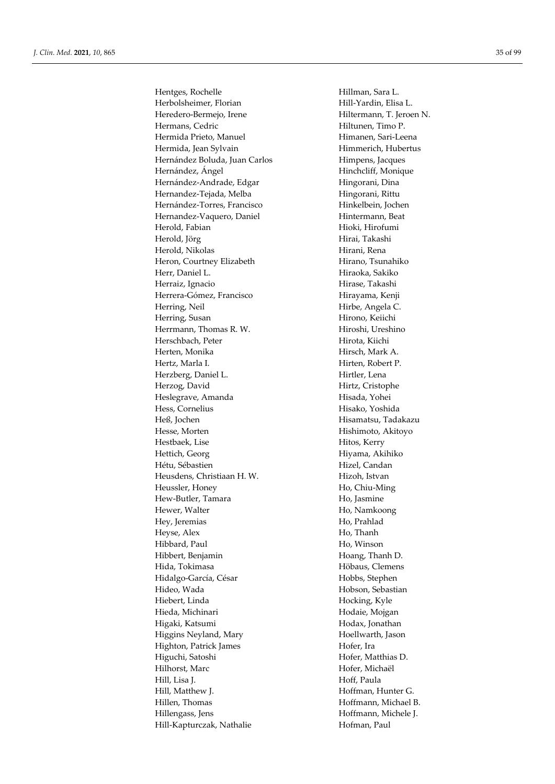Hentges, Rochelle Hillman, Sara L. Herbolsheimer, Florian Hill-Yardin, Elisa L. Heredero-Bermejo, Irene Hiltermann, T. Jeroen N. Hermans, Cedric **Hiltunen**, Timo P. Hermida Prieto, Manuel Himanen, Sari-Leena Hermida, Jean Sylvain Himmerich, Hubertus Hernández Boluda, Juan Carlos **Himpens**, Jacques Hernández, Ángel Hinchcliff, Monique Hernández-Andrade, Edgar Hingorani, Dina Hernandez-Tejada, Melba Hingorani, Rittu Hernández-Torres, Francisco Hinkelbein, Jochen Hernandez-Vaquero, Daniel Hintermann, Beat Herold, Fabian Hioki, Hirofumi Herold, Jörg Hirai, Takashi Herold, Nikolas Hirani, Rena Heron, Courtney Elizabeth Hirano, Tsunahiko Herr, Daniel L. Hiraoka, Sakiko Herraiz, Ignacio **Hirase**, Takashi Herrera-Gómez, Francisco Hirayama, Kenji Herring, Neil Hirbe, Angela C. Herring, Susan Hirono, Keiichi Herrmann, Thomas R. W. Hiroshi, Ureshino Herschbach, Peter **Hirota**, Kiichi Herten, Monika Hirsch, Mark A. Hertz, Marla I. **Hirten**, Robert P. Herzberg, Daniel L. Karl Hirtler, Lena Herzog, David Hirtz, Cristophe Heslegrave, Amanda Hisada, Yohei Hess, Cornelius Hisako, Yoshida Heß, Jochen Hisamatsu, Tadakazu Hishimoto, Akitoyo Hestbaek, Lise Hitos, Kerry Hettich, Georg Hiyama, Akihiko Hétu, Sébastien **Hizel, Candan** Heusdens, Christiaan H. W. Hizoh, Istvan Heussler, Honey Ho, Chiu-Ming Hew-Butler, Tamara Ho, Jasmine Hewer, Walter **Ho, Namkoong** Hey, Jeremias Ho, Prahlad Heyse, Alex Ho, Thanh Hibbard, Paul Ho, Winson Hibbert, Benjamin Hoang, Thanh D. Hida, Tokimasa **Höbaus**, Clemens Hidalgo-García, César **Hobbs, Stephen** Hideo, Wada **Hobson**, Sebastian Hiebert, Linda Hocking, Kyle Hieda, Michinari **Hodaie**, Mojgan Higaki, Katsumi **Hodax**, Jonathan Higgins Neyland, Mary **Hoellwarth**, Jason Highton, Patrick James Hofer, Ira Higuchi, Satoshi Hofer, Matthias D. Hilhorst, Marc Hofer, Michaël Hill, Lisa J. Hoff, Paula Hill, Matthew J. **Hoffman**, Hunter G. Hillen, Thomas Hoffmann, Michael B. Hillengass, Jens Hoffmann, Michele J. Hill-Kapturczak, Nathalie Hofman, Paul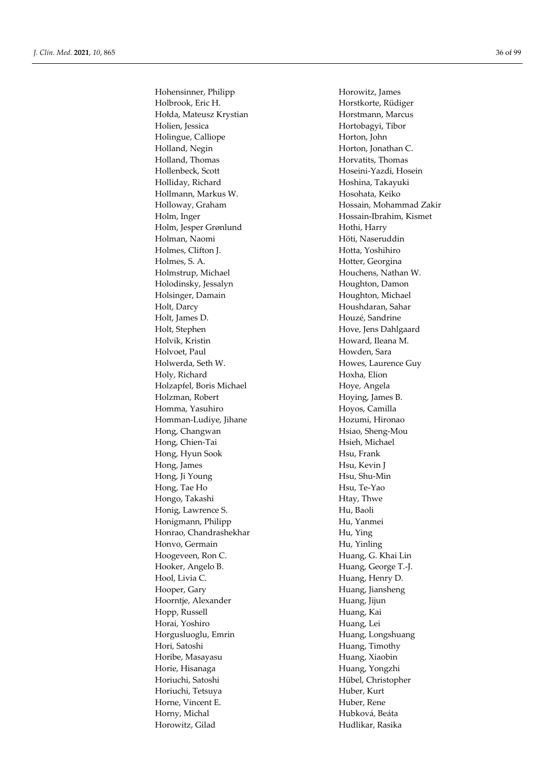Hohensinner, Philipp Horowitz, James Holbrook, Eric H. Horstkorte, Rüdiger Hołda, Mateusz Krystian Horstmann, Marcus Holien, Jessica Hortobagyi, Tibor Holingue, Calliope Horton, John Holland, Negin Horton, Jonathan C. Holland, Thomas **Holland, Thomas** Horvatits, Thomas Hollenbeck, Scott Hoseini-Yazdi, Hosein Holliday, Richard Hoshina, Takayuki Hollmann, Markus W. Hosohata, Keiko Holloway, Graham Hossain, Mohammad Zakir Holm, Inger Hossain-Ibrahim, Kismet Holm, Jesper Grønlund Hothi, Harry Höti, Naseruddin<br>
Höti, Naseruddin Holmes, Clifton J. **Hotta**, Yoshihiro Holmes, S. A. **Hotter**, Georgina Holmstrup, Michael Houchens, Nathan W. Holodinsky, Jessalyn Houghton, Damon Holsinger, Damain Houghton, Michael Holt, Darcy Houshdaran, Sahar Holt, James D. Houzé, Sandrine Holt, Stephen Hove, Jens Dahlgaard Holvik, Kristin Howard, Ileana M. Holvoet, Paul **Holvoet**, Paul Howden, Sara Holwerda, Seth W. **Howes, Laurence Guy** Holy, Richard Hoxha, Elion Holzapfel, Boris Michael Hoye, Angela Holzman, Robert Hoying, James B. Homma, Yasuhiro Hoyos, Camilla Homman-Ludiye, Jihane Hozumi, Hironao Hong, Changwan Hsiao, Sheng-Mou Hong, Chien-Tai Hsieh, Michael Hong, Hyun Sook Hsu, Frank Hong, James Hsu, Kevin J Hong, Ji Young Hsu, Shu-Min Hong, Tae Ho **Hong** Hsu, Te-Yao Hongo, Takashi **Higgs** Htay, Thwe Honig, Lawrence S. Hu, Baoli Honigmann, Philipp Hu, Yanmei Honrao, Chandrashekhar Hu, Ying Honvo, Germain Hu, Yinling Hoogeveen, Ron C. **Huang**, G. Khai Lin Hooker, Angelo B. Huang, George T.-J. Hool, Livia C. **Huang**, Henry D. Hooper, Gary Huang, Jiansheng Hoorntje, Alexander Huang, Jijun Hopp, Russell **Huang**, Kai Horai, Yoshiro **Huang**, Lei Horgusluoglu, Emrin Huang, Longshuang Hori, Satoshi **Huang**, Timothy Horibe, Masayasu **Huang, Xiaobin** Horie, Hisanaga **Huang, Yongzhi** Horiuchi, Satoshi Hübel, Christopher Horiuchi, Tetsuya **Huber**, Kurt Horne, Vincent E. **Huber**, Rene Horny, Michal **Hubková**, Beáta Horowitz, Gilad Hudlikar, Rasika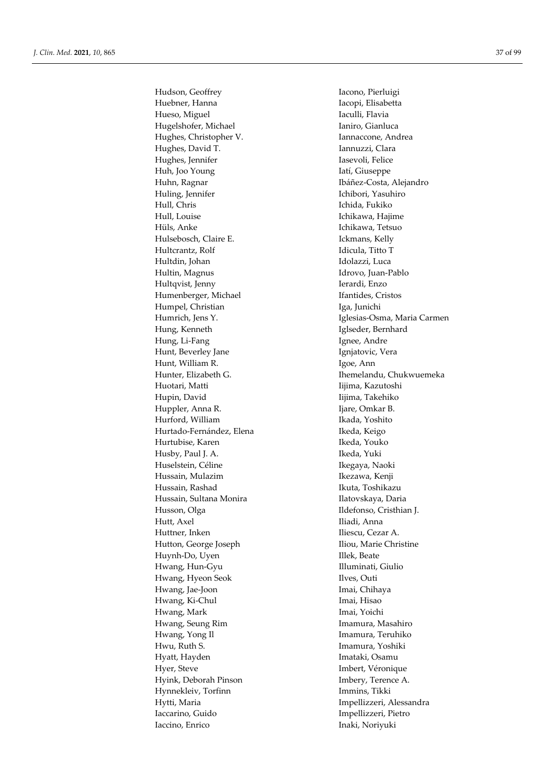Huebner, Hanna **Iacopi**, Elisabetta Hueso, Miguel **Iaculli**, Flavia Hugelshofer, Michael Ianiro, Gianluca Hughes, Christopher V. **Iannaccone**, Andrea Hughes, David T. **Iannuzzi**, Clara Hughes, Jennifer **Iasevoli**, Felice Huh, Joo Young Iatí, Giuseppe Huhn, Ragnar **Ibáñez-Costa, Alejandro** Huling, Jennifer **Ichibori**, Yasuhiro Hull, Chris Ichida, Fukiko Hull, Louise **Ichikawa**, Hajime Hüls, Anke Ichikawa, Tetsuo Hulsebosch, Claire E. Ickmans, Kelly Hultcrantz, Rolf Idicula, Titto T Hultdin, Johan **Idolazzi, Luca** Hultin, Magnus Idrovo, Juan-Pablo Hultqvist, Jenny **Ierardi**, Enzo Humenberger, Michael Ifantides, Cristos Humpel, Christian Iga, Junichi Hung, Kenneth Iglseder, Bernhard Hung, Li-Fang **Ignee**, Andre Hunt, Beverley Jane Ignjatovic, Vera Hunt, William R. Igoe, Ann Huotari, Matti **III**ijima, Kazutoshi Hupin, David Iijima, Takehiko Huppler, Anna R. **Ijare**, Omkar B. Hurford, William Ikada, Yoshito Hurtado-Fernández, Elena Ikeda, Keigo Hurtubise, Karen **Ikeda**, Youko Husby, Paul J. A. Ikeda, Yuki Huselstein, Céline **Ikegaya, Naoki** Hussain, Mulazim Ikezawa, Kenji Hussain, Rashad Ikuta, Toshikazu Hussain, Sultana Monira **Ilatovskaya**, Daria Husson, Olga Ildefonso, Cristhian J. Hutt, Axel Iliadi, Anna Huttner, Inken Iliescu, Cezar A. Hutton, George Joseph Iliou, Marie Christine Huynh-Do, Uyen Illek, Beate Hwang, Hun-Gyu Illuminati, Giulio Hwang, Hyeon Seok Ilves, Outi Hwang, Jae-Joon Imai, Chihaya Hwang, Ki-Chul Imai, Hisao Hwang, Mark **Imai**, Yoichi Hwang, Seung Rim **Imamura**, Masahiro Hwang, Yong Il **Imamura**, Teruhiko Hwu, Ruth S. Imamura, Yoshiki Hyatt, Hayden **Imataki**, Osamu Hyer, Steve Imbert, Véronique Hyink, Deborah Pinson Imbery, Terence A. Hynnekleiv, Torfinn Immins, Tikki Hytti, Maria **Impellizzeri**, Alessandra Iaccarino, Guido Impellizzeri, Pietro Iaccino, Enrico Inaki, Noriyuki

Hudson, Geoffrey Iacono, Pierluigi Humrich, Jens Y. Iglesias-Osma, Maria Carmen Hunter, Elizabeth G. **Ihemelandu**, Chukwuemeka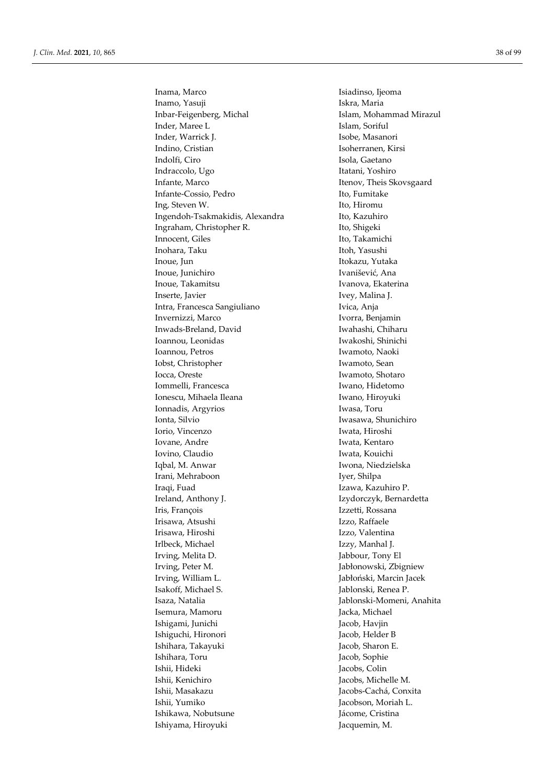Inama, Marco **Isiadinso**, Ijeoma Inamo, Yasuji **Iskra**, Maria Inbar-Feigenberg, Michal Islam, Mohammad Mirazul Inder, Maree L **Islam**, Soriful Inder, Warrick J. Isobe, Masanori Indino, Cristian Isoherranen, Kirsi Indolfi, Ciro **Isola, Gaetano** Indraccolo, Ugo Itatani, Yoshiro Infante, Marco Itenov, Theis Skovsgaard Infante-Cossio, Pedro Ito, Fumitake Ing, Steven W. Ito, Hiromu Ingendoh-Tsakmakidis, Alexandra Ito, Kazuhiro Ingraham, Christopher R. Ito, Shigeki Innocent, Giles Ito, Takamichi Inohara, Taku Itoh, Yasushi Inoue, Jun **Itokazu**, Yutaka Inoue, Junichiro **Ivanisević**, Ana Inoue, Takamitsu **Ivanova**, Ekaterina Inserte, Javier **Ivey**, Malina J. Intra, Francesca Sangiuliano Ivica, Anja Invernizzi, Marco Ivorra, Benjamin Inwads-Breland, David Iwahashi, Chiharu Ioannou, Leonidas Iwakoshi, Shinichi Ioannou, Petros Iwamoto, Naoki Iobst, Christopher Iwamoto, Sean Iocca, Oreste **Iwamoto**, Shotaro Iommelli, Francesca **Iwano, Hidetomo** Ionescu, Mihaela Ileana Iwano, Hiroyuki Ionnadis, Argyrios Iwasa, Toru Ionta, Silvio Iwasawa, Shunichiro Iorio, Vincenzo Iwata, Hiroshi Iovane, Andre **Iwata, Kentaro** Iovino, Claudio Iwata, Kouichi Iqbal, M. Anwar Iwona, Niedzielska Irani, Mehraboon Iyer, Shilpa Iraqi, Fuad Izawa, Kazuhiro P. Ireland, Anthony J. Izydorczyk, Bernardetta Iris, François Izzetti, Rossana Irisawa, Atsushi Izzo, Raffaele Irisawa, Hiroshi Izzo, Valentina Irlbeck, Michael **Izzy**, Manhal J. Irving, Melita D. Jabbour, Tony El Irving, Peter M. Jabłonowski, Zbigniew Irving, William L.<br>
Isakoff. Michael S.<br>
Isakoff. Michael S.<br>
Isakoff. Michael S.<br>
Isakoff. Michael S. Isaza, Natalia Jablonski-Momeni, Anahita Isemura, Mamoru Jacka, Michael Ishigami, Junichi Jacob, Havjin Ishiguchi, Hironori Jacob, Helder B Ishihara, Takayuki Jacob, Sharon E. Ishihara, Toru Jacob, Sophie Ishii, Hideki Jacobs, Colin Ishii, Kenichiro Jacobs, Michelle M. Ishii, Yumiko Jacobson, Moriah L. Ishikawa, Nobutsune  $\qquad \qquad$  Jácome, Cristina Ishiyama, Hiroyuki Jacquemin, M.

Jablonski, Renea P. Jacobs-Cachá, Conxita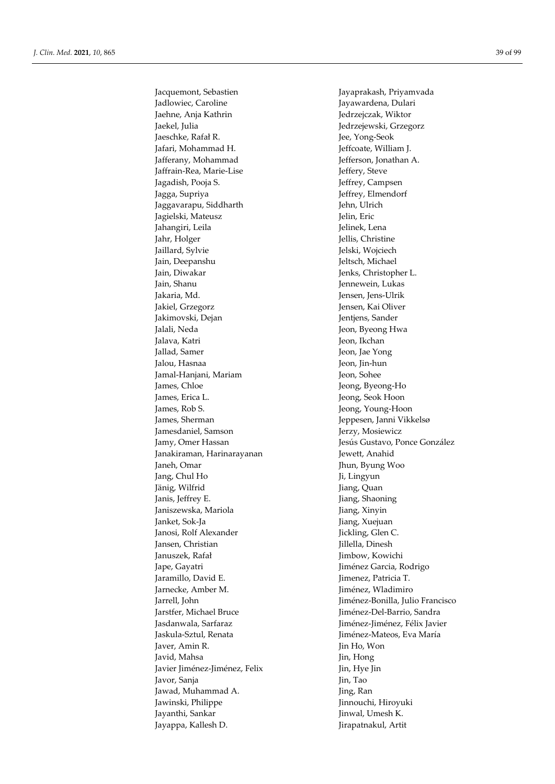Franche 2002, the King Control (and Solution)<br>
Subjects of the control of the state of the state of the state of the state of the state of the state of the state of the state of the state of the state of the state of the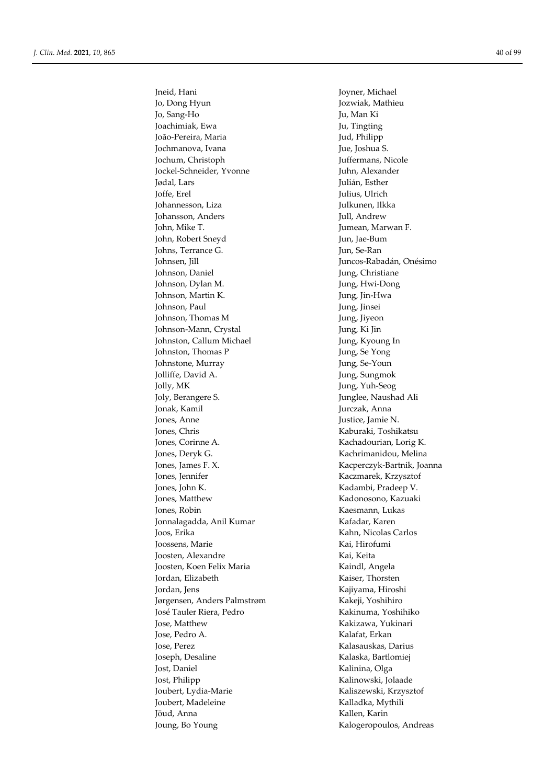Jo, Dong Hyun Jozwiak, Mathieu Jo, Sang-Ho Ju, Man Ki Joachimiak, Ewa Ju, Tingting João-Pereira, Maria de Anticas de Jud, Philipp Jochmanova, Ivana Jue, Joshua S. Jochum, Christoph Juffermans, Nicole Jockel-Schneider, Yvonne Jødal, Lars Julián, Esther Joffe, Erel Julius, Ulrich Johannesson, Liza Julkunen, Ilkka Johansson, Anders Jull, Andrew John, Mike T. Jumean, Marwan F. John, Robert Sneyd Jun, Jae-Bum Johns, Terrance G. Jun, Se-Ran Johnsen, Jill Juncos-Rabadán, Onésimo Johnson, Daniel Jung, Christiane Johnson, Dylan M. Jung, Hwi-Dong Johnson, Martin K. Jung, Jin-Hwa Johnson, Paul Jung, Jinsei Johnson, Thomas M Jung, Jiyeon Johnson-Mann, Crystal Jung, Ki Jin Johnston, Callum Michael Jung, Kyoung In Johnston, Thomas P Jung, Se Yong Johnstone, Murray Jung, Se-Youn Jolliffe, David A. Jung, Sungmok Jolly, MK Jung, Yuh-Seog Joly, Berangere S. Junglee, Naushad Ali Jonak, Kamil Jurczak, Anna Jones, Anne Justice, Jamie N. Jones, Chris Kaburaki, Toshikatsu Jones, Corinne A. Kachadourian, Lorig K. Jones, Deryk G. Kachrimanidou, Melina Jones, James F. X. Kacperczyk-Bartnik, Joanna Jones, Jennifer Kaczmarek, Krzysztof Jones, John K. Kadambi, Pradeep V. Jones, Matthew Kadonosono, Kazuaki Jones, Robin Kaesmann, Lukas Jonnalagadda, Anil Kumar Kafadar, Karen Joos, Erika Kahn, Nicolas Carlos Joossens, Marie Kai, Hirofumi Joosten, Alexandre Kai, Keita Joosten, Koen Felix Maria Kaindl, Angela Jordan, Elizabeth Kaiser, Thorsten Jordan, Jens Kajiyama, Hiroshi Jørgensen, Anders Palmstrøm Kakeji, Yoshihiro José Tauler Riera, Pedro Kakinuma, Yoshihiko Jose, Matthew Kakizawa, Yukinari Jose, Pedro A. Kalafat, Erkan Jose, Perez Kalasauskas, Darius Joseph, Desaline Kalaska, Bartlomiej Jost, Daniel Kalinina, Olga Jost, Philipp Kalinowski, Jolaade Joubert, Lydia-Marie Kaliszewski, Krzysztof Joubert, Madeleine Kalladka, Mythili Jöud, Anna **Kallen, Karin** Joung, Bo Young **Kalogeropoulos**, Andreas

Jneid, Hani Joyner, Michael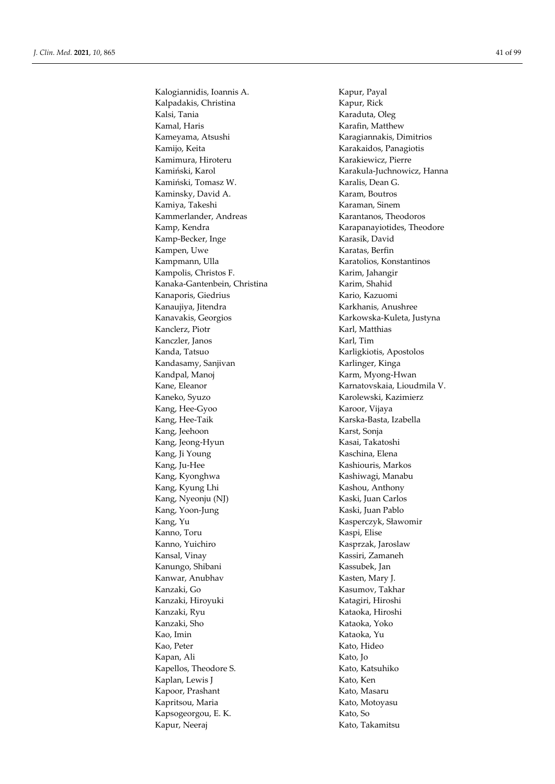Kalogiannidis, Ioannis A. Kapur, Payal Kalpadakis, Christina Kapur, Rick Kalsi, Tania **Karaduta, Oleg** Kamal, Haris **Karafin**, Matthew Kameyama, Atsushi Karagiannakis, Dimitrios Kamijo, Keita **Karakaidos**, Panagiotis Kamimura, Hiroteru **Karakiewicz, Pierre** Kamiński, Karol **Karakula-Juchnowicz, Hanna** Kamiński, Tomasz W. Karalis, Dean G. Kaminsky, David A. Karam, Boutros Kamiya, Takeshi **Karaman**, Sinem Kammerlander, Andreas Karantanos, Theodoros Kamp, Kendra Karapanayiotides, Theodore Kamp-Becker, Inge Karasik, David Kampen, Uwe Karatas, Berfin Kampmann, Ulla Karatolios, Konstantinos Kampolis, Christos F. Karim, Jahangir Kanaka-Gantenbein, Christina Karim, Shahid Kanaporis, Giedrius Kario, Kario, Kazuomi Kanaujiya, Jitendra Karkhanis, Anushree Kanavakis, Georgios **Karkowska-Kuleta, Justyna** Kanclerz, Piotr Karl, Matthias Kanczler, Janos Karl, Tim Kanda, Tatsuo Karligkiotis, Apostolos Kandasamy, Sanjivan Karlinger, Kinga Kandpal, Manoj **Karm**, Myong-Hwan Kane, Eleanor **Karnatovskaia**, Lioudmila V. Kaneko, Syuzo Karolewski, Kazimierz Kang, Hee-Gyoo Karoor, Vijaya Kang, Hee-Taik Karska-Basta, Izabella Kang, Jeehoon Karst, Sonja Kang, Jeong-Hyun Kasai, Takatoshi Kang, Ji Young Kaschina, Elena Kang, Ju-Hee Kashiouris, Markos Kang, Kyonghwa **Kashiwagi, Manabu** Kang, Kyung Lhi Kashou, Anthony Kang, Nyeonju (NJ) Kaski, Juan Carlos Kang, Yoon-Jung Kaski, Juan Pablo Kang, Yu Kasperczyk, Sławomir Kanno, Toru Kaspi, Elise Kanno, Yuichiro Kasprzak, Jaroslaw Kansal, Vinay Kassiri, Zamaneh Kanungo, Shibani Kassubek, Jan Kanwar, Anubhav **Kasten, Mary J.** Kasten, Mary J. Kanzaki, Go Kasumov, Takhar Kanzaki, Hiroyuki Katagiri, Hiroshi Kanzaki, Ryu Kataoka, Hiroshi Kanzaki, Sho Kataoka, Yoko Kao, Imin Kataoka, Yu Kao, Peter Kato, Hideo Kapan, Ali Kato, Jo Kapellos, Theodore S. Kato, Katsuhiko Kaplan, Lewis J Kato, Ken Kapoor, Prashant Kato, Masaru Kapritsou, Maria **Kato, Motoyasu** Kapsogeorgou, E. K. Kato, So Kapur, Neeraj Kato, Takamitsu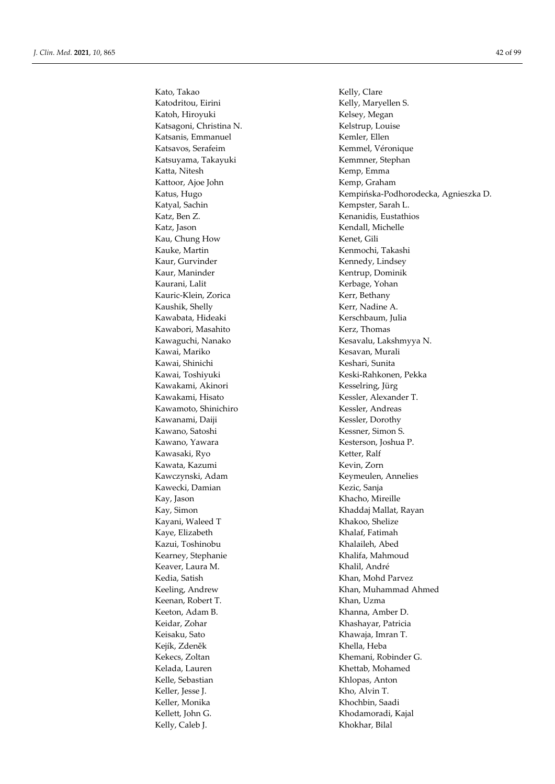Kato, Takao Kelly, Clare Katodritou, Eirini Kelly, Maryellen S. Katoh, Hiroyuki Kelsey, Megan Katsagoni, Christina N. Kelstrup, Louise Katsanis, Emmanuel Kemler, Ellen Katsavos, Serafeim Kemmel, Véronique Katsuyama, Takayuki Kemmner, Stephan Katta, Nitesh Kemp, Emma Kattoor, Ajoe John Kemp, Graham Katyal, Sachin Kempster, Sarah L. Katz, Ben Z. **Kenanidis**, Eustathios Katz, Jason Kendall, Michelle Kau, Chung How **Kenet**, Gili Kauke, Martin Kenmochi, Takashi Kaur, Gurvinder Kennedy, Lindsey Kaur, Maninder Kentrup, Dominik Kaurani, Lalit Kerbage, Yohan Kauric-Klein, Zorica Kerr, Bethany Kaushik, Shelly **Kerr**, Nadine A. Kawabata, Hideaki Kerschbaum, Julia Kawabori, Masahito Kerz, Thomas Kawai, Mariko Kesavan, Murali Kawai, Shinichi **Keshari, Sunita** Kawakami, Akinori Kesselring, Jürg Kawakami, Hisato Kessler, Alexander T. Kawamoto, Shinichiro Kessler, Andreas Kawanami, Daiji Kessler, Dorothy Kawano, Satoshi Kessner, Simon S. Kawano, Yawara Kesterson, Joshua P. Kawasaki, Ryo Ketter, Ralf Kawata, Kazumi Kevin, Zorn Kawczynski, Adam Keymeulen, Annelies Kawecki, Damian **Kezic, Sanja** Kay, Jason Khacho, Mireille Kayani, Waleed T Khakoo, Shelize Kaye, Elizabeth Khalaf, Fatimah Kazui, Toshinobu Khalaileh, Abed Kearney, Stephanie Khalifa, Mahmoud Keaver, Laura M. (2008) (2008) Khalil, André Kedia, Satish Khan, Mohd Parvez Keenan, Robert T. Khan, Uzma Keeton, Adam B. Khanna, Amber D. Keidar, Zohar Khashayar, Patricia Keisaku, Sato Khawaja, Imran T. Kejík, Zdeněk Khella, Heba Kelada, Lauren **Khettab, Khettab, Mohamed** Kelle, Sebastian Khlopas, Anton Keller, Jesse J. Kho, Alvin T. Keller, Monika Khochbin, Saadi Kellett, John G. Khodamoradi, Kajal Kelly, Caleb J. Khokhar, Bilal

Katus, Hugo Kempińska-Podhorodecka, Agnieszka D. Kawaguchi, Nanako Kesavalu, Lakshmyya N. Kawai, Toshiyuki Keski-Rahkonen, Pekka Kay, Simon Khaddaj Mallat, Rayan Keeling, Andrew Khan, Muhammad Ahmed Kekecs, Zoltan Khemani, Robinder G.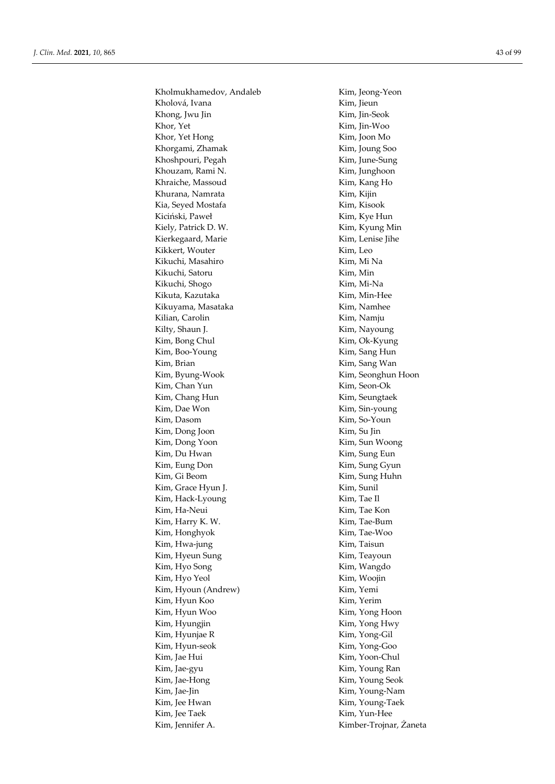Kholmukhamedov, Andaleb Kim, Jeong-Yeon Kholová, Ivana Kim, Jieun Khong, Jwu Jin Kim, Jin-Seok Khor, Yet Kim, Jin-Woo Khor, Yet Hong Kim, Joon Mo Khorgami, Zhamak Kim, Joung Soo Khoshpouri, Pegah Kim, June-Sung Khouzam, Rami N. Kim, Junghoon Khraiche, Massoud Kim, Kang Ho Khurana, Namrata Kim, Kijin Kia, Seyed Mostafa Kim, Kisook Kiciński, Paweł **Kim, Kye Hun** Kiely, Patrick D. W. Kim, Kyung Min Kierkegaard, Marie Kim, Lenise Jihe Kikkert, Wouter Kim, Leo Kikuchi, Masahiro **Kim**, Mi Na Kikuchi, Satoru **Kim, Min** Kikuchi, Shogo Kim, Mi-Na Kikuta, Kazutaka **Kim**, Min-Hee Kikuyama, Masataka Kim, Namhee Kilian, Carolin Kim, Namju Kilty, Shaun J. Kim, Nayoung Kim, Bong Chul Kim, Ok-Kyung Kim, Boo-Young Kim, Sang Hun Kim, Brian Kim, Sang Wan Kim, Byung-Wook Kim, Seonghun Hoon Kim, Chan Yun Kim, Seon-Ok Kim, Chang Hun Kim, Seungtaek Kim, Dae Won Kim, Sin-young Kim, Dasom Kim, So-Youn Kim, Dong Joon Kim, Su Jin Kim, Dong Yoon Kim, Sun Woong Kim, Du Hwan Kim, Sung Eun Kim, Eung Don Kim, Sung Gyun Kim, Gi Beom Kim, Sung Huhn Kim, Grace Hyun J. Kim, Sunil Kim, Hack-Lyoung Kim, Tae Il Kim, Ha-Neui Kim, Tae Kon Kim, Harry K. W. Kim, Tae-Bum Kim, Honghyok Kim, Tae-Woo Kim, Hwa-jung Kim, Taisun Kim, Hyeun Sung **Kim, Teayoun** Kim, Hyo Song Kim, Wangdo Kim, Hyo Yeol Kim, Woojin Kim, Hyoun (Andrew) Kim, Yemi Kim, Hyun Koo Kim, Yerim Kim, Hyun Woo Kim, Yong Hoon Kim, Hyungjin Kim, Yong Hwy Kim, Hyunjae R Kim, Yong-Gil Kim, Hyun-seok Kim, Yong-Goo Kim, Jae Hui Kim, Yoon-Chul Kim, Jae-gyu Kim, Young Ran Kim, Jae-Hong Kim, Young Seok Kim, Jae-Jin Kim, Young-Nam Kim, Jee Hwan Kim, Young-Taek Kim, Jee Taek Kim, Yun-Hee Kim, Jennifer A. Kimber-Trojnar, Żaneta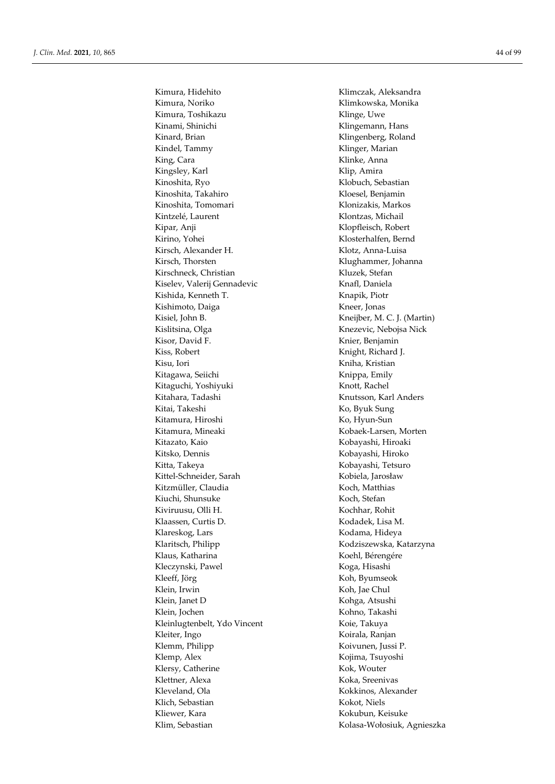Kimura, Noriko Klimkowska, Monika Kimura, Toshikazu Klinge, Uwe Kinami, Shinichi Klingemann, Hans Kinard, Brian Klingenberg, Roland Kindel, Tammy Klinger, Marian King, Cara Klinke, Anna Kingsley, Karl Klip, Amira Kinoshita, Ryo Klobuch, Sebastian Kinoshita, Takahiro Kloesel, Benjamin Kinoshita, Tomomari Klonizakis, Markos Kintzelé, Laurent Klontzas, Michail Kipar, Anji Klopfleisch, Robert Kirino, Yohei Klosterhalfen, Bernd Kirsch, Alexander H. Klotz, Anna-Luisa Kirsch, Thorsten Klughammer, Johanna Kirschneck, Christian Kluzek, Stefan Kiselev, Valerij Gennadevic Knafl, Daniela Kishida, Kenneth T. Knapik, Piotr Kishimoto, Daiga Kneer, Jonas Kisiel, John B. Kneijber, M. C. J. (Martin) Kislitsina, Olga Knezevic, Nebojsa Nick Kisor, David F. Knier, Benjamin Kiss, Robert Knight, Richard J. Kisu, Iori **Kristian** Kitagawa, Seiichi **Kitagawa, Seiichi** Knippa, Emily Kitaguchi, Yoshiyuki Knott, Rachel Kitahara, Tadashi Knutsson, Karl Anders Kitai, Takeshi Ko, Byuk Sung Kitamura, Hiroshi Ko, Hyun-Sun Kitamura, Mineaki Kobaek-Larsen, Morten Kitazato, Kaio Kobayashi, Hiroaki Kitsko, Dennis Kobayashi, Hiroko Kitta, Takeya Kobayashi, Tetsuro Kittel-Schneider, Sarah Kobiela, Jarosław Kitzmüller, Claudia Koch, Matthias Kiuchi, Shunsuke Koch, Stefan Kiviruusu, Olli H. Kochhar, Rohit Klaassen, Curtis D. Kodadek, Lisa M. Klareskog, Lars Kodama, Hideya Klaritsch, Philipp Kodziszewska, Katarzyna Klaus, Katharina Koehl, Bérengére Kleczynski, Pawel Koga, Hisashi Kleeff, Jörg Koh, Byumseok Klein, Irwin Koh, Jae Chul Klein, Janet D Kohga, Atsushi Klein, Jochen Kohno, Takashi Kleinlugtenbelt, Ydo Vincent Koie, Takuya Kleiter, Ingo Koirala, Ranjan Klemm, Philipp Koivunen, Jussi P. Klemp, Alex Kojima, Tsuyoshi Klersy, Catherine Kok, Wouter Klettner, Alexa Koka, Sreenivas Kleveland, Ola Kokkinos, Alexander Klich, Sebastian Kokot, Niels Kliewer, Kara Kokubun, Keisuke Klim, Sebastian Kolasa-Wołosiuk, Agnieszka

Kimura, Hidehito Klimczak, Aleksandra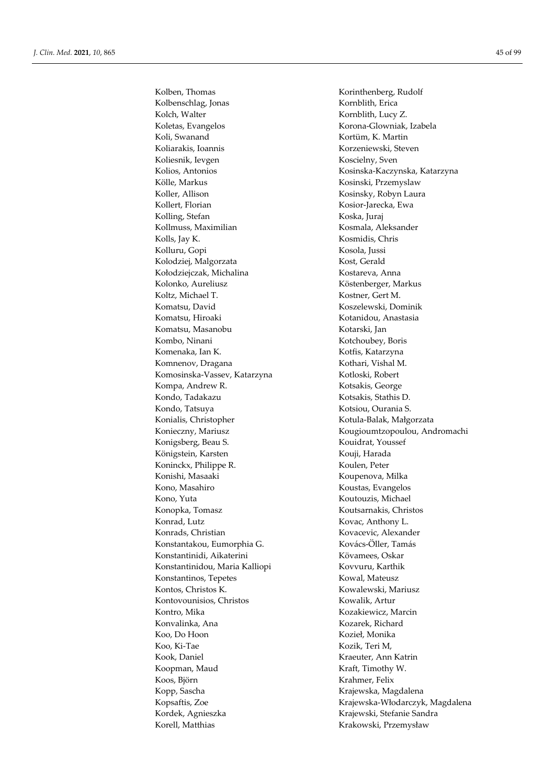Kolbenschlag, Jonas Kornblith, Erica Kolch, Walter **Kornblith**, Lucy Z. Koletas, Evangelos Korona-Glowniak, Izabela Koli, Swanand Kortüm, K. Martin Koliarakis, Ioannis Korzeniewski, Steven Koliesnik, Ievgen Koscielny, Sven Kolios, Antonios Kosinska-Kaczynska, Katarzyna Kölle, Markus Kosinski, Przemyslaw Koller, Allison Kosinsky, Robyn Laura Kollert, Florian Kosior-Jarecka, Ewa Kolling, Stefan Koska, Juraj Kollmuss, Maximilian Kosmala, Aleksander Kolls, Jay K. Kosmidis, Chris Kolluru, Gopi Kosola, Jussi Kolodziej, Malgorzata Kost, Gerald Kołodziejczak, Michalina Kostareva, Anna Kolonko, Aureliusz **Köstenberger**, Markus Koltz, Michael T. Kostner, Gert M. Komatsu, David Koszelewski, Dominik Komatsu, Hiroaki Kotanidou, Anastasia Komatsu, Masanobu Kotarski, Jan Kombo, Ninani Kotchoubey, Boris Komenaka, Ian K. Kotfis, Katarzyna Komnenov, Dragana Kothari, Vishal M. Komosinska-Vassev, Katarzyna Kotloski, Robert Kompa, Andrew R. Kotsakis, George Kondo, Tadakazu Kotsakis, Stathis D. Kondo, Tatsuya Kotsiou, Ourania S. Konialis, Christopher Kotula-Balak, Małgorzata Konieczny, Mariusz **Kougioumtzopoulou**, Andromachi Konigsberg, Beau S. Kouidrat, Youssef Königstein, Karsten Kouji, Harada Koninckx, Philippe R. Koulen, Peter Konishi, Masaaki Koupenova, Milka Kono, Masahiro **Koustas, Evangelos** Kono, Yuta Koutouzis, Michael Konopka, Tomasz Koutsarnakis, Christos Konrad, Lutz Kovac, Anthony L. Konrads, Christian Kovacevic, Alexander Konstantakou, Eumorphia G. Kovács-Öller, Tamás Konstantinidi, Aikaterini Kövamees, Oskar Konstantinidou, Maria Kalliopi Kovvuru, Karthik Konstantinos, Tepetes Kowal, Mateusz Kontos, Christos K. Kowalewski, Mariusz Kontovounisios, Christos Kowalik, Artur Kontro, Mika Kozakiewicz, Marcin Konvalinka, Ana Kozarek, Richard Koo, Do Hoon Kozieł, Monika Koo, Ki-Tae Kozik, Teri M, Kook, Daniel Kraeuter, Ann Katrin Koopman, Maud Kraft, Timothy W. Koos, Björn Krahmer, Felix Kopp, Sascha Krajewska, Magdalena Kopsaftis, Zoe Krajewska-Włodarczyk, Magdalena Kordek, Agnieszka Krajewski, Stefanie Sandra Korell, Matthias Krakowski, Przemysław

Kolben, Thomas Korinthenberg, Rudolf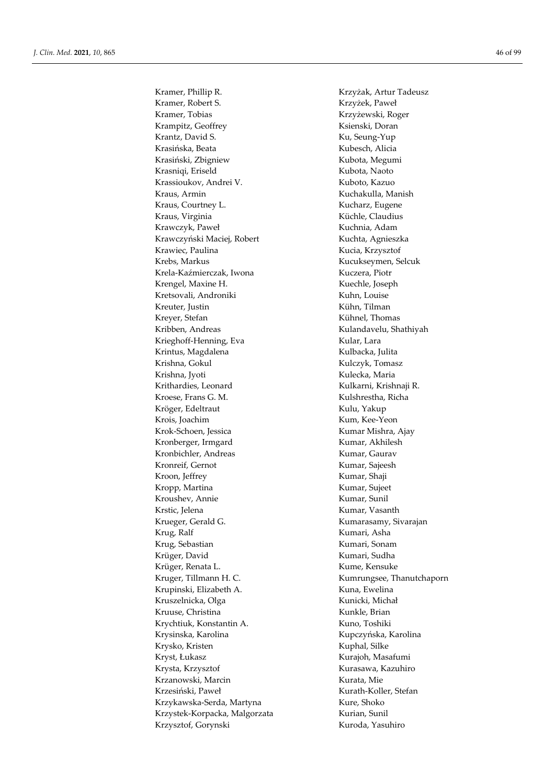Kramer, Robert S. Krzyżek, Paweł Kramer, Tobias Krzyżewski, Roger Krampitz, Geoffrey Ksienski, Doran Krantz, David S. Ku, Seung-Yup Krasińska, Beata Kubesch, Alicia Krasiński, Zbigniew Kubota, Megumi Krasniqi, Eriseld Kubota, Naoto Krassioukov, Andrei V. Kuboto, Kazuo Kraus, Armin Kuchakulla, Manish Kraus, Courtney L. Kucharz, Eugene Kraus, Virginia **Küchle, Claudius** Küchle, Claudius Krawczyk, Paweł **Kuchnia**, Adam Krawczyński Maciej, Robert Kuchta, Agnieszka Krawiec, Paulina Kucia, Krzysztof Krebs, Markus Kucukseymen, Selcuk Krela-Kaźmierczak, Iwona Kuczera, Piotr Krengel, Maxine H. Kuechle, Joseph Kretsovali, Androniki Kuhn, Louise Kreuter, Justin Kühn, Tilman Kreyer, Stefan Kühnel, Thomas Kribben, Andreas Kulandavelu, Shathiyah Krieghoff-Henning, Eva Kular, Lara Krintus, Magdalena **Kulbacka**, Julita Krishna, Gokul **Kulczyk, Tomasz** Krishna, Jyoti Kulecka, Maria Krithardies, Leonard Kulkarni, Krishnaji R. Kroese, Frans G. M. Kulshrestha, Richa Kröger, Edeltraut Kulu, Yakup Krois, Joachim Kum, Kee-Yeon Krok-Schoen, Jessica Kumar Mishra, Ajay Kronberger, Irmgard Kumar, Akhilesh Kronbichler, Andreas Kumar, Gaurav Kronreif, Gernot Kumar, Sajeesh Kroon, Jeffrey Kumar, Shaji Kropp, Martina **Kumar, Sujeet** Kroushev, Annie Kumar, Sunil Krstic, Jelena **Kumar, Vasanth** Krueger, Gerald G. Kumarasamy, Sivarajan Krug, Ralf Kumari, Asha Krug, Sebastian Kumari, Sonam Krüger, David Kumari, Sudha Krüger, Renata L. Kume, Kensuke Kruger, Tillmann H. C. Sandbotten and Kumrungsee, Thanutchaporn Krupinski, Elizabeth A. Kuna, Ewelina Kruszelnicka, Olga Kunicki, Michał Kruuse, Christina Kunkle, Brian Krychtiuk, Konstantin A. Kuno, Toshiki Krysinska, Karolina **Krysinska, Karolina** Krysko, Kristen Kuphal, Silke Kryst, Łukasz Kurajoh, Masafumi Krysta, Krzysztof **Kurasawa, Kazuhiro** Kurasawa, Kazuhiro Krzanowski, Marcin **Krzanowski, Marcin** Kurata, Mie Krzesiński, Paweł Kurath-Koller, Stefan Krzykawska-Serda, Martyna Kure, Shoko Krzystek-Korpacka, Malgorzata Kurian, Sunil Krzysztof, Gorynski Kuroda, Yasuhiro

Kramer, Phillip R. Krzyżak, Artur Tadeusz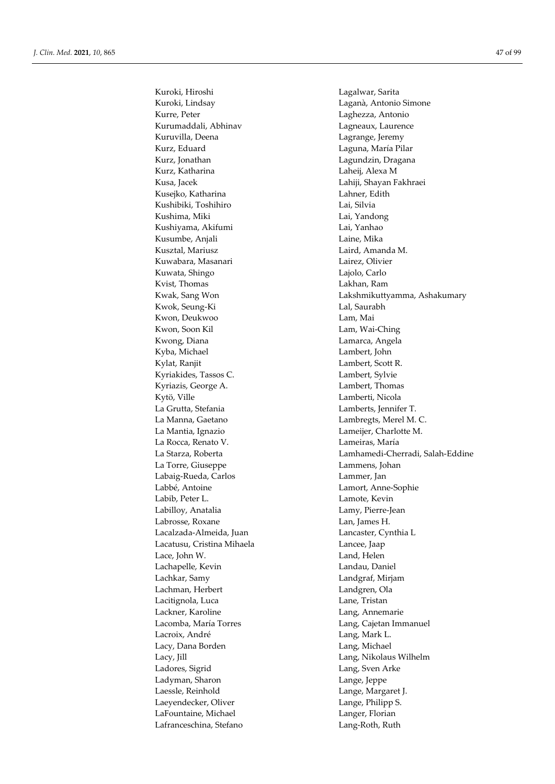Kuroki, Hiroshi Lagalwar, Sarita Kuroki, Lindsay Laganà, Antonio Simone Kurre, Peter Laghezza, Antonio Kurumaddali, Abhinav Lagneaux, Laurence Kuruvilla, Deena **Lagrange**, Jeremy Kurz, Eduard Laguna, María Pilar Kurz, Jonathan Lagundzin, Dragana Kurz, Katharina Laheij, Alexa M Kusa, Jacek Lahiji, Shayan Fakhraei Kusejko, Katharina **Lahner**, Edith Kushibiki, Toshihiro Lai, Silvia Kushima, Miki **Lai, Yandong** Kushiyama, Akifumi Lai, Yanhao Kusumbe, Anjali **Laine**, Mika Kusztal, Mariusz Laird, Amanda M. Kuwabara, Masanari Lairez, Olivier Kuwata, Shingo Lajolo, Carlo Kvist, Thomas **Lakhan**, Ram Kwok, Seung-Ki **Lal**, Saurabh Kwon, Deukwoo Lam, Mai Kwon, Soon Kil Lam, Wai-Ching Kwong, Diana Lamarca, Angela Kyba, Michael Lambert, John Kylat, Ranjit **Lambert**, Scott R. Kyriakides, Tassos C. Lambert, Sylvie Kyriazis, George A. Lambert, Thomas Kytö, Ville Lamberti, Nicola La Grutta, Stefania Lamberts, Jennifer T. La Manna, Gaetano **Lambregts**, Merel M. C. La Mantia, Ignazio Lameijer, Charlotte M. La Rocca, Renato V. Lameiras, María La Torre, Giuseppe Lammens, Johan Labaig-Rueda, Carlos Lammer, Jan Labbé, Antoine Lamort, Anne-Sophie Labib, Peter L. Lamote, Kevin Labilloy, Anatalia Lamy, Pierre-Jean Labrosse, Roxane Lan, James H. Lacalzada-Almeida, Juan Lancaster, Cynthia L Lacatusu, Cristina Mihaela Lancee, Jaap Lace, John W. Land, Helen Lachapelle, Kevin Landau, Daniel Lachkar, Samy Landgraf, Mirjam Lachman, Herbert Landgren, Ola Lacitignola, Luca Lane, Tristan Lackner, Karoline **Lang, Annemarie** Lacomba, María Torres **Lang, Cajetan Immanuel** Lacroix, André **Lang, Mark L.** Lacy, Dana Borden **Lang, Michael** Lacy, Jill Lang, Nikolaus Wilhelm Ladores, Sigrid Lang, Sven Arke Ladyman, Sharon Lange, Jeppe Laessle, Reinhold Lange, Margaret J. Laeyendecker, Oliver Lange, Philipp S. LaFountaine, Michael Langer, Florian Lafranceschina, Stefano Lang-Roth, Ruth

Kwak, Sang Won Lakshmikuttyamma, Ashakumary La Starza, Roberta Lamhamedi-Cherradi, Salah-Eddine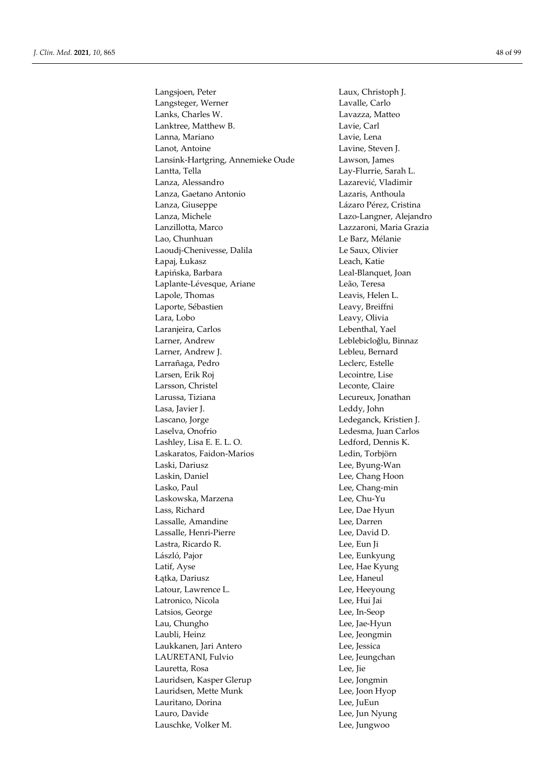Langsjoen, Peter Laux, Christoph J. Langsteger, Werner Lavalle, Carlo Lanks, Charles W. Lavazza, Matteo Lanktree, Matthew B. Lavie, Carl Lanna, Mariano Lavie, Lena Lanot, Antoine Lavine, Steven J. Lansink-Hartgring, Annemieke Oude Lawson, James Lantta, Tella **Lay-Flurrie**, Sarah L. Lanza, Alessandro Lazarević, Vladimir Lanza, Gaetano Antonio Lazaris, Anthoula Lanza, Giuseppe Lázaro Pérez, Cristina Lanza, Michele Lazo-Langner, Alejandro Lanzillotta, Marco Lazzaroni, Maria Grazia Lao, Chunhuan Le Barz, Mélanie Laoudj-Chenivesse, Dalila Le Saux, Olivier Łapaj, Łukasz Leach, Katie Łapińska, Barbara Leal-Blanquet, Joan Laplante-Lévesque, Ariane Leão, Teresa Lapole, Thomas Leavis, Helen L. Laporte, Sébastien Leavy, Breiffni Lara, Lobo Leavy, Olivia Laranjeira, Carlos Lebenthal, Yael Larner, Andrew Leblebicǐoǧlu, Binnaz Larner, Andrew J. Lebleu, Bernard Larrañaga, Pedro Leclerc, Estelle Larsen, Erik Roj Lecointre, Lise Larsson, Christel Leconte, Claire Larussa, Tiziana Lecureux, Jonathan Lasa, Javier J. Leddy, John Lascano, Jorge Ledeganck, Kristien J. Laselva, Onofrio Ledesma, Juan Carlos Lashley, Lisa E. E. L. O. Ledford, Dennis K. Laskaratos, Faidon-Marios Ledin, Torbjörn Laski, Dariusz Lee, Byung-Wan Laskin, Daniel Lee, Chang Hoon Lasko, Paul **Lasko**, Paul **Lee**, Chang-min Laskowska, Marzena Lee, Chu-Yu Lass, Richard Lee, Dae Hyun Lassalle, Amandine Lee, Darren Lassalle, Henri-Pierre Lee, David D. Lastra, Ricardo R. Lee, Eun Ji László, Pajor Lee, Eunkyung Latif, Ayse Lee, Hae Kyung Łątka, Dariusz Lee, Haneul Latour, Lawrence L. Lee, Heeyoung Latronico, Nicola Lee, Hui Jai Latsios, George Lee, In-Seop Lau, Chungho Lee, Jae-Hyun Laubli, Heinz Lee, Jeongmin Laukkanen, Jari Antero Lee, Jessica LAURETANI, Fulvio Lee, Jeungchan Lauretta, Rosa Lee, Jie Lauridsen, Kasper Glerup Lee, Jongmin Lauridsen, Mette Munk Lee, Joon Hyop Lauritano, Dorina Lee, JuEun Lauro, Davide Lee, Jun Nyung Lauschke, Volker M. Communication and Lee, Jungwoo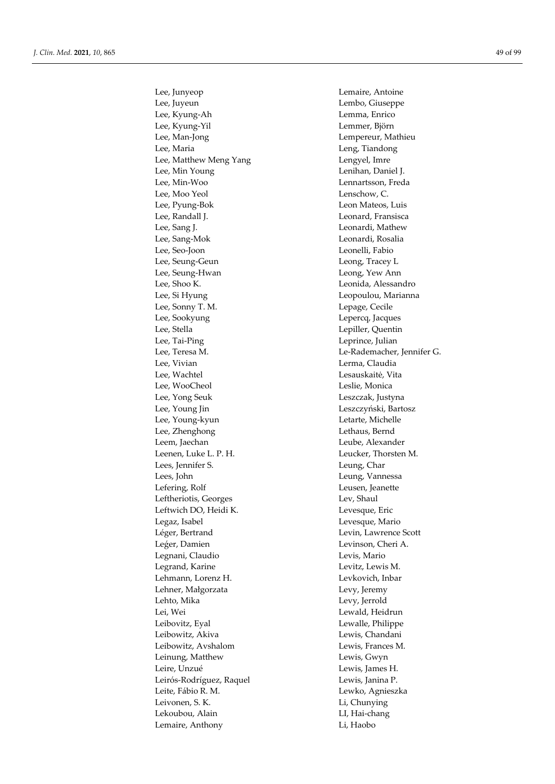Lee, Junyeop Lemaire, Antoine Lee, Juyeun Lembo, Giuseppe Lee, Kyung-Ah Lemma, Enrico Lee, Kyung-Yil Lemmer, Björn Lee, Man-Jong Lempereur, Mathieu Lee, Maria Leng, Tiandong Lee, Matthew Meng Yang Theory Lengyel, Imre Lee, Min Young Lenihan, Daniel J. Lee, Min-Woo Lennartsson, Freda Lee, Moo Yeol Lenschow, C. Lee, Pyung-Bok Leon Mateos, Luis Lee, Randall J. Leonard, Fransisca Lee, Sang J. **Leonardi**, Mathew Lee, Sang-Mok Leonardi, Rosalia Lee, Seo-Joon Leonelli, Fabio Lee, Seung-Geun Leong, Tracey L Lee, Seung-Hwan Leong, Yew Ann Lee, Shoo K. Leonida, Alessandro Lee, Si Hyung Leopoulou, Marianna Lee, Sonny T. M. Lepage, Cecile Lee, Sookyung Lepercq, Jacques Lee, Stella Lepiller, Quentin Lee, Tai-Ping Leprince, Julian Lee, Teresa M. Le-Rademacher, Jennifer G. Lee, Vivian Lerma, Claudia Lee, Wachtel Lesauskaitė, Vita Lee, WooCheol Leslie, Monica Lee, Yong Seuk Leszczak, Justyna Lee, Young Jin Leszczyński, Bartosz Lee, Young-kyun Letarte, Michelle Lee, Zhenghong and Lethaus, Bernd Leem, Jaechan Leube, Alexander Leenen, Luke L. P. H. Leucker, Thorsten M. Lees, Jennifer S. Leung, Char Lees, John Leung, Vannessa Lefering, Rolf **Leusen**, Jeanette Leftheriotis, Georges Lev, Shaul Leftwich DO, Heidi K. Levesque, Eric Legaz, Isabel Levesque, Mario Léger, Bertrand Levin, Lawrence Scott Leger, Damien Levinson, Cheri A. Legnani, Claudio **Legnani**, Claudio Legrand, Karine **Legrand, Karine** Levitz, Lewis M. Lehmann, Lorenz H. Levkovich, Inbar Lehner, Małgorzata Levy, Jeremy Lehto, Mika Levy, Jerrold Lei, Wei Lewald, Heidrun Leibovitz, Eyal Lewalle, Philippe Leibowitz, Akiva Lewis, Chandani Leibowitz, Avshalom Lewis, Frances M. Leinung, Matthew Lewis, Gwyn Leire, Unzué Lewis, James H. Leirós-Rodríguez, Raquel Lewis, Janina P. Leite, Fábio R. M. Lewko, Agnieszka Leivonen, S. K. Li, Chunying Lekoubou, Alain LI, Hai-chang Lemaire, Anthony Li, Haobo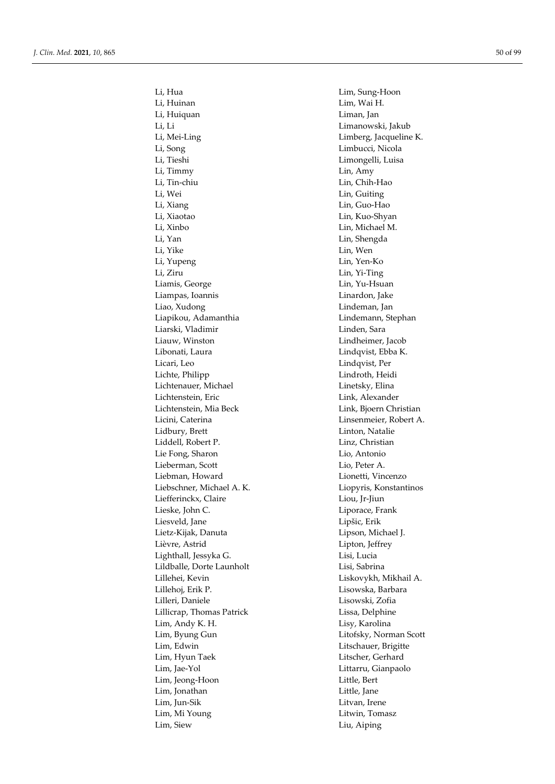Li, Huinan Lim, Wai H. Li, Huiquan Liman, Jan Li, Li Limanowski, Jakub Li, Mei-Ling Limberg, Jacqueline K. Li, Song Limbucci, Nicola Li, Tieshi Limongelli, Luisa Li, Timmy Lin, Amy Li, Tin-chiu Lin, Chih-Hao Li, Wei Lin, Guiting Li, Xiang Lin, Guo-Hao Li, Xiaotao Lin, Kuo-Shyan Li, Xinbo Lin, Michael M. Li, Yan Lin, Shengda Li, Yike Lin, Wen Li, Yupeng Lin, Yen-Ko Li, Ziru Lin, Yi-Ting Liamis, George Lin, Yu-Hsuan Liampas, Ioannis Linardon, Jake Liao, Xudong Lindeman, Jan Liapikou, Adamanthia Lindemann, Stephan Liarski, Vladimir Linden, Sara Liauw, Winston Lindheimer, Jacob Libonati, Laura Lindqvist, Ebba K. Licari, Leo Lindqvist, Per Lichte, Philipp Lindroth, Heidi Lichtenauer, Michael Linetsky, Elina Lichtenstein, Eric Link, Alexander Lichtenstein, Mia Beck Link, Bjoern Christian Licini, Caterina Linsenmeier, Robert A. Lidbury, Brett Linton, Natalie Liddell, Robert P. Linz, Christian Lie Fong, Sharon Lio, Antonio Lieberman, Scott Lio, Peter A. Liebman, Howard Lionetti, Vincenzo Liebschner, Michael A. K. Liopyris, Konstantinos Liefferinckx, Claire Liou, Jr-Jiun Lieske, John C. **Liporace**, Frank Liesveld, Jane Lipšic, Erik Lietz-Kijak, Danuta Lipson, Michael J. Lièvre, Astrid Lipton, Jeffrey Lighthall, Jessyka G. Lisi, Lucia Lildballe, Dorte Launholt Lisi, Sabrina Lillehei, Kevin Liskovykh, Mikhail A. Lillehoj, Erik P. Lisowska, Barbara Lilleri, Daniele Lisowski, Zofia Lillicrap, Thomas Patrick Lissa, Delphine Lim, Andy K. H. Lisy, Karolina Lim, Byung Gun Litofsky, Norman Scott Lim, Edwin Litschauer, Brigitte Lim, Hyun Taek Litscher, Gerhard Lim, Jae-Yol Littarru, Gianpaolo Lim, Jeong-Hoon Little, Bert Lim, Jonathan Little, Jane Lim, Jun-Sik Litvan, Irene Lim, Mi Young Litwin, Tomasz Lim, Siew Liu, Aiping

Li, Hua Lim, Sung-Hoon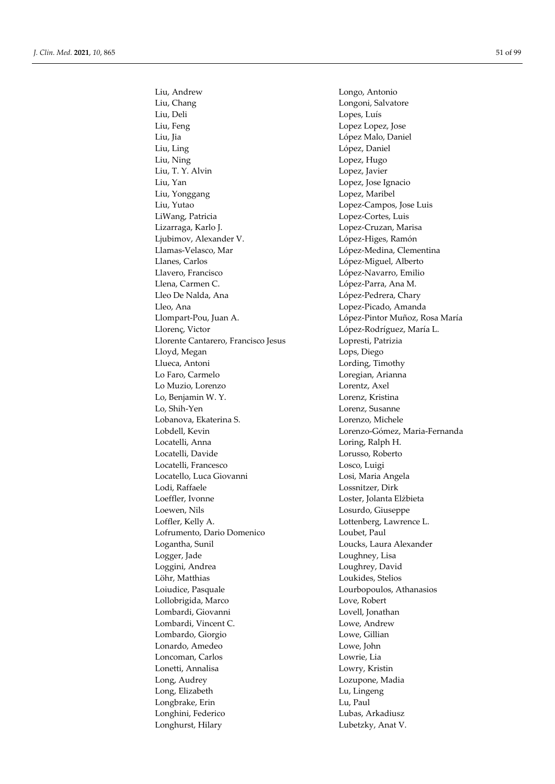Liu, Andrew Longo, Antonio Liu, Chang Longoni, Salvatore Liu, Deli Lopes, Luís Liu, Feng Lopez Lopez, Jose Liu, Jia López Malo, Daniel Liu, Ling López, Daniel Liu, Ning Lopez, Hugo Liu, T. Y. Alvin Lopez, Javier Liu, Yan Lopez, Jose Ignacio Liu, Yonggang Lopez, Maribel Liu, Yutao Lopez-Campos, Jose Luis LiWang, Patricia Lopez-Cortes, Luis Lizarraga, Karlo J. Lopez-Cruzan, Marisa Ljubimov, Alexander V. López-Higes, Ramón Llamas-Velasco, Mar López-Medina, Clementina Llanes, Carlos López-Miguel, Alberto Llavero, Francisco López-Navarro, Emilio Llena, Carmen C. **López-Parra**, Ana M. Lleo De Nalda, Ana **López-Pedrera**, Chary Lleo, Ana Lopez-Picado, Amanda Llompart-Pou, Juan A. López-Pintor Muñoz, Rosa María Llorenç, Victor López-Rodríguez, María L. Llorente Cantarero, Francisco Jesus Lopresti, Patrizia Lloyd, Megan Lops, Diego Llueca, Antoni Lording, Timothy Lo Faro, Carmelo **Loregian**, Arianna Lo Muzio, Lorenzo Lorentz, Axel Lo, Benjamin W. Y. Lorenz, Kristina Lo, Shih-Yen Lorenz, Susanne Lobanova, Ekaterina S. Lorenzo, Michele Lobdell, Kevin Lorenzo-Gómez, Maria-Fernanda Locatelli, Anna Loring, Ralph H. Locatelli, Davide Lorusso, Roberto Locatelli, Francesco Losco, Luigi Locatello, Luca Giovanni Losi, Maria Angela Lodi, Raffaele Lossnitzer, Dirk Loeffler, Ivonne Loster, Jolanta Elżbieta Loewen, Nils Losurdo, Giuseppe Loffler, Kelly A. Lottenberg, Lawrence L. Lofrumento, Dario Domenico Loubet, Paul Logantha, Sunil Loucks, Laura Alexander Logger, Jade Loughney, Lisa Loggini, Andrea Loughrey, David Löhr, Matthias Loukides, Stelios Loiudice, Pasquale Lourbopoulos, Athanasios Lollobrigida, Marco Love, Robert Lombardi, Giovanni Lovell, Jonathan Lombardi, Vincent C. Lovel Lowe, Andrew Lowe, Andrew Lowe, Andrew Lowe, Andrew Lowe, Andrew Lowe, Andrew Lowe,  $\frac{1}{2}$ Lombardi, Vincent C. Lombardo, Giorgio Lowe, Gillian Lonardo, Amedeo Lowe, John Loncoman, Carlos Lowrie, Lia Lonetti, Annalisa Lowry, Kristin Long, Audrey Lozupone, Madia Long, Elizabeth Lu, Lingeng Longbrake, Erin Lu, Paul Longhini, Federico Lubas, Arkadiusz Longhurst, Hilary Lubetzky, Anat V.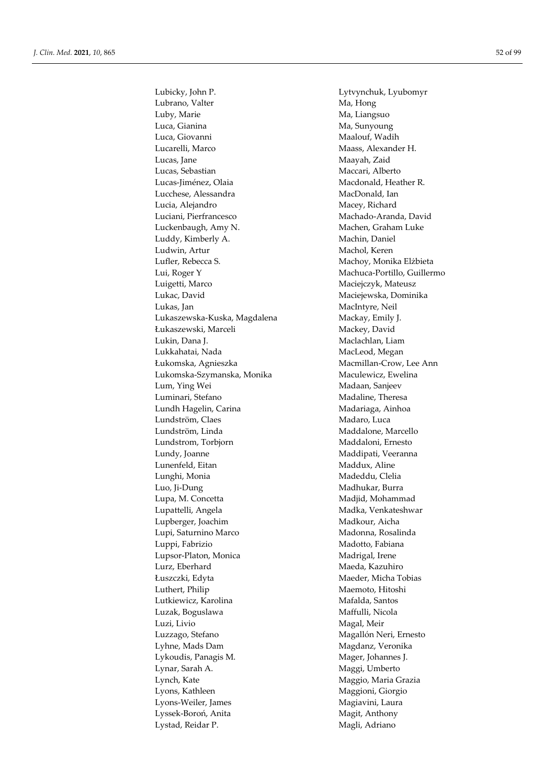Lubrano, Valter Ma, Hong Luby, Marie Ma, Liangsuo Luca, Gianina Ma, Sunyoung Luca, Giovanni Maalouf, Wadih Lucarelli, Marco Maass, Alexander H. Lucas, Jane Maayah, Zaid Lucas, Sebastian Maccari, Alberto Lucas-Jiménez, Olaia Macdonald, Heather R. Lucchese, Alessandra MacDonald, Ian Lucia, Alejandro Macey, Richard Luciani, Pierfrancesco Machado-Aranda, David Luckenbaugh, Amy N. Machen, Graham Luke Luddy, Kimberly A. Machin, Daniel Ludwin, Artur Machol, Keren Lufler, Rebecca S. Machoy, Monika Elżbieta Lui, Roger Y Machuca-Portillo, Guillermo Luigetti, Marco Maciejczyk, Mateusz Lukac, David Maciejewska, Dominika Lukas, Jan MacIntyre, Neil Lukaszewska-Kuska, Magdalena Mackay, Emily J. Łukaszewski, Marceli Mackey, David Lukin, Dana J. Maclachlan, Liam Lukkahatai, Nada MacLeod, Megan Łukomska, Agnieszka Macmillan-Crow, Lee Ann Lukomska-Szymanska, Monika Maculewicz, Ewelina Lum, Ying Wei Madaan, Sanjeev Luminari, Stefano Madaline, Theresa Lundh Hagelin, Carina Madariaga, Ainhoa Lundström, Claes Madaro, Luca Lundström, Linda Maddalone, Marcello Lundstrom, Torbjorn Maddaloni, Ernesto Lundy, Joanne Maddipati, Veeranna Lunenfeld, Eitan Maddux, Aline Lunghi, Monia **Madeddu, Clelia** Luo, Ji-Dung Madhukar, Burra Lupa, M. Concetta **Madjid**, Mohammad Lupattelli, Angela Madka, Venkateshwar Lupberger, Joachim Madkour, Aicha Lupi, Saturnino Marco Madonna, Rosalinda Luppi, Fabrizio Madotto, Fabiana Lupsor-Platon, Monica Madrigal, Irene Lurz, Eberhard Maeda, Kazuhiro Łuszczki, Edyta **Magder**, Micha Tobias Luthert, Philip Maemoto, Hitoshi Lutkiewicz, Karolina Mafalda, Santos Luzak, Boguslawa Maffulli, Nicola Luzi, Livio Magal, Meir Luzzago, Stefano Magallón Neri, Ernesto Lyhne, Mads Dam Magdanz, Veronika Lykoudis, Panagis M. Mager, Johannes J. Lynar, Sarah A. Maggi, Umberto Lynch, Kate Maggio, Maria Grazia Lyons, Kathleen Maggioni, Giorgio Lyons-Weiler, James Magiavini, Laura Lyssek-Boroń, Anita Magit, Anthony Lystad, Reidar P. Magli, Adriano

Lubicky, John P. Lytvynchuk, Lyubomyr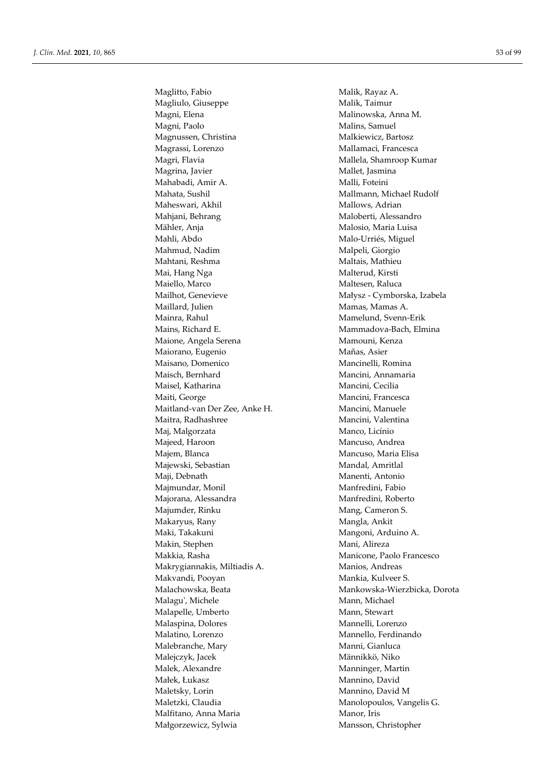Maglitto, Fabio Malik, Rayaz A. Magliulo, Giuseppe Malik, Taimur Magni, Elena Malinowska, Anna M. Magni, Paolo **Malins**, Samuel Magnussen, Christina Malkiewicz, Bartosz Magrassi, Lorenzo Mallamaci, Francesca Magri, Flavia Mallela, Shamroop Kumar Magrina, Javier **Mallet**, Jasmina Mahabadi, Amir A. Malli, Foteini Mahata, Sushil Mallmann, Michael Rudolf Maheswari, Akhil Mallows, Adrian Mahjani, Behrang Maloberti, Alessandro Mähler, Anja Malosio, Maria Luisa Mahli, Abdo Malo-Urriés, Miguel Mahmud, Nadim Malpeli, Giorgio Mahtani, Reshma Maltais, Mathieu Mai, Hang Nga **Malterud**, Kirsti Maiello, Marco **Maltesen**, Raluca Mailhot, Genevieve Małysz - Cymborska, Izabela Maillard, Julien Mamas, Mamas, Mamas A. Mainra, Rahul Mamelund, Svenn-Erik Mains, Richard E. Mammadova-Bach, Elmina Maione, Angela Serena Mamouni, Kenza Maiorano, Eugenio Mañas, Asier Maisano, Domenico **Mancinelli**, Romina Maisch, Bernhard Mancini, Annamaria Maisel, Katharina Mancini, Cecilia Maiti, George Mancini, Francesca Maitland-van Der Zee, Anke H. Mancini, Manuele Maitra, Radhashree Mancini, Valentina Maj, Malgorzata Manco, Licínio Majeed, Haroon Mancuso, Andrea Majem, Blanca Mancuso, Maria Elisa Majewski, Sebastian Mandal, Amritlal Maji, Debnath Manenti, Antonio Majmundar, Monil Manfredini, Fabio Majorana, Alessandra Manfredini, Roberto Majumder, Rinku Mang, Cameron S. Makaryus, Rany **Makaryus, Rany Mangla, Ankit** Maki, Takakuni Mangoni, Arduino A. Makin, Stephen Mani, Alireza Makkia, Rasha Manicone, Paolo Francesco Makrygiannakis, Miltiadis A. Manios, Andreas Makvandi, Pooyan Mankia, Kulveer S. Malagu', Michele Mann, Michael Malapelle, Umberto Mann, Stewart Malaspina, Dolores Mannelli, Lorenzo Malatino, Lorenzo Mannello, Ferdinando Malebranche, Mary Manni, Gianluca Malejczyk, Jacek Männikkö, Niko Malek, Alexandre Manninger, Martin Małek, Łukasz Mannino, David Maletsky, Lorin Mannino, David M Maletzki, Claudia Manolopoulos, Vangelis G. Malfitano, Anna Maria Manor, Iris Małgorzewicz, Sylwia Mansson, Christopher

Malachowska, Beata Mankowska-Wierzbicka, Dorota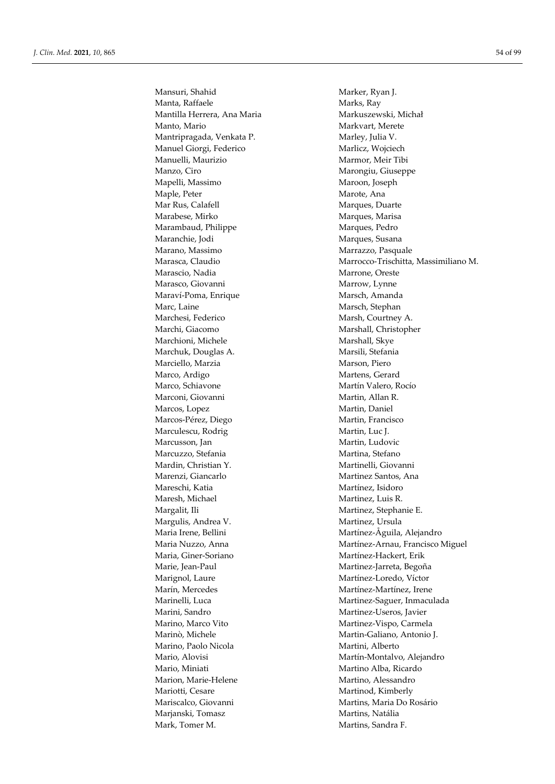Mansuri, Shahid Marker, Ryan J. Manta, Raffaele Marks, Ray Mantilla Herrera, Ana Maria **Markuszewski**, Michał Manto, Mario **Manto, Manto, Manto, Manto, Manto, Manto**, Merete Mantripragada, Venkata P. Marley, Julia V. Manuel Giorgi, Federico Marlicz, Wojciech Manuelli, Maurizio Marmor, Meir Tibi Manzo, Ciro Marongiu, Giuseppe Mapelli, Massimo Maroon, Joseph Maple, Peter Marote, Ana Mar Rus, Calafell Marques, Duarte Marabese, Mirko Marques, Marisa Marambaud, Philippe Marques, Pedro Maranchie, Jodi Marques, Susana Marano, Massimo **Marrazzo**, Pasquale Marascio, Nadia Marrone, Oreste Marasco, Giovanni Marrow, Lynne Maraví-Poma, Enrique Marsch, Amanda Marc, Laine Marsch, Stephan Marchesi, Federico Marsh, Courtney A. Marchi, Giacomo Marshall, Christopher Marchioni, Michele Marshall, Skye Marchuk, Douglas A. Marsili, Stefania Marciello, Marzia **Marciello, Marzia III. Estableceu e Marson**, Piero Marco, Ardigo Martens, Gerard Marco, Schiavone Martín Valero, Rocío Marconi, Giovanni Martin, Allan R. Marcos, Lopez Martin, Daniel Marcos-Pérez, Diego Martin, Francisco Marculescu, Rodrig Martin, Luc J. Marcusson, Jan Martin, Ludovic Marcuzzo, Stefania Martina, Stefano Mardin, Christian Y. Martinelli, Giovanni Marenzi, Giancarlo Martinez Santos, Ana Mareschi, Katia Martínez, Isidoro Maresh, Michael Martinez, Luis R. Margalit, Ili Martinez, Stephanie E. Margulis, Andrea V. Martinez, Ursula Maria, Giner-Soriano Martínez-Hackert, Erik Marie, Jean-Paul Martinez-Jarreta, Begoña Marignol, Laure Martínez-Loredo, Víctor Marín, Mercedes Martínez-Martínez, Irene Marini, Sandro Martinez-Useros, Javier Marino, Marco Vito Martinez-Vispo, Carmela Marinò, Michele Martin-Galiano, Antonio J. Marino, Paolo Nicola Martini, Alberto Mario, Miniati Martino Alba, Ricardo Marion, Marie-Helene Martino, Alessandro Mariotti, Cesare Martinod, Kimberly Mariscalco, Giovanni Martins, Maria Do Rosário Marjanski, Tomasz Martins, Natália Mark, Tomer M. Natins, Sandra F.

Marasca, Claudio Marrocco-Trischitta, Massimiliano M. Maria Irene, Bellini Martínez-Åguila, Alejandro Maria Nuzzo, Anna **Martínez-Arnau, Francisco Miguel** Marinelli, Luca **Martinez-Saguer**, Inmaculada Mario, Alovisi Martín-Montalvo, Alejandro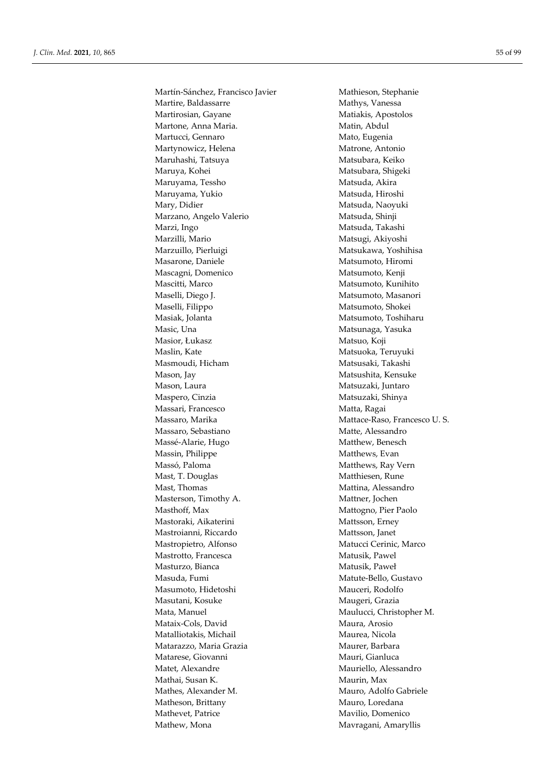Martín-Sánchez, Francisco Javier Mathieson, Stephanie Martire, Baldassarre Mathys, Vanessa Martirosian, Gayane Matiakis, Apostolos Martone, Anna Maria. 
(Matin, Abdul) Matin, Abdul Martucci, Gennaro **Mato, Eugenia** Martynowicz, Helena Matrone, Antonio Maruhashi, Tatsuya **Matsubara, Keiko** Matsubara, Keiko Maruya, Kohei Matsubara, Shigeki Maruyama, Tessho Matsuda, Akira Maruyama, Yukio Matsuda, Hiroshi Mary, Didier Matsuda, Naoyuki Marzano, Angelo Valerio Matsuda, Shinji Marzi, Ingo Matsuda, Takashi Marzilli, Mario Matsugi, Akiyoshi Marzuillo, Pierluigi Matsukawa, Yoshihisa Masarone, Daniele Matsumoto, Hiromi Mascagni, Domenico Matsumoto, Kenji Mascitti, Marco Matsumoto, Kunihito Maselli, Diego J. Matsumoto, Masanori Maselli, Filippo Matsumoto, Shokei Masiak, Jolanta Matsumoto, Toshiharu Masic, Una **Matsunaga, Yasuka** Masior, Łukasz Matsuo, Koji Maslin, Kate Matsuoka, Teruyuki Masmoudi, Hicham Matsusaki, Takashi Mason, Jay Matsushita, Kensuke Mason, Laura Matsuzaki, Juntaro Maspero, Cinzia **Matsuzaki**, Shinya Massari, Francesco Matta, Ragai Massaro, Marika Mattace-Raso, Francesco U.S. Massaro, Sebastiano Matte, Alessandro Massé-Alarie, Hugo Matthew, Benesch Massin, Philippe Matthews, Evan Massó, Paloma **Matthews**, Ray Vern Mast, T. Douglas Matthiesen, Rune Mast, Thomas Mattina, Alessandro Masterson, Timothy A. Mattner, Jochen Masthoff, Max Mattogno, Pier Paolo Mastoraki, Aikaterini Mattsson, Erney Mastroianni, Riccardo Mattsson, Janet Mastropietro, Alfonso Matucci Cerinic, Marco Mastrotto, Francesca Matusik, Pawel Masturzo, Bianca Matusik, Paweł Masuda, Fumi **Mature-Bello, Gustavo**<br>Masumoto, Hidetoshi **Mature-Mature-Mature-Mature-Mature-Mature-Mature-Mature-Mature-Mature-Mature-Mature-Mature-**Masumoto, Hidetoshi Masutani, Kosuke Maugeri, Grazia Mata, Manuel Maulucci, Christopher M. Mataix-Cols, David Maura, Arosio Matalliotakis, Michail Maurea, Nicola Matarazzo, Maria Grazia **Matarazzo, Maria Grazia** Maurer, Barbara Matarese, Giovanni **Matarese**, Giovanni Mauri, Gianluca Matet, Alexandre Mauriello, Alessandro Mathai. Susan K. Maurin, Max Mathes, Alexander M. Mauro, Adolfo Gabriele Matheson, Brittany Mauro, Loredana Mathevet, Patrice Mavilio, Domenico Mathew, Mona **Maximus** Mavragani, Amaryllis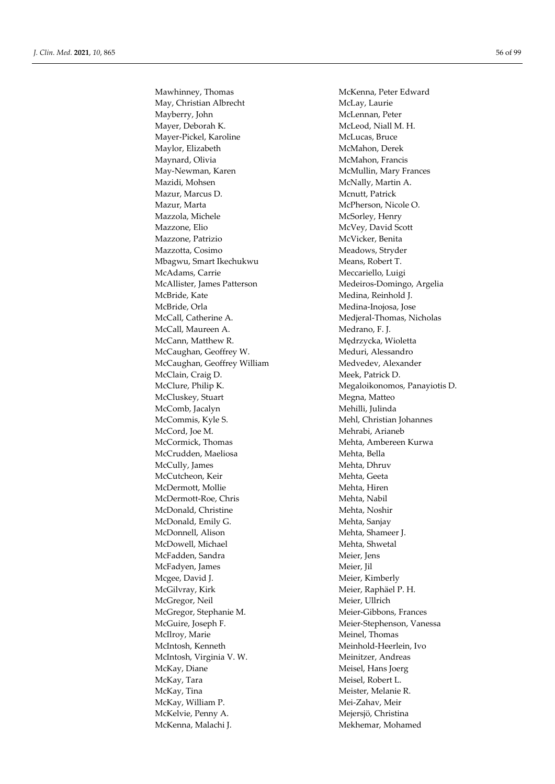May, Christian Albrecht McLay, Laurie Mayberry, John McLennan, Peter Mayer, Deborah K. McLeod, Niall M. H. Mayer-Pickel, Karoline McLucas, Bruce Maylor, Elizabeth McMahon, Derek Maynard, Olivia McMahon, Francis May-Newman, Karen McMullin, Mary Frances Mazidi, Mohsen McNally, Martin A. Mazur, Marcus D. Mcnutt, Patrick Mazur, Marta McPherson, Nicole O. Mazzola, Michele McSorley, Henry Mazzone, Elio McVey, David Scott Mazzone, Patrizio McVicker, Benita Mazzotta, Cosimo Meadows, Stryder Mbagwu, Smart Ikechukwu Means, Robert T. McAdams, Carrie Meccariello, Luigi McAllister, James Patterson Medeiros-Domingo, Argelia McBride, Kate Medina, Reinhold J. McBride, Orla Medina-Inojosa, Jose McCall, Catherine A. Medjeral-Thomas, Nicholas McCall, Maureen A. Medrano, F. J. McCann, Matthew R. Medrzycka, Wioletta McCaughan, Geoffrey W. Meduri, Alessandro McCaughan, Geoffrey William Medvedev, Alexander McClain, Craig D. Meek, Patrick D. McCluskey, Stuart Megna, Matteo McComb, Jacalyn Mehilli, Julinda McCommis, Kyle S. Mehl, Christian Johannes McCord, Joe M. Mehrabi, Arianeb McCormick, Thomas Mehta, Ambereen Kurwa McCrudden, Maeliosa Mehta, Bella McCully, James Mehta, Dhruv McCutcheon, Keir Mehta, Geeta McDermott, Mollie Mehta, Hiren McDermott-Roe, Chris Mehta, Nabil McDonald, Christine Mehta, Noshir McDonald, Emily G. Mehta, Sanjay McDonnell, Alison Mehta, Shameer J. McDowell, Michael Mehta, Shwetal McFadden, Sandra Meier, Jens McFadyen, James Meier, Jil Mcgee, David J. Meier, Kimberly McGilvray, Kirk Meier, Raphäel P. H. McGregor, Neil Meier, Ullrich McGregor, Stephanie M. Meier-Gibbons, Frances McGuire, Joseph F. Meier-Stephenson, Vanessa McIlroy, Marie Meinel, Thomas McIntosh, Kenneth Meinhold-Heerlein, Ivo McIntosh, Virginia V. W. Meinitzer, Andreas McKay, Diane Meisel, Hans Joerg McKay, Tara Meisel, Robert L. McKay, Tina Meister, Melanie R. McKay, William P. Mei-Zahav, Meir McKelvie, Penny A. Mejersjö, Christina McKenna, Malachi J. Mekhemar, Mohamed

Mawhinney, Thomas McKenna, Peter Edward McClure, Philip K. Megaloikonomos, Panayiotis D.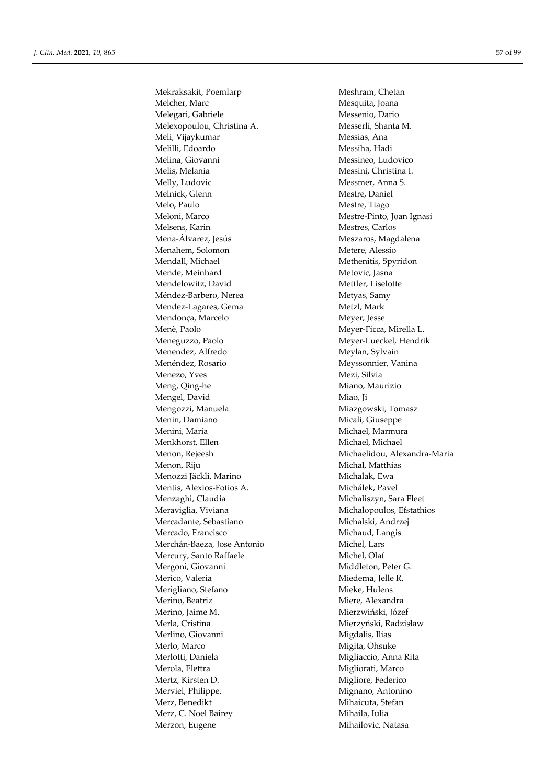Mekraksakit, Poemlarp Meshram, Chetan Melcher, Marc Mesquita, Joana Melegari, Gabriele Messenio, Dario Melexopoulou, Christina A. Messerli, Shanta M. Meli, Vijaykumar Messias, Ana Melilli, Edoardo Messiha, Hadi Melina, Giovanni Messineo, Ludovico Melis, Melania Messini, Christina I. Melly, Ludovic Messmer, Anna S. Melnick, Glenn Mestre, Daniel Melo, Paulo Mestre, Tiago Meloni, Marco Mestre-Pinto, Joan Ignasi Melsens, Karin Mestres, Carlos Mena-Álvarez, Jesús **Meszaros**, Magdalena Menahem, Solomon Metere, Alessio Mendall, Michael Methenitis, Spyridon Mende, Meinhard Metovic, Jasna Mendelowitz, David Mettler, Liselotte Méndez-Barbero, Nerea Metyas, Samy Mendez-Lagares, Gema<br>
Metzl, Mark Mendonça, Marcelo Meyer, Jesse Menè, Paolo Meyer-Ficca, Mirella L. Meneguzzo, Paolo Meyer-Lueckel, Hendrik Menendez, Alfredo Meylan, Sylvain Menéndez, Rosario **Meyssonnier**, Vanina Menezo, Yves Mezi, Silvia Meng, Qing-he Miano, Maurizio Mengel, David Miao, Ji Mengozzi, Manuela Miazgowski, Tomasz Menin, Damiano Micali, Giuseppe Menini, Maria **Michael**, Marmura Menkhorst, Ellen Michael, Michael, Michael Menon, Rejeesh Michaelidou, Alexandra-Maria Menon, Riju Michal, Matthias Menozzi Jäckli, Marino Michalak, Ewa Mentis, Alexios-Fotios A. Michálek, Pavel Menzaghi, Claudia Michaliszyn, Sara Fleet Meraviglia, Viviana Michalopoulos, Efstathios Mercadante, Sebastiano Michalski, Andrzej Mercado, Francisco Michaud, Langis Merchán-Baeza, Jose Antonio Michel, Lars Mercury, Santo Raffaele Michel, Olaf Mergoni, Giovanni Middleton, Peter G. Merico, Valeria Miedema, Jelle R. Merigliano, Stefano Mieke, Hulens Merino, Beatriz Miere, Alexandra Merino, Jaime M. Mierzwiński, Józef Merla, Cristina Mierzyński, Radzisław Merlino, Giovanni Migdalis, Ilias Merlo, Marco Migita, Ohsuke Merlotti, Daniela Migliaccio, Anna Rita Merola, Elettra Migliorati, Marco Mertz, Kirsten D. Migliore, Federico Merviel, Philippe. Mignano, Antonino Merz, Benedikt Mihaicuta, Stefan Merz, C. Noel Bairey Mihaila, Iulia Merzon, Eugene **Mihailovic**, Natasa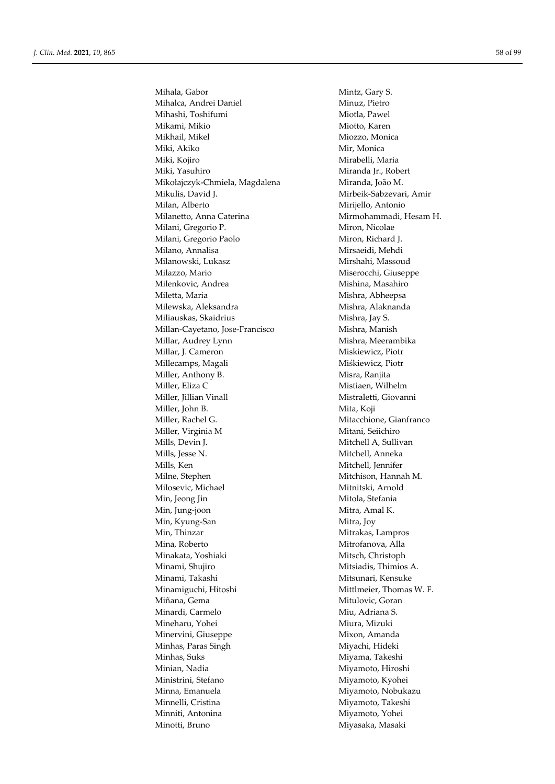Mihala, Gabor Mintz, Gary S. Mihalca, Andrei Daniel Minuz, Pietro Mihashi, Toshifumi Miotla, Pawel Mikami, Mikio **Michami, Michami, Michami**, Michami, Michami, Michami, Michami, Michami, Michami, Michami, Michami, Mikhail, Mikel Miozzo, Monica Miki, Akiko Mir, Monica Miki, Kojiro **Miki, Kojiro Miki, Kojiro Miki, Kojiro Miki, Maria** Miki, Yasuhiro Miranda Jr., Robert Mikołajczyk-Chmiela, Magdalena Miranda, João M. Mikulis, David J. Mirbeik-Sabzevari, Amir Milan, Alberto Mirijello, Antonio Milanetto, Anna Caterina **Mirmohammadi**, Hesam H. Milani, Gregorio P. Miron, Nicolae Milani, Gregorio Paolo Miron, Richard J. Milano, Annalisa Mirsaeidi, Mehdi Milanowski, Lukasz **Milanowski**, Lukasz Mirshahi, Massoud Milazzo, Mario Miserocchi, Giuseppe Milenkovic, Andrea Mishina, Masahiro Miletta, Maria **Mishra, Abheepsa** Milewska, Aleksandra Mishra, Alaknanda Miliauskas, Skaidrius Mishra, Jay S. Millan-Cayetano, Jose-Francisco Mishra, Manish Millar, Audrey Lynn Mishra, Meerambika Millar, J. Cameron Miskiewicz, Piotr Millecamps, Magali Miśkiewicz, Piotr Miller, Anthony B. Misra, Ranjita Miller, Eliza C<br>
Mistiaen, Wilhelm Miller, Jillian Vinall Mistraletti, Giovanni Miller, John B. Mita, Koji Miller, Rachel G. Mitacchione, Gianfranco Miller, Virginia M Mitani, Seiichiro Mills, Devin J. Mitchell A, Sullivan Mills, Jesse N. Mitchell, Anneka Mills, Ken Mitchell, Jennifer Milne, Stephen Mitchison, Hannah M. Milosevic, Michael Mitnitski, Arnold Min, Jeong Jin Mitola, Stefania Min, Jung-joon Mitra, Amal K. Min, Kyung-San Mitra, Joy Min, Thinzar Mitrakas, Lampros Mina, Roberto Mitrofanova, Alla Minakata, Yoshiaki Mitsch, Christoph Minami, Shujiro Mitsiadis, Thimios A. Minami, Takashi Mitsunari, Kensuke Minamiguchi, Hitoshi Mittlmeier, Thomas W. F. Miñana, Gema Mitulovic, Goran Minardi, Carmelo Miu, Adriana S. Mineharu, Yohei Miura, Mizuki Minervini, Giuseppe Mixon, Amanda Minhas, Paras Singh Miyachi, Hideki Minhas, Suks Miyama, Takeshi Minian, Nadia Miyamoto, Hiroshi Ministrini, Stefano Miyamoto, Kyohei Minna, Emanuela Miyamoto, Nobukazu Minnelli, Cristina Miyamoto, Takeshi Minniti, Antonina Miyamoto, Yohei Minotti, Bruno **Miyasaka**, Masaki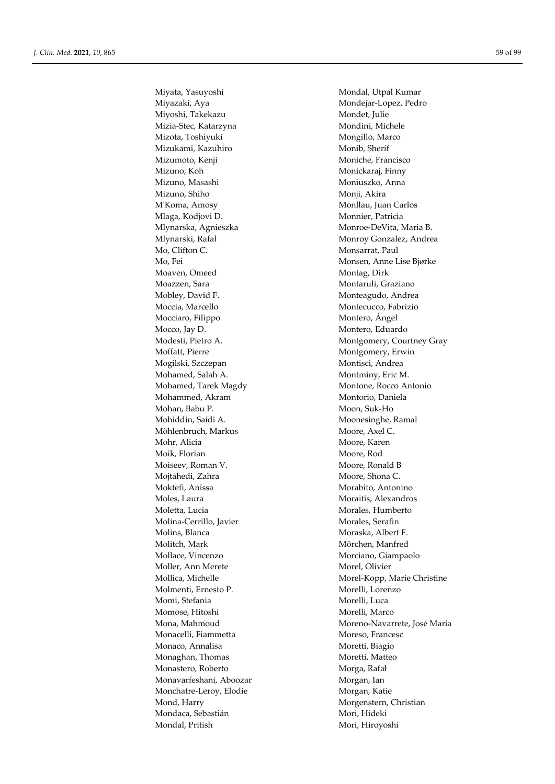Miyata, Yasuyoshi Mondal, Utpal Kumar Miyazaki, Aya Mondejar-Lopez, Pedro Miyoshi, Takekazu Mondet, Julie Mizia-Stec, Katarzyna Mondini, Michele Mizota, Toshiyuki Mongillo, Marco Mizukami, Kazuhiro Monib, Sherif Mizumoto, Kenji Moniche, Francisco Mizuno, Koh Monickaraj, Finny Mizuno, Masashi Moniuszko, Anna Mizuno, Shiho Monji, Akira M'Koma, Amosy Monllau, Juan Carlos Mlaga, Kodjovi D. Monnier, Patricia Mlynarska, Agnieszka Monroe-DeVita, Maria B. Mo, Clifton C. Monsarrat, Paul Moaven, Omeed Montag, Dirk Moazzen, Sara **Montaruli**, Graziano Mobley, David F. Monteagudo, Andrea Moccia, Marcello Montecucco, Fabrizio Mocciaro, Filippo Montero, Ángel Mocco, Jay D. Montero, Eduardo Moffatt, Pierre Montgomery, Erwin Mogilski, Szczepan Montisci, Andrea Mohamed, Salah A. Montminy, Eric M. Mohamed, Tarek Magdy Montone, Rocco Antonio Mohammed, Akram Montorio, Daniela Mohan, Babu P. Moon, Suk-Ho Mohiddin, Saidi A. Moonesinghe, Ramal Möhlenbruch, Markus Moore, Axel C. Mohr, Alicia Moore, Karen Moik, Florian Moore, Rod Moiseev, Roman V. Moore, Ronald B Mojtahedi, Zahra Moore, Shona C. Moktefi, Anissa Morabito, Antonino Moles, Laura Moraitis, Alexandros Moletta, Lucia **Morales, Humberto** Molina-Cerrillo, Javier Morales, Serafin Molins, Blanca Moraska, Albert F. Molitch, Mark Mörchen, Manfred Mollace, Vincenzo Morciano, Giampaolo Moller, Ann Merete Morel, Olivier Molmenti, Ernesto P. Morelli, Lorenzo Momi, Stefania Morelli, Luca Momose, Hitoshi Morelli, Marco Monacelli, Fiammetta Moreso, Francesc Monaco, Annalisa Moretti, Biagio Monaghan, Thomas Moretti, Matteo Monastero, Roberto Morga, Rafał Monavarfeshani, Aboozar Morgan, Ian Monchatre-Leroy, Elodie Morgan, Katie Mond, Harry Morgenstern, Christian Mondaca, Sebastián **Mori, Edita** Mori, Hideki Mondal, Pritish Mori, Hiroyoshi

Mlynarski, Rafal Monroy Gonzalez, Andrea Mo, Fei Monsen, Anne Lise Bjørke Modesti, Pietro A. Montgomery, Courtney Gray Mollica, Michelle Morel-Kopp, Marie Christine Mona, Mahmoud Moreno-Navarrete, José María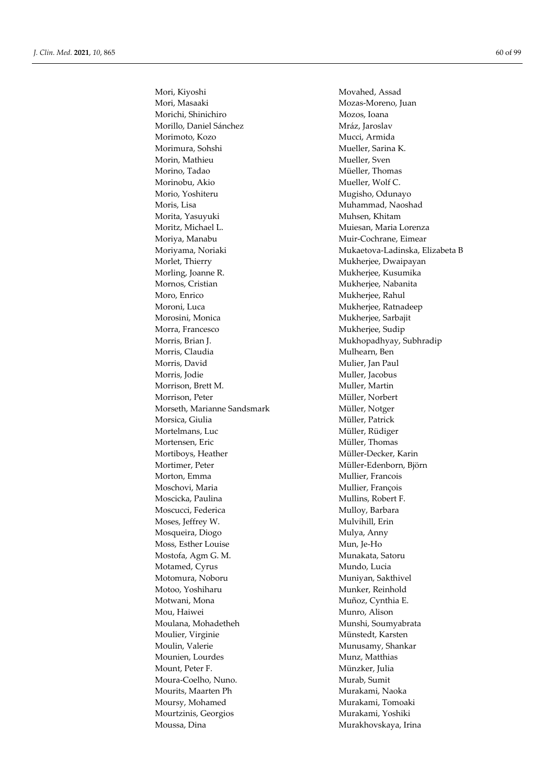Mori, Kiyoshi Movahed, Assad Mori, Masaaki Mozas-Moreno, Juan Morichi, Shinichiro Mozos, Ioana Morillo, Daniel Sánchez Mráz, Jaroslav Morimoto, Kozo Mucci, Armida Morimura, Sohshi Mueller, Sarina K. Morin, Mathieu Mueller, Sven Morino, Tadao **Müeller**, Thomas Morinobu, Akio Mueller, Wolf C. Morio, Yoshiteru Mugisho, Odunayo Moris, Lisa **Muhammad**, Naoshad Morita, Yasuyuki Muhsen, Khitam Moritz, Michael L. **Muiesan**, Maria Lorenza Moriya, Manabu Muir-Cochrane, Eimear Morlet, Thierry Mukherjee, Dwaipayan Morling, Joanne R. Mukherjee, Kusumika Mornos, Cristian Mukherjee, Nabanita Moro, Enrico Mukherjee, Rahul Moroni, Luca **Mukherjee**, Ratnadeep Morosini, Monica Mukherjee, Sarbajit Morra, Francesco Mukherjee, Sudip Morris, Brian J. Mukhopadhyay, Subhradip Morris, Claudia Mulhearn, Ben Morris, David Mulier, Jan Paul Morris, Jodie Muller, Jacobus Morrison, Brett M. Muller, Martin Morrison, Peter Müller, Norbert Morseth, Marianne Sandsmark Müller, Notger Morsica, Giulia Müller, Patrick Mortelmans, Luc Müller, Rüdiger Mortensen, Eric Müller, Thomas Mortiboys, Heather Müller-Decker, Karin Möttimer, Peter Müller-Edenborn, Björn Morton, Emma Mullier, Francois Moschovi, Maria **Mullier**, François Moscicka, Paulina Mullins, Robert F. Moscucci, Federica Mulloy, Barbara Moses, Jeffrey W. Mulvihill, Erin Mosqueira, Diogo Mulya, Anny Moss, Esther Louise Mun, Je-Ho Mostofa, Agm G. M. Munakata, Satoru Motamed, Cyrus Mundo, Lucia Motomura, Noboru **Munixan, Sakthivel** Motoo, Yoshiharu Munker, Reinhold Motwani, Mona Muñoz, Cynthia E. Mou, Haiwei Munro, Alison Moulana, Mohadetheh Munshi, Soumyabrata Moulier, Virginie Münstedt, Karsten Moulin, Valerie Munusamy, Shankar Mounien, Lourdes Munz, Matthias Mount, Peter F. Münzker, Julia Moura-Coelho, Nuno. Murab, Sumit Mourits, Maarten Ph<br>
Murakami, Naoka Moursy, Mohamed Murakami, Tomoaki Mourtzinis, Georgios Murakami, Yoshiki Moussa, Dina **Murakhovskaya**, Irina

Moriyama, Noriaki Mukaetova-Ladinska, Elizabeta B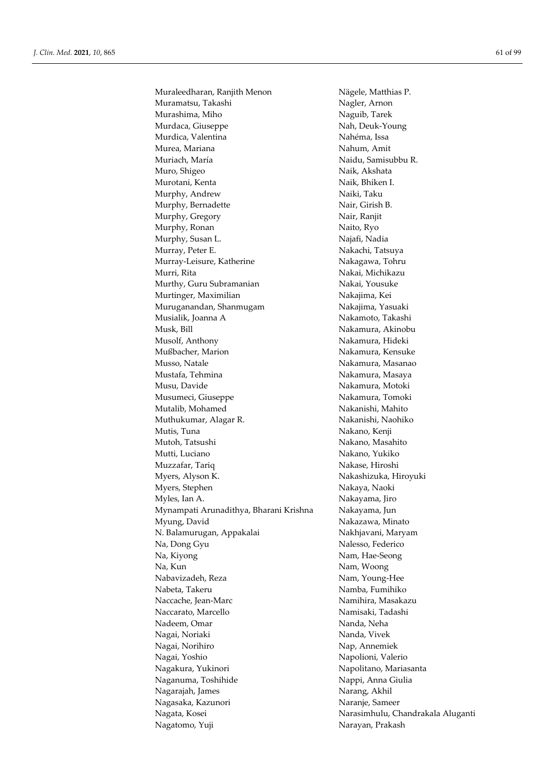Muraleedharan, Ranjith Menon Nägele, Matthias P. Muramatsu, Takashi Nagler, Arnon Murashima, Miho Naguib, Tarek Murdaca, Giuseppe Nah, Deuk-Young Murdica, Valentina Nahéma, Issa Murea, Mariana Nahum, Amit Muriach, María **Naidu, Samisubbu R.** Muro, Shigeo Naik, Akshata Murotani, Kenta Naik, Bhiken I. Murphy, Andrew Naiki, Taku Murphy, Bernadette Nair, Girish B. Murphy, Gregory Nair, Ranjit Murphy, Ronan Naito, Ryo Murphy, Susan L. Najafi, Nadia Murray, Peter E. Nakachi, Tatsuya Murray-Leisure, Katherine Nakagawa, Tohru Murri, Rita Nakai, Michikazu Murthy, Guru Subramanian Nakai, Yousuke Murtinger, Maximilian Nakajima, Kei Muruganandan, Shanmugam Nakajima, Yasuaki Musialik, Joanna A Nakamoto, Takashi Musk, Bill Nakamura, Akinobu Musolf, Anthony Nakamura, Hideki Mußbacher, Marion Nakamura, Kensuke Musso, Natale Nakamura, Masanao Mustafa, Tehmina **Nakamura, Masaya** Musu, Davide Nakamura, Motoki Musumeci, Giuseppe Nakamura, Tomoki Mutalib, Mohamed Nakanishi, Mahito Muthukumar, Alagar R. Nakanishi, Naohiko Mutis, Tuna Nakano, Kenji Mutoh, Tatsushi Nakano, Masahito Mutti, Luciano Nakano, Yukiko Muzzafar, Tariq Nakase, Hiroshi Myers, Alyson K. Nakashizuka, Hiroyuki Myers, Stephen Nakaya, Naoki Myles, Ian A. Nakayama, Jiro Mynampati Arunadithya, Bharani Krishna Nakayama, Jun Myung, David Nakazawa, Minato N. Balamurugan, Appakalai Nakhjavani, Maryam Na, Dong Gyu Nalesso, Federico Na, Kiyong Nam, Hae-Seong Na, Kun Nam, Woong Nabavizadeh, Reza Nam, Young-Hee Nabeta, Takeru Namba, Fumihiko Naccache, Jean-Marc Namihira, Masakazu Naccarato, Marcello Namisaki, Tadashi Nadeem, Omar Nanda, Neha Nagai, Noriaki Nanda, Vivek Nagai, Norihiro Nap, Annemiek Nagai, Yoshio Napolioni, Valerio Nagakura, Yukinori Napolitano, Mariasanta Naganuma, Toshihide Nappi, Anna Giulia Nagarajah, James Narang, Akhil Nagasaka, Kazunori **Nagasaka, Kazunori Naranje, Sameer** Nagata, Kosei Narasimhulu, Chandrakala Aluganti Nagatomo, Yuji Narayan, Prakash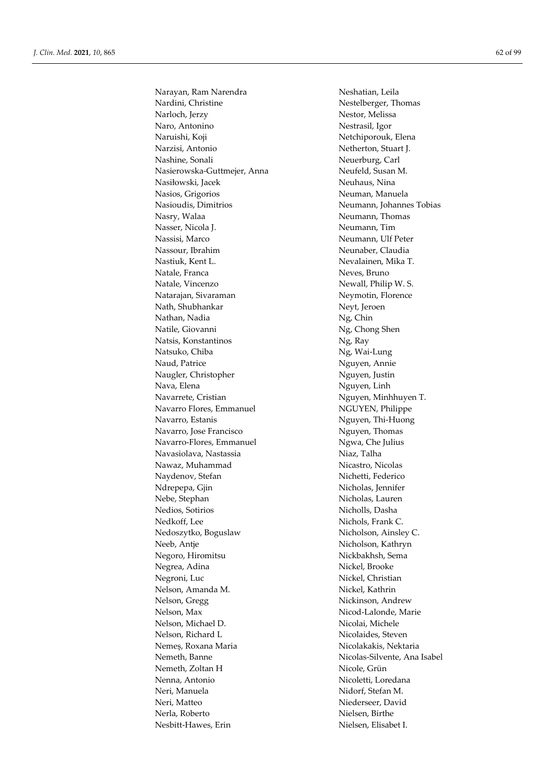Narayan, Ram Narendra Neshatian, Leila Nardini, Christine Nestelberger, Thomas Narloch, Jerzy Nestor, Melissa Naro, Antonino Nestrasil, Igor Naruishi, Koji Netchiporouk, Elena Narzisi, Antonio Netherton, Stuart J. Nashine, Sonali Neuerburg, Carl Nasierowska-Guttmejer, Anna Neufeld, Susan M. Nasiłowski, Jacek Neuhaus, Nina Nasios, Grigorios Neuman, Manuela Nasioudis, Dimitrios Neumann, Johannes Tobias Nasry, Walaa Neumann, Thomas Nasser, Nicola J. Neumann, Tim Nassisi, Marco Neumann, Ulf Peter Nassour, Ibrahim Neunaber, Claudia Nastiuk, Kent L. Nevalainen, Mika T. Natale, Franca Neves, Bruno Natale, Vincenzo Newall, Philip W. S. Natarajan, Sivaraman Neymotin, Florence Nath, Shubhankar Neyt, Jeroen Nathan, Nadia Ng, Chin Natile, Giovanni Ng, Chong Shen Natsis, Konstantinos Ng, Ray Natsuko, Chiba Ng, Wai-Lung Naud, Patrice Nguyen, Annie Naugler, Christopher Nguyen, Justin Nava, Elena Nguyen, Linh Navarrete, Cristian Nguyen, Minhhuyen T. Navarro Flores, Emmanuel NGUYEN, Philippe Navarro, Estanis Nguyen, Thi-Huong Navarro, Jose Francisco Nguyen, Thomas Navarro-Flores, Emmanuel Ngwa, Che Julius Navasiolava, Nastassia Niaz, Talha Nawaz, Muhammad Nicastro, Nicolas Naydenov, Stefan Nichetti, Federico Ndrepepa, Gjin Nicholas, Jennifer Nebe, Stephan Nicholas, Lauren Nedios, Sotirios Nicholls, Dasha Nedkoff, Lee Nichols, Frank C. Nedoszytko, Boguslaw Nicholson, Ainsley C. Neeb, Antje Nicholson, Kathryn Negoro, Hiromitsu Nickbakhsh, Sema Negrea, Adina Nickel, Brooke Negroni, Luc<br>
Nickel, Christian<br>
Nickel, Kathrin<br>
Nickel, Kathrin Nelson, Amanda M. Nelson, Gregg Nickinson, Andrew Nelson, Max Nicod-Lalonde, Marie Nelson, Michael D. Nicolai, Michele Nelson, Richard L<br>
Nicolaides, Steven Nemeș, Roxana Maria Nicolakakis, Nektaria Nicolas-Silvente, Ana Isabel Nemeth, Zoltan H Nicole, Grün Nenna, Antonio Nicoletti, Loredana Neri, Manuela Nidorf, Stefan M. Neri, Matteo Niederseer, David Nerla, Roberto Nielsen, Birthe Nesbitt-Hawes, Erin Nielsen, Elisabet I.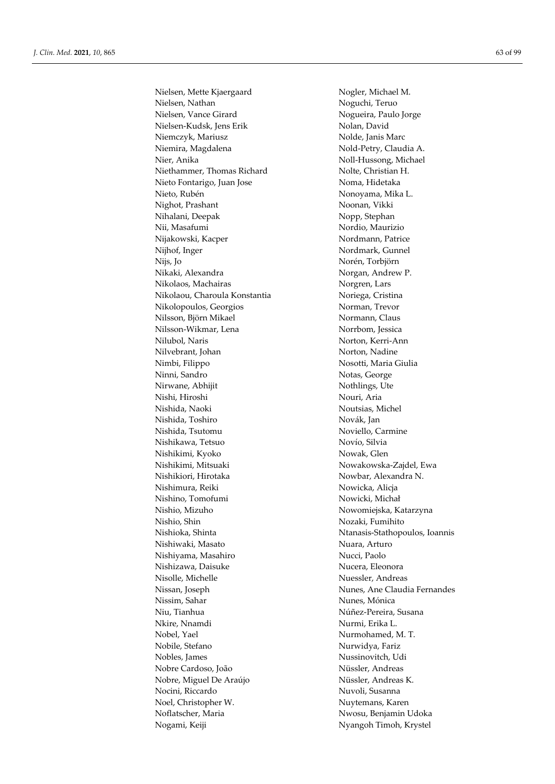Nielsen, Mette Kjaergaard Nogler, Michael M. Nielsen, Nathan Noguchi, Teruo Nielsen, Vance Girard Nogueira, Paulo Jorge Nielsen-Kudsk, Jens Erik Nolan, David Niemczyk, Mariusz Nolde, Janis Marc Niemira, Magdalena Nold-Petry, Claudia A. Nier, Anika Noll-Hussong, Michael Niethammer, Thomas Richard Nolte, Christian H. Nieto Fontarigo, Juan Jose Noma, Hidetaka Nieto, Rubén **Nonoyama**, Mika L. Nighot, Prashant Noonan, Vikki Nihalani, Deepak Nopp, Stephan Nii, Masafumi Nordio, Maurizio Nijakowski, Kacper Nordmann, Patrice Nijhof, Inger Nordmark, Gunnel Nijs, Jo Norén, Torbjörn Nikaki, Alexandra Norgan, Andrew P. Nikolaos, Machairas Norgren, Lars Nikolaou, Charoula Konstantia Noriega, Cristina Nikolopoulos, Georgios Norman, Trevor Nilsson, Björn Mikael Normann, Claus Nilsson-Wikmar, Lena Norrbom, Jessica Nilubol, Naris Norton, Kerri-Ann Nilvebrant, Johan Norton, Nadine Nimbi, Filippo Nosotti, Maria Giulia Ninni, Sandro Notas, George Nirwane, Abhijit Nothlings, Ute Nishi, Hiroshi Nouri, Aria Nishida, Naoki Noutsias, Michel Nishida, Toshiro Novák, Jan Nishida, Tsutomu Noviello, Carmine Nishikawa, Tetsuo Novío, Silvia Nishikimi, Kyoko Nowak, Glen Nishikimi, Mitsuaki Nowakowska-Zajdel, Ewa Nishikiori, Hirotaka Nowbar, Alexandra N. Nishimura, Reiki Nowicka, Alicja Nishino, Tomofumi Nowicki, Michał Nishio, Mizuho Nowomiejska, Katarzyna Nishio, Shin Nozaki, Fumihito Nishioka, Shinta Ntanasis-Stathopoulos, Ioannis Nishiwaki, Masato Nuara, Arturo Nishiyama, Masahiro Nucci, Paolo Nishizawa, Daisuke Nucera, Eleonora Nisolle, Michelle Nuessler, Andreas Nissan, Joseph Nunes, Ane Claudia Fernandes Nissim, Sahar Nunes, Mónica Niu, Tianhua Núñez-Pereira, Susana Nkire, Nnamdi Nurmi, Erika L. Nobel, Yael Nurmohamed, M. T. Nobile, Stefano Nurwidya, Fariz Nobles, James Nussinovitch, Udi Nobre Cardoso, João Nüssler, Andreas Nobre, Miguel De Araújo Nüssler, Andreas K. Nocini, Riccardo Nuvoli, Susanna Noel, Christopher W. Nuytemans, Karen Noflatscher, Maria Nwosu, Benjamin Udoka Nogami, Keiji Nijarah Serbangoh Timoh, Krystel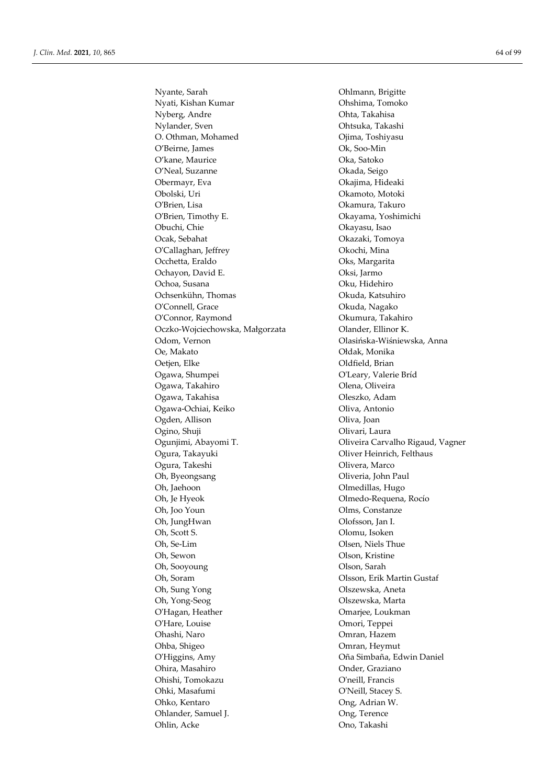Nyante, Sarah Ohlmann, Brigitte Nyati, Kishan Kumar Ohshima, Tomoko Nyberg, Andre Ohta, Takahisa Nylander, Sven Ohtsuka, Takashi O. Othman, Mohamed Ojima, Toshiyasu O'Beirne, James Ok, Soo-Min O'kane, Maurice Oka, Satoko O'Neal, Suzanne Okada, Seigo Obermayr, Eva Okajima, Hideaki Obolski, Uri Okamoto, Motoki O'Brien, Lisa Okamura, Takuro O'Brien, Timothy E. Okayama, Yoshimichi Obuchi, Chie Okayasu, Isao Ocak, Sebahat Okazaki, Tomoya O'Callaghan, Jeffrey Okochi, Mina Occhetta, Eraldo Oks, Margarita Ochayon, David E. Compared Compared Compared Compared Compared Compared Compared Compared Compared Compared Compared Compared Compared Compared Compared Compared Compared Compared Compared Compared Compared Compared Compar Ochoa, Susana Oku, Hidehiro Ochsenkühn, Thomas Okuda, Katsuhiro O'Connell, Grace **Okuda, Nagako** O'Connor, Raymond Okumura, Takahiro Oczko-Wojciechowska, Małgorzata Olander, Ellinor K. Odom, Vernon Olasińska-Wiśniewska, Anna Oe, Makato Ołdak, Monika Oetien, Elke **Oldfield**, Brian Ogawa, Shumpei O'Leary, Valerie Bríd Ogawa, Takahiro **Olena, Oliveira** Ogawa, Takahisa Oleszko, Adam Ogawa-Ochiai, Keiko Oliva, Antonio Ogden, Allison **Oliva**, Joan Ogino, Shuji Olivari, Laura Ogura, Takayuki Oliver Heinrich, Felthaus Ogura, Takeshi Olivera, Marco Oh, Byeongsang Oliveria, John Paul Oh, Jaehoon **Olmedillas**, Hugo Oh, Je Hyeok Olmedo-Requena, Rocío Oh, Joo Youn Olms, Constanze Oh, JungHwan Olofsson, Jan I. Oh, Scott S. Olomu, Isoken Oh, Se-Lim Olsen, Niels Thue Oh, Sewon Olson, Kristine Oh, Sooyoung Olson, Sarah Oh, Soram Olsson, Erik Martin Gustaf Oh, Sung Yong **Olszewska**, Aneta Oh, Yong-Seog Olszewska, Marta O'Hagan, Heather **Omarige, Loukman** O'Hare, Louise Omori, Teppei Ohashi, Naro Omran, Hazem Ohba, Shigeo Omran, Heymut O'Higgins, Amy Oña Simbaña, Edwin Daniel Ohira, Masahiro Onder, Graziano Ohishi, Tomokazu O'neill, Francis Ohko, Kentaro Ong, Adrian W. Ohlander, Samuel J. Ong, Terence Ohlin, Acke Ono, Takashi

Ogunjimi, Abayomi T. Oliveira Carvalho Rigaud, Vagner O'Neill, Stacey S.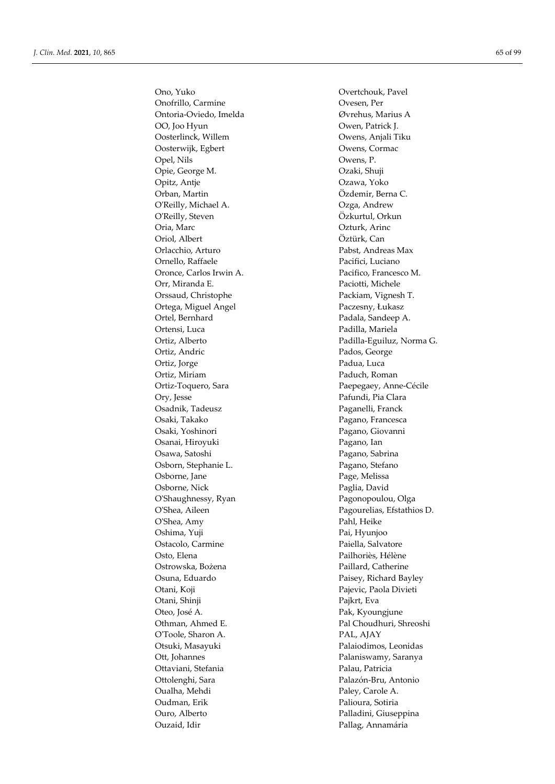Onofrillo, Carmine Ovesen, Per Ontoria-Oviedo, Imelda Øvrehus, Marius A OO, Joo Hyun Owen, Patrick J. Oosterlinck, Willem Owens, Anjali Tiku Oosterwijk, Egbert Owens, Cormac Opel, Nils Owens, P. Opie, George M. Ozaki, Shuji Opitz, Antje Ozawa, Yoko Orban, Martin Özdemir, Berna C. O'Reilly, Michael A. Ozga, Andrew O'Reilly, Steven Özkurtul, Orkun Oria, Marc Ozturk, Arinc Oriol, Albert Öztürk, Can Orlacchio, Arturo Pabst, Andreas Max Ornello, Raffaele Pacifici, Luciano Oronce, Carlos Irwin A. Pacifico, Francesco M. Orr, Miranda E. Paciotti, Michele Orssaud, Christophe Packiam, Vignesh T. Ortega, Miguel Angel Paczesny, Łukasz Ortel, Bernhard Padala, Sandeep A. Ortensi, Luca Padilla, Mariela Ortiz, Andric Pados, George Ortiz, Jorge **Padua**, Luca Ortiz, Miriam Paduch, Roman Ortiz-Toquero, Sara Paepegaey, Anne-Cécile Ory, Jesse Pafundi, Pia Clara Osadnik, Tadeusz Paganelli, Franck Osaki, Takako Pagano, Francesca Osaki, Yoshinori Pagano, Giovanni Osanai, Hiroyuki Pagano, Ian Osawa, Satoshi Pagano, Sabrina Osborn, Stephanie L. Pagano, Stefano Osborne, Jane Page, Melissa Osborne, Nick Paglia, David O'Shaughnessy, Ryan Pagonopoulou, Olga O'Shea, Amy Pahl, Heike Oshima, Yuji Pai, Hyunjoo Ostacolo, Carmine Paiella, Salvatore Osto, Elena Pailhoriès, Hélène Ostrowska, Bożena **Paillard**, Catherine Osuna, Eduardo Paisey, Richard Bayley Otani, Koji Pajevic, Paola Divieti Otani, Shinji Pajkrt, Eva Oteo, José A. Pak, Kyoungjune Othman, Ahmed E. Pal Choudhuri, Shreoshi O'Toole, Sharon A. PAL, AJAY Otsuki, Masayuki Palaiodimos, Leonidas Ott, Johannes Palaniswamy, Saranya Ottaviani, Stefania Palau, Patricia Ottolenghi, Sara Palazón-Bru, Antonio Oualha, Mehdi Paley, Carole A. Oudman, Erik Palioura, Sotiria Ouro, Alberto Palladini, Giuseppina Ouzaid, Idir Pallag, Annamária

Ono, Yuko Overtchouk, Pavel Ortiz, Alberto Padilla-Eguiluz, Norma G. O'Shea, Aileen Pagourelias, Efstathios D.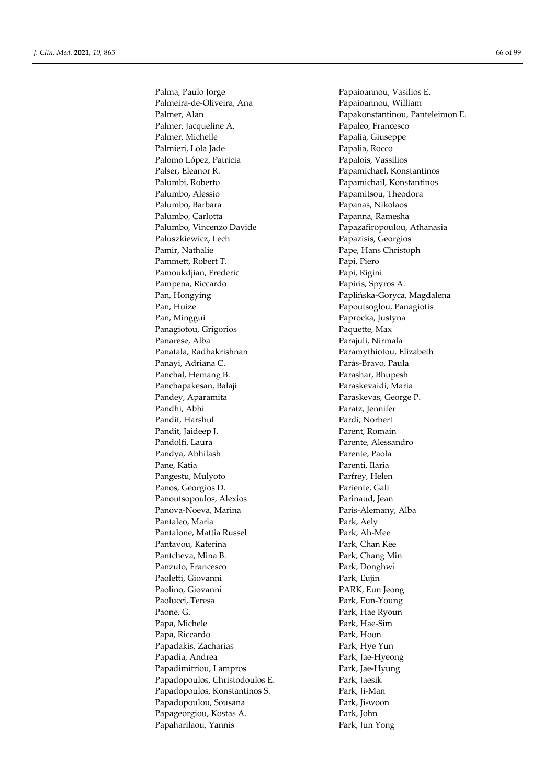Palmeira-de-Oliveira, Ana Papaioannou, William Palmer, Jacqueline A. Papaleo, Francesco Palmer, Michelle Papalia, Giuseppe Palmieri, Lola Jade Papalia, Rocco Palomo López, Patricia Papalois, Vassilios Palser, Eleanor R. Papamichael, Konstantinos Palumbi, Roberto Papamichail, Konstantinos Palumbo, Alessio Papamitsou, Theodora Palumbo, Barbara Papanas, Nikolaos Palumbo, Carlotta Papanna, Ramesha Palumbo, Vincenzo Davide Papazafiropoulou, Athanasia Paluszkiewicz, Lech Papazisis, Georgios Pamir, Nathalie Pape, Hans Christoph Pammett, Robert T. Papi, Piero Pamoukdjian, Frederic Papi, Rigini Pampena, Riccardo **Papiris**, Spyros A. Pan, Hongying Paplińska-Goryca, Magdalena Pan, Huize Papoutsoglou, Panagiotis Pan, Minggui Paprocka, Justyna Panagiotou, Grigorios Paquette, Max Panarese, Alba Parajuli, Nirmala Panatala, Radhakrishnan Paramythiotou, Elizabeth Panayi, Adriana C. Parás-Bravo, Paula Panchal, Hemang B. Parashar, Bhupesh Panchapakesan, Balaji Paraskevaidi, Maria Pandey, Aparamita Paraskevas, George P. Pandhi, Abhi Paratz, Jennifer Pandit, Harshul Pardi, Norbert Pandit, Jaideep J. Parent, Romain Pandolfi, Laura **Parente**, Alessandro Pandya, Abhilash Parente, Paola Pane, Katia **Parenti, Ilaria** Pangestu, Mulyoto Parfrey, Helen Panos, Georgios D. Pariente, Gali Panoutsopoulos, Alexios Parinaud, Jean Panova-Noeva, Marina Paris-Alemany, Alba Pantaleo, Maria Park, Aely Pantalone, Mattia Russel Park, Ah-Mee Pantavou, Katerina Park, Chan Kee Pantcheva, Mina B. Park, Chang Min Panzuto, Francesco Park, Donghwi Paoletti, Giovanni Park, Eujin Paolino, Giovanni PARK, Eun Jeong Paolucci, Teresa Park, Eun-Young Paone, G. Park, Hae Ryoun Papa, Michele Park, Hae-Sim Papa, Riccardo **Park**, Hoon Papadakis, Zacharias Park, Hye Yun Papadia, Andrea Park, Jae-Hyeong Papadimitriou, Lampros Park, Jae-Hyung Papadopoulos, Christodoulos E. Park, Jaesik Papadopoulos, Konstantinos S. Park, Ji-Man Papadopoulou, Sousana Park, Ji-woon Papageorgiou, Kostas A. Park, John Papaharilaou, Yannis Park, Jun Yong

Palma, Paulo Jorge Papaioannou, Vasilios E. Palmer, Alan Papakonstantinou, Panteleimon E.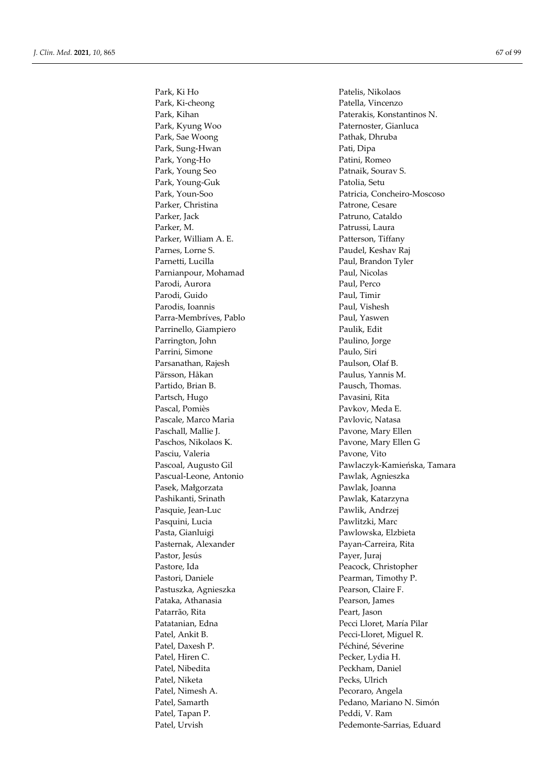Park, Ki-cheong Patella, Vincenzo Park, Kihan Paterakis, Konstantinos N. Park, Kyung Woo Paternoster, Gianluca Park, Sae Woong Pathak, Dhruba Park, Sung-Hwan Pati, Dipa Park, Yong-Ho Patini, Romeo Park, Young Seo **Patnaik, Sourav S.** Park, Young-Guk Patolia, Setu Parker, Christina Patrone, Cesare Parker, Jack **Patruno**, Cataldo Parker, M. Patrussi, Laura Parker, William A. E. Patterson, Tiffany Parnes, Lorne S. Paudel, Keshav Raj Parnetti, Lucilla Paul, Brandon Tyler Parnianpour, Mohamad Paul, Nicolas Parodi, Aurora Paul, Perco Parodi, Guido Paul, Timir Parodis, Ioannis Paul, Vishesh Parra-Membríves, Pablo Paul, Yaswen Parrinello, Giampiero Paulik, Edit Parrington, John Parrini, Simone Paulo, Siri Parsanathan, Rajesh Paulson, Olaf B. Pärsson, Håkan Paulus, Yannis M. Partido, Brian B. Pausch, Thomas. Partsch, Hugo Pavasini, Rita Pascal, Pomiès Pavkov, Meda E. Pascale, Marco Maria Pavlovic, Natasa Paschall, Mallie J. Pavone, Mary Ellen Paschos, Nikolaos K. Pavone, Mary Ellen G Pasciu, Valeria Pavone, Vito Pascual-Leone, Antonio Pawlak, Agnieszka Pasek, Małgorzata **Pasek, Małgorzata** Pawlak, Joanna Pashikanti, Srinath Pawlak, Katarzyna Pasquie, Jean-Luc Pawlik, Andrzej Pasquini, Lucia Pawlitzki, Marc Pasta, Gianluigi Pasta, Elzbieta Pasternak, Alexander Payan-Carreira, Rita Pastor, Jesús Payer, Juraj Pastore, Ida Peacock, Christopher Pastori, Daniele Pearman, Timothy P. Pastuszka, Agnieszka Pearson, Claire F. Pataka, Athanasia Pearson, James Patarrão, Rita Peart, Jason Patatanian, Edna Pecci Lloret, María Pilar Patel, Ankit B. Pecci-Lloret, Miguel R. Patel, Daxesh P. Péchiné, Séverine Patel, Hiren C. Pecker, Lydia H. Patel, Nibedita Peckham, Daniel Patel, Niketa Pecks, Ulrich Patel, Nimesh A. Pecoraro, Angela Patel, Tapan P. Peddi, V. Ram

Park, Ki Ho Patelis, Nikolaos Park, Youn-Soo Patricia, Concheiro-Moscoso Pascoal, Augusto Gil Pawlaczyk-Kamieńska, Tamara Patel, Samarth Pedano, Mariano N. Simón Patel, Urvish Pedemonte-Sarrias, Eduard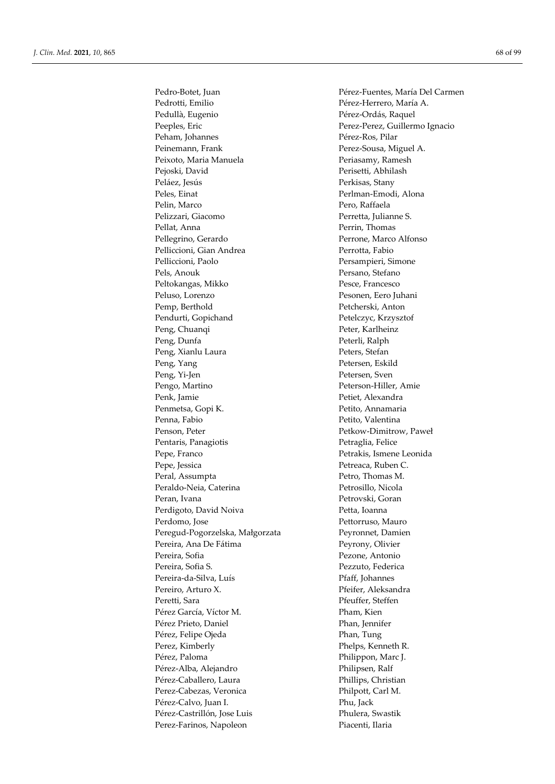Pedrotti, Emilio Pérez-Herrero, María A. Pedullà, Eugenio **Pérez-Ordás, Raquel** Peeples, Eric Perez-Perez, Guillermo Ignacio Peham, Johannes Pérez-Ros, Pilar Peinemann, Frank Perez-Sousa, Miguel A. Peixoto, Maria Manuela Periasamy, Ramesh Pejoski, David Perisetti, Abhilash Peláez, Jesús Perkisas, Stany Peles, Einat Perlman-Emodi, Alona Pelin, Marco Pero, Raffaela Pelizzari, Giacomo Perretta, Julianne S. Pellat, Anna Perrin, Thomas Pellegrino, Gerardo Perrone, Marco Alfonso Pelliccioni, Gian Andrea Perrotta, Fabio Pelliccioni, Paolo Persampieri, Simone Pels, Anouk Persano, Stefano Peltokangas, Mikko Pesce, Francesco Peluso, Lorenzo Pesonen, Eero Juhani Pemp, Berthold Petcherski, Anton Pendurti, Gopichand Petelczyc, Krzysztof Peng, Chuanqi Peter, Karlheinz Peng, Dunfa Peterli, Ralph Peng, Xianlu Laura Peters, Stefan Peng, Yang Petersen, Eskild Peng, Yi-Jen Petersen, Sven Pengo, Martino Peterson-Hiller, Amie Penk, Jamie Petiet, Alexandra Penmetsa, Gopi K. Petito, Annamaria Penna, Fabio Petito, Valentina Penson, Peter Petkow-Dimitrow, Paweł Pentaris, Panagiotis Petraglia, Felice Pepe, Franco Petrakis, Ismene Leonida Pepe, Jessica Petreaca, Ruben C. Peral, Assumpta Petro, Thomas M. Peraldo-Neia, Caterina Petrosillo, Nicola Peran, Ivana Petrovski, Goran Perdigoto, David Noiva **Petta, Ioanna** Perdomo, Jose Pettorruso, Mauro Peregud-Pogorzelska, Małgorzata Peyronnet, Damien Pereira, Ana De Fátima Peyrony, Olivier Pereira, Sofia Pezone, Antonio Pereira, Sofia S. Pezzuto, Federica Pereira-da-Silva, Luís Pfaff, Johannes Pereiro, Arturo X. **Pfeifer**, Aleksandra Peretti, Sara Pfeuffer, Steffen Pérez García, Víctor M. Pham, Kien Pérez Prieto, Daniel Phan, Jennifer Pérez, Felipe Ojeda Phan, Tung Perez, Kimberly Phelps, Kenneth R. Pérez, Paloma Philippon, Marc J. Pérez-Alba, Alejandro Philipsen, Ralf Pérez-Caballero, Laura Phillips, Christian Perez-Cabezas, Veronica Philpott, Carl M. Pérez-Calvo, Juan I. Phu, Jack Pérez-Castrillón, Jose Luis Phulera, Swastik Perez-Farinos, Napoleon Piacenti, Ilaria

Pedro-Botet, Juan Pérez-Fuentes, María Del Carmen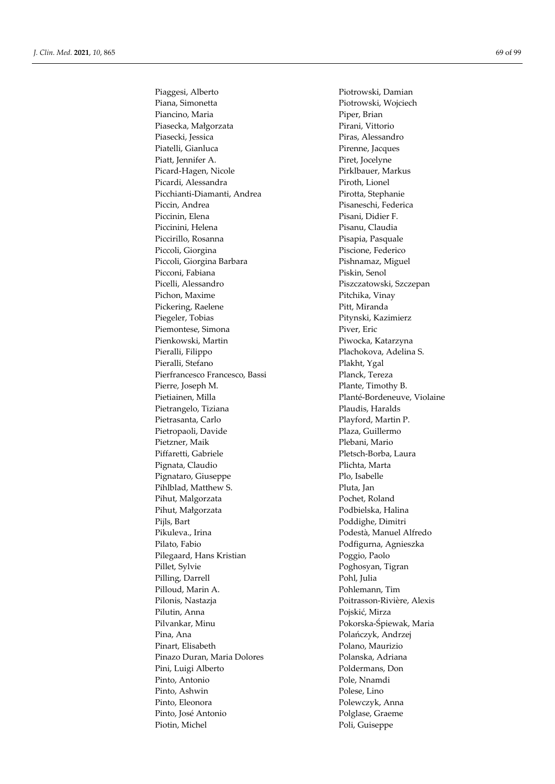Piana, Simonetta Piotrowski, Wojciech Piancino, Maria **Piper**, Brian Piasecka, Małgorzata Pirani, Vittorio Piasecki, Jessica Piras, Alessandro Piatelli, Gianluca Pirenne, Jacques Piatt, Jennifer A. Piret, Jocelyne Picard-Hagen, Nicole Pirklbauer, Markus Picardi, Alessandra Piroth, Lionel Picchianti-Diamanti, Andrea Pirotta, Stephanie Piccin, Andrea Pisaneschi, Federica Piccinin, Elena Pisani, Didier F. Piccinini, Helena Pisanu, Claudia Piccirillo, Rosanna Pisapia, Pasquale Piccoli, Giorgina Piscione, Federico Piccoli, Giorgina Barbara Pishnamaz, Miguel Picconi, Fabiana Piskin, Senol Picelli, Alessandro Piszczatowski, Szczepan Pichon, Maxime Pitchika, Vinay Pickering, Raelene Pitt, Miranda Piegeler, Tobias Pitynski, Kazimierz Piemontese, Simona Piver, Eric Pienkowski, Martin Piwocka, Katarzyna Pieralli, Filippo Plachokova, Adelina S. Pieralli, Stefano Plakht, Ygal Pierfrancesco Francesco, Bassi Planck, Tereza Pierre, Joseph M. Plante, Timothy B. Pietiainen, Milla Planté-Bordeneuve, Violaine Pietrangelo, Tiziana Plaudis, Haralds Pietrasanta, Carlo Playford, Martin P. Pietropaoli, Davide Plaza, Guillermo Pietzner, Maik Plebani, Mario Piffaretti, Gabriele Pletsch-Borba, Laura Pignata, Claudio **Plichta**, Marta Pignataro, Giuseppe Plo, Isabelle Pihlblad, Matthew S. Pihlblad, Jan Pihut, Malgorzata **Pochet**, Roland Pihut, Małgorzata **Podbielska**, Halina Pijls, Bart Poddighe, Dimitri Pikuleva., Irina Podestà, Manuel Alfredo Pilato, Fabio **Podfigurna**, Agnieszka Pilegaard, Hans Kristian Poggio, Paolo Pillet, Sylvie **Poghosyan**, Tigran Pilling, Darrell Pohl, Julia Pilloud, Marin A. Pohlemann, Tim Pilonis, Nastazja Poitrasson-Rivière, Alexis Pilutin, Anna **Pojskić, Mirza** Pilvankar, Minu Pokorska-Śpiewak, Maria Pina, Ana Polańczyk, Andrzej Pinart, Elisabeth Polano, Maurizio Pinazo Duran, Maria Dolores Polanska, Adriana Pini, Luigi Alberto Poldermans, Don Pinto, Antonio Pole, Nnamdi Pinto, Ashwin Polese, Lino Pinto, Eleonora Polewczyk, Anna Pinto, José Antonio Polglase, Graeme Piotin, Michel Poli, Guiseppe

Piaggesi, Alberto Piotrowski, Damian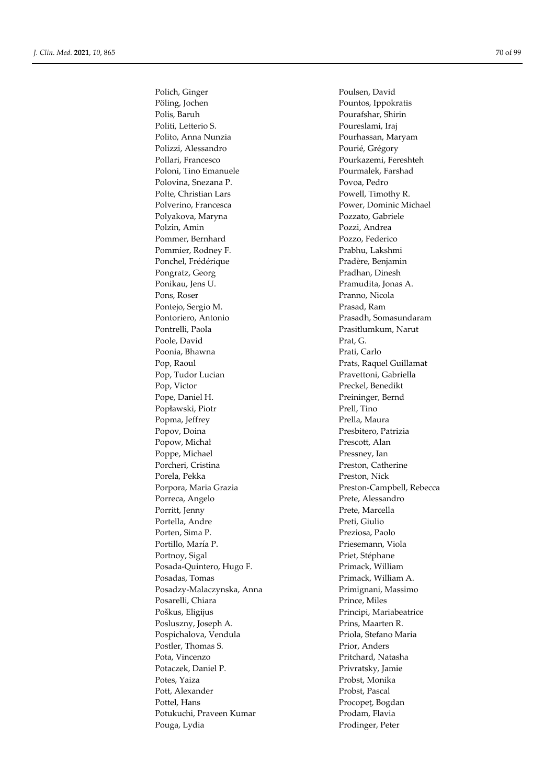Pöling, Jochen Pountos, Ippokratis Polis, Baruh Pourafshar, Shirin Politi, Letterio S. Poureslami, Iraj Polito, Anna Nunzia **Pourhassan**, Maryam Polizzi, Alessandro Pourié, Grégory Pollari, Francesco Pourkazemi, Fereshteh Poloni, Tino Emanuele Pourmalek, Farshad Polovina, Snezana P. Povoa, Pedro Polte, Christian Lars Powell, Timothy R. Polverino, Francesca Power, Dominic Michael Polyakova, Maryna Pozzato, Gabriele Polzin, Amin Pozzi, Andrea Pommer, Bernhard Pozzo, Federico Pommier, Rodney F. Prabhu, Lakshmi Ponchel, Frédérique Pradère, Benjamin Pongratz, Georg Pradhan, Dinesh Ponikau, Jens U. Pramudita, Jonas A. Pons, Roser Pranno, Nicola Pontejo, Sergio M. Prasad, Ram Pontoriero, Antonio Prasadh, Somasundaram Pontrelli, Paola Prasitlumkum, Narut Poole, David Prat, G. Poonia, Bhawna Prati, Carlo Pop, Raoul **Prats**, Raquel Guillamat Pop, Tudor Lucian Pravettoni, Gabriella Pop, Victor Preckel, Benedikt Pope, Daniel H. Preininger, Bernd Popławski, Piotr Prell, Tino Popma, Jeffrey Prella, Maura Popov, Doina Presbitero, Patrizia Popow, Michał Prescott, Alan Poppe, Michael Pressney, Ian Porcheri, Cristina Preston, Catherine Porela, Pekka Preston, Nick Porpora, Maria Grazia **Preston-Campbell**, Rebecca Porreca, Angelo Prete, Alessandro Porritt, Jenny Prete, Marcella Portella, Andre Preti, Giulio Porten, Sima P. **Preziosa**, Paolo Portillo, María P. Priesemann, Viola Portnoy, Sigal Priet, Stéphane Posada-Quintero, Hugo F. Primack, William Posadas, Tomas **Primack**, William A. Posadzy-Malaczynska, Anna Primignani, Massimo Posarelli, Chiara Prince, Miles Poškus, Eligijus Poškus, Principi, Mariabeatrice Posluszny, Joseph A. Prins, Maarten R. Pospichalova, Vendula Priola, Stefano Maria Postler, Thomas S. Prior, Anders Pota, Vincenzo **Pritchard**, Natasha Potaczek, Daniel P. Privratsky, Jamie Potes, Yaiza Probst, Monika Pott, Alexander Probst, Pascal Pottel, Hans Procopet, Bogdan Potukuchi, Praveen Kumar Prodam, Flavia Pouga, Lydia Prodinger, Peter

Polich, Ginger Poulsen, David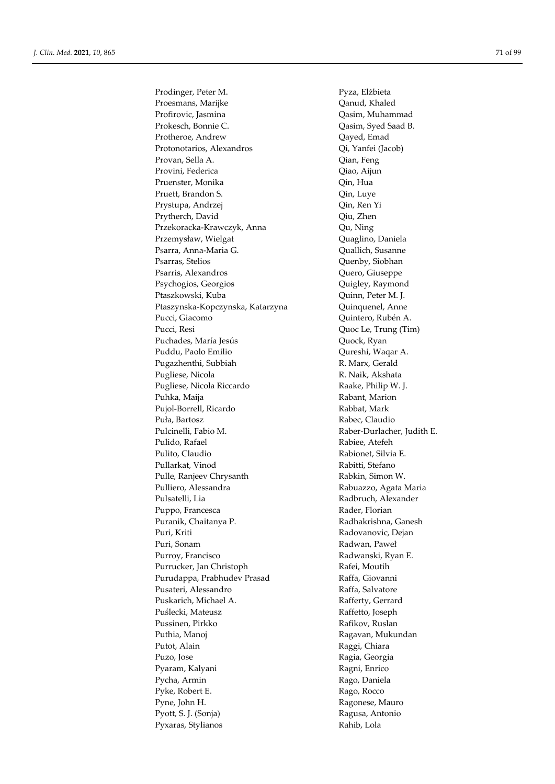Prodinger, Peter M. Pyza, Elżbieta Proesmans, Marijke **Qanud, Khaled** Profirovic, Jasmina Qasim, Muhammad Prokesch, Bonnie C. Qasim, Syed Saad B. Protheroe, Andrew Qayed, Emad Protonotarios, Alexandros Qi, Yanfei (Jacob) Provan, Sella A. Qian, Feng Provini, Federica Qiao, Aijun Pruenster, Monika Qin, Hua Pruett, Brandon S. Qin, Luye Prystupa, Andrzej **Qin, Ren Yi** Prytherch, David Qiu, Zhen Przekoracka-Krawczyk, Anna Qu, Ning Przemysław, Wielgat **Quaglino**, Daniela Psarra, Anna-Maria G.  $Quallich, Susanne$ Psarras, Stelios Quenby, Siobhan Psarris, Alexandros Quero, Giuseppe Psychogios, Georgios **Quigley, Raymond** Ptaszkowski, Kuba **Quinn**, Peter M. J. Ptaszynska-Kopczynska, Katarzyna Quinquenel, Anne Pucci, Giacomo Quintero, Rubén A. Pucci, Resi Quoc Le, Trung (Tim) Puchades, María Jesús **Quock, Ryan** Puddu, Paolo Emilio Qureshi, Waqar A. Pugazhenthi, Subbiah R. Marx, Gerald Pugliese, Nicola R. Naik, Akshata Pugliese, Nicola Riccardo Raake, Philip W. J. Puhka, Maija **Rabant, Marion** Pujol-Borrell, Ricardo Rabbat, Mark Puła, Bartosz **Rabec, Claudio** Pulcinelli, Fabio M. Raber-Durlacher, Judith E. Pulido, Rafael Rabiee, Atefeh Pulito, Claudio Rabionet, Silvia E. Pullarkat, Vinod Rabitti, Stefano Pulle, Ranjeev Chrysanth Rabkin, Simon W. Pulliero, Alessandra **Rabuazzo**, Agata Maria Pulsatelli, Lia Radbruch, Alexander Puppo, Francesca **Rader**, Florian Puranik, Chaitanya P. **Radhakrishna**, Ganesh Puri, Kriti Radovanovic, Dejan Puri, Sonam Radwan, Paweł Purroy, Francisco Radwanski, Ryan E. Purrucker, Jan Christoph Rafei, Moutih Purudappa, Prabhudev Prasad Raffa, Giovanni Pusateri, Alessandro **Raffa**, Salvatore Puskarich, Michael A. Rafferty, Gerrard Puślecki, Mateusz **Raffetto**, Joseph Pussinen, Pirkko Rafikov, Ruslan Puthia, Manoj **Ragavan, Mukundan** Putot, Alain Raggi, Chiara Puzo, Jose Ragia, Georgia Pyaram, Kalyani Ragni, Enrico Pycha, Armin Rago, Daniela Pyke, Robert E. Rago, Rocco Pyne, John H. Ragonese, Mauro Pyott, S. J. (Sonja) Ragusa, Antonio Pyxaras, Stylianos **Rahib**, Lola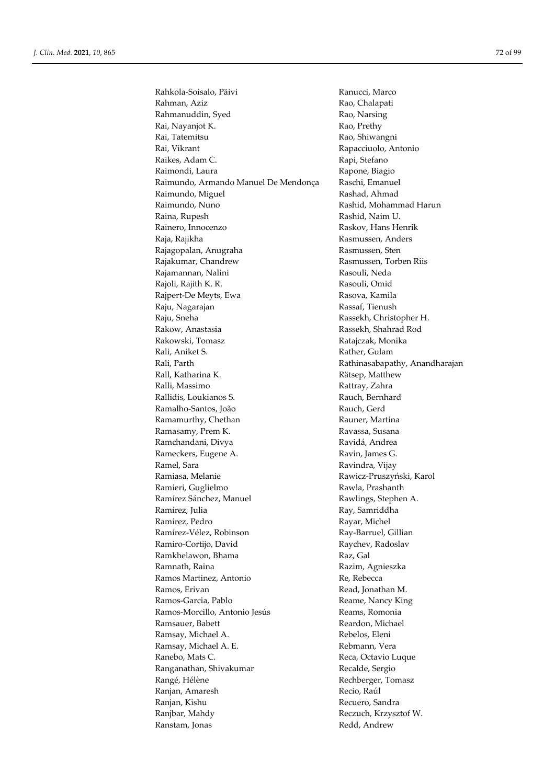Rahkola-Soisalo, Päivi Ranucci, Marco Rahman, Aziz Rao, Chalapati Rahmanuddin, Syed Rao, Narsing Rai, Nayanjot K. Rao, Prethy Rai, Tatemitsu **Rao**, Shiwangni Rai, Vikrant Rapacciuolo, Antonio Raikes, Adam C. Rapi, Stefano Raimondi, Laura Rapone, Biagio Raimundo, Armando Manuel De Mendonça Raschi, Emanuel Raimundo, Miguel **Rashad, Ahmad** Raimundo, Nuno **Rashid, Mohammad Harun** Raina, Rupesh Rashid, Naim U. Rainero, Innocenzo Raskov, Hans Henrik Raja, Rajikha Rasmussen, Anders Rajagopalan, Anugraha Rasmussen, Sten Rajakumar, Chandrew Rasmussen, Torben Riis Rajamannan, Nalini **Rasouli**, Neda Rajoli, Rajith K. R. Rasouli, Omid Rajpert-De Meyts, Ewa **Rasova**, Kamila Raju, Nagarajan **Rassaf**, Tienush Raju, Sneha Rassekh, Christopher H. Rakow, Anastasia Rassekh, Shahrad Rod Rakowski, Tomasz **Ratajczak, Monika** Rali, Aniket S. Rather, Gulam Rali, Parth Rathinasabapathy, Anandharajan Rall, Katharina K. Katharina K. Rätsep, Matthew Ralli, Massimo Rattray, Zahra Rallidis, Loukianos S. Rauch, Bernhard Ramalho-Santos, João Rauch, Gerd Ramamurthy, Chethan Rauner, Martina Ramasamy, Prem K. Kawassa, Susana Ramchandani, Divya Ravidá, Andrea Rameckers, Eugene A. Ravin, James G. Ramel, Sara **Ravindra**, Vijay Ramiasa, Melanie Rawicz-Pruszyński, Karol Ramieri, Guglielmo Rawla, Prashanth Ramírez Sánchez, Manuel Rawlings, Stephen A. Ramírez, Julia Ray, Samriddha Ramirez, Pedro Rayar, Michel Ramírez-Vélez, Robinson Ray-Barruel, Gillian Ramiro-Cortijo, David Raychev, Radoslav Ramkhelawon, Bhama Raz, Gal Ramnath, Raina **Razim, Agnieszka** Ramos Martinez, Antonio Re, Rebecca Ramos, Erivan Read, Jonathan M. Ramos-Garcia, Pablo Reame, Nancy King Ramos-Morcillo, Antonio Jesús Reams, Romonia Ramsauer, Babett Reardon, Michael Ramsay, Michael A. **Rebelos**, Eleni Ramsay, Michael A. E. Rebmann, Vera Ranebo, Mats C. **Reca, Octavio Luque** Reca, Octavio Luque Ranganathan, Shivakumar Recalde, Sergio Rangé, Hélène **Rechberger**, Tomasz Ranjan, Amaresh Recio, Raúl Ranjan, Kishu **Recuero**, Sandra Ranjbar, Mahdy Reczuch, Krzysztof W. Ranstam, Jonas **Redd, Andrew**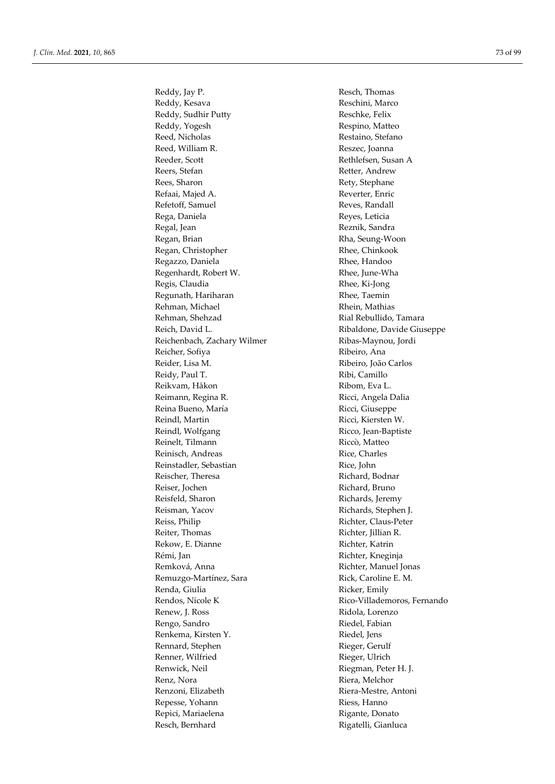Reddy, Jay P. **Resch, Thomas** Reddy, Kesava Reschini, Marco Reddy, Sudhir Putty Reschke, Felix Reddy, Yogesh Respino, Matteo Reed, Nicholas Restaino, Stefano Reed, William R. **Reszec**, Joanna Reeder, Scott Rethlefsen, Susan A Reers, Stefan Retter, Andrew Rees, Sharon Rety, Stephane Refaai, Majed A. Reverter, Enric Refetoff, Samuel Reves, Randall Rega, Daniela Reyes, Leticia Regal, Jean Reznik, Sandra Regan, Brian Rha, Seung-Woon Regan, Christopher Rhee, Chinkook Regazzo, Daniela Rhee, Handoo Regenhardt, Robert W. **Rhee**, Handoo Regenhardt, Robert W. Regenhardt, Robert W. Regis, Claudia **Rhee**, Ki-Jong Regunath, Hariharan **Rhee**, Taemin Rehman, Michael **Rhein, Mathias** Rehman, Shehzad **Rial Rebullido**, Tamara Reich, David L. Ribaldone, Davide Giuseppe Reichenbach, Zachary Wilmer Ribas-Maynou, Jordi Reicher, Sofiya Ribeiro, Ana Reider, Lisa M. Ribeiro, João Carlos Reidy, Paul T. Kibi, Camillo Reikvam, Håkon Ribom, Eva L. Reimann, Regina R. **Ricci, Angela Dalia** Reina Bueno, María **Ricci, Giuseppe** Reindl, Martin Ricci, Kiersten W. Reindl, Wolfgang **Ricco**, Jean-Baptiste Reinelt, Tilmann Riccò, Matteo Reinisch, Andreas Rice, Charles Reinstadler, Sebastian Rice, John Reischer, Theresa Richard, Bodnar Reiser, Jochen Richard, Bruno Reisfeld, Sharon Richards, Jeremy Reisman, Yacov Richards, Stephen J. Reiss, Philip Richter, Claus-Peter Reiter, Thomas Richter, Jillian R. Rekow, E. Dianne Richter, Katrin Rémi, Jan Richter, Kneginja Remková, Anna **Richter**, Manuel Jonas Remuzgo-Martínez, Sara Rick, Caroline E. M. Renda, Giulia Ricker, Emily Rendos, Nicole K Rico-Villademoros, Fernando Renew, J. Ross Ridola, Lorenzo Rengo, Sandro Riedel, Fabian Renkema, Kirsten Y. **Riedel**, Jens Rennard, Stephen Rieger, Gerulf Renner, Wilfried Rieger, Ulrich Renwick, Neil Riegman, Peter H. J. Renz, Nora **Riera**, Melchor Renzoni, Elizabeth Riera-Mestre, Antoni Repesse, Yohann Riess, Hanno Repici, Mariaelena **Rigante, Donato** Resch, Bernhard Rigatelli, Gianluca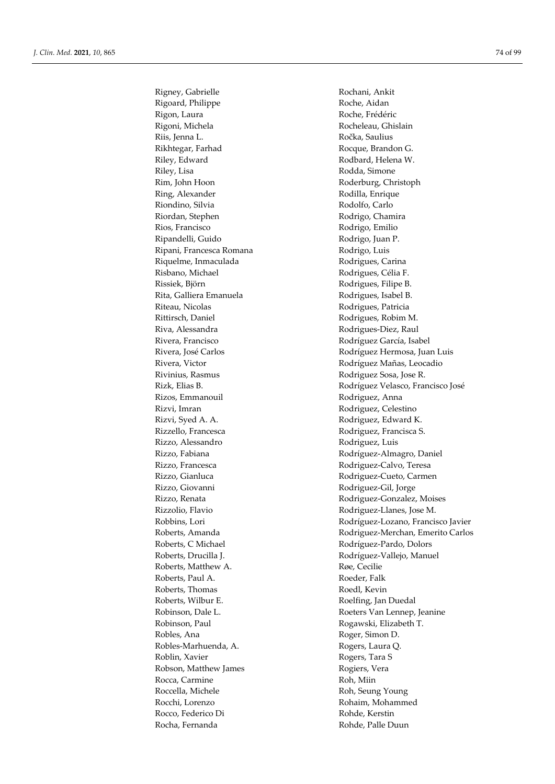Rigney, Gabrielle **Rochani**, Ankit Rigoard, Philippe Roche, Aidan Rigon, Laura **Roche, Frédéric** Rigoni, Michela Rocheleau, Ghislain Riis, Jenna L. **Ročka**, Saulius Rikhtegar, Farhad Rocque, Brandon G. Riley, Edward **Rodbard**, Helena W. Riley, Lisa Rodda, Simone Rim, John Hoon Roderburg, Christoph Ring, Alexander Rodilla, Enrique Riondino, Silvia Rodolfo, Carlo Riordan, Stephen Rodrigo, Chamira Rios, Francisco Rodrigo, Emilio Ripandelli, Guido Rodrigo, Juan P. Ripani, Francesca Romana Rodrigo, Luis Riquelme, Inmaculada Rodrigues, Carina Risbano, Michael Rodrigues, Célia F. Rissiek, Björn **Rodrigues**, Filipe B. Rita, Galliera Emanuela Rodrigues, Isabel B. Riteau, Nicolas Rodrigues, Patricia Rittirsch, Daniel Rodrigues, Robim M. Riva, Alessandra Rodrigues-Diez, Raul Rivera, Francisco **Rodríguez García**, Isabel Rivinius, Rasmus Rodriguez Sosa, Jose R. Rizos, Emmanouil Rodriguez, Anna Rizvi, Imran Rodriguez, Celestino Rizvi, Syed A. A. **Rizvi, Syed A. A.** Rodriguez, Edward K. Rizzello, Francesca Rodriguez, Francisca S. Rizzo, Alessandro Rodriguez, Luis Rizzo, Francesca **Rodriguez-Calvo**, Teresa Rizzo, Giovanni Rodriguez-Gil, Jorge Rizzolio, Flavio Rodriguez-Llanes, Jose M. Roberts, C Michael Rodríguez-Pardo, Dolors Roberts, Matthew A. **Roberts**, Matthew A. Roberts, Paul A. **Roberts, Paul A.** Roeder, Falk Roberts, Thomas Roedl, Kevin Roberts, Wilbur E. Roelfing, Jan Duedal Robinson, Paul Rogawski, Elizabeth T. Robles, Ana Roger, Simon D. Robles-Marhuenda, A. Rogers, Laura Q. Roblin, Xavier **Roblin, Xavier** Rogers, Tara S Robson, Matthew James **Rogiers**, Vera Rocca, Carmine Roh, Miin Roccella, Michele Roh, Seung Young Rocchi, Lorenzo **Robaim**, Mohammed Rocco, Federico Di Rohde, Kerstin Rocha, Fernanda Rohde, Palle Duun

Rivera, José Carlos **Rodríguez Hermosa**, Juan Luis Rivera, Victor **Rivera, Victor** Rodríguez Mañas, Leocadio Rizk, Elias B. Rodríguez Velasco, Francisco José Rizzo, Fabiana Rodríguez-Almagro, Daniel Rizzo, Gianluca Rodriguez-Cueto, Carmen Rizzo, Renata **Rizzo, Renata** Rodriguez-Gonzalez, Moises Robbins, Lori Rodríguez-Lozano, Francisco Javier Roberts, Amanda **Roberts, Amanda** Rodriguez-Merchan, Emerito Carlos Roberts, Drucilla J. (2008) Rodríguez-Vallejo, Manuel Robinson, Dale L. **Roeters Van Lennep**, Jeanine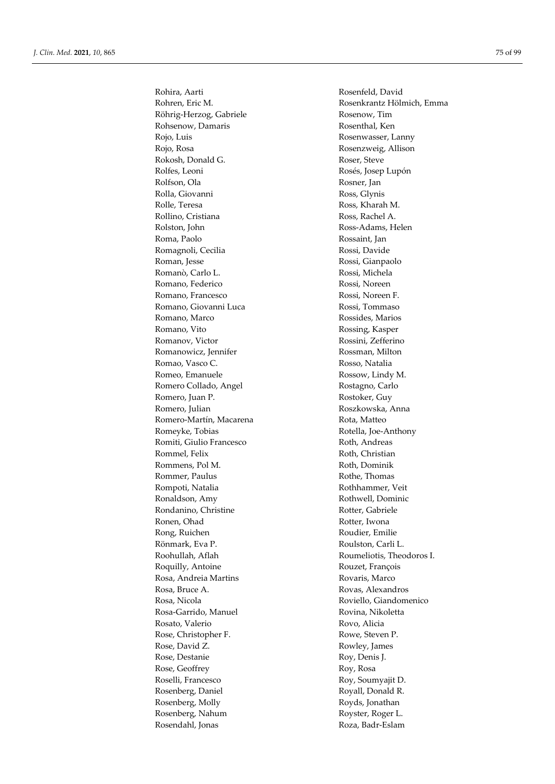Rohira, Aarti Rosenfeld, David Röhrig-Herzog, Gabriele Rosenow, Tim Rohsenow, Damaris Rosenthal, Ken Rojo, Luis Rosenwasser, Lanny Rojo, Rosa Rosenzweig, Allison Rokosh, Donald G. Koser, Steve Rolfes, Leoni Rosés, Josep Lupón Rolfson, Ola Rosner, Jan Rolla, Giovanni Ross, Glynis Rolle, Teresa Ross, Kharah M. Rollino, Cristiana Ross, Rachel A. Rolston, John Ross-Adams, Helen Roma, Paolo Rossaint, Jan Romagnoli, Cecilia Rossi, Davide Roman, Jesse Rossi, Gianpaolo Romanò, Carlo L. Rossi, Michela Romano, Federico Rossi, Noreen Romano, Francesco Rossi, Noreen F. Romano, Giovanni Luca Rossi, Tommaso Romano, Marco Rossides, Marios Romano, Vito Rossing, Kasper Romanov, Victor Rossini, Zefferino Romanowicz, Jennifer Rossman, Milton Romao, Vasco C. **Romao, Vasco C.** Rosso, Natalia Romeo, Emanuele Rossow, Lindy M. Romero Collado, Angel Rostagno, Carlo Romero, Juan P. **Rostoker**, Guy Romero, Julian Roszkowska, Anna Romero-Martín, Macarena Rota, Matteo Romeyke, Tobias **Rotella**, Joe-Anthony Romiti, Giulio Francesco Roth, Andreas Rommel, Felix Roth, Christian Rommens, Pol M. And The Roth, Dominik Rommer, Paulus **Rommer**, Paulus **Rommer**, Paulus **Rothe**, Thomas Rompoti, Natalia Rothhammer, Veit Ronaldson, Amy Rothwell, Dominic Rondanino, Christine Rotter, Gabriele Ronen, Ohad Rotter, Iwona Rong, Ruichen Roudier, Emilie Rönmark, Eva P. Roulston, Carli L. Roohullah, Aflah Roumeliotis, Theodoros I. Roquilly, Antoine Rouzet, François Rosa, Andreia Martins **Rovaris**, Marco Rosa, Bruce A. **Rosa** Rovas, Alexandros Rosa, Nicola Roviello, Giandomenico Rosa-Garrido, Manuel Rovina, Nikoletta Rosato, Valerio Rovo, Alicia Rose, Christopher F. **Rowe**, Steven P. Rose, David Z. Rowley, James Rose, Destanie Roy, Denis J. Rose, Geoffrey Roy, Rosa Roselli, Francesco Roy, Soumyajit D. Rosenberg, Daniel Royall, Donald R. Rosenberg, Molly **Rosenberg**, Molly **Royds**, Jonathan Rosenberg, Nahum Royster, Roger L. Rosendahl, Jonas **Rosendahl**, Anas

Rohren, Eric M. Rosenkrantz Hölmich, Emma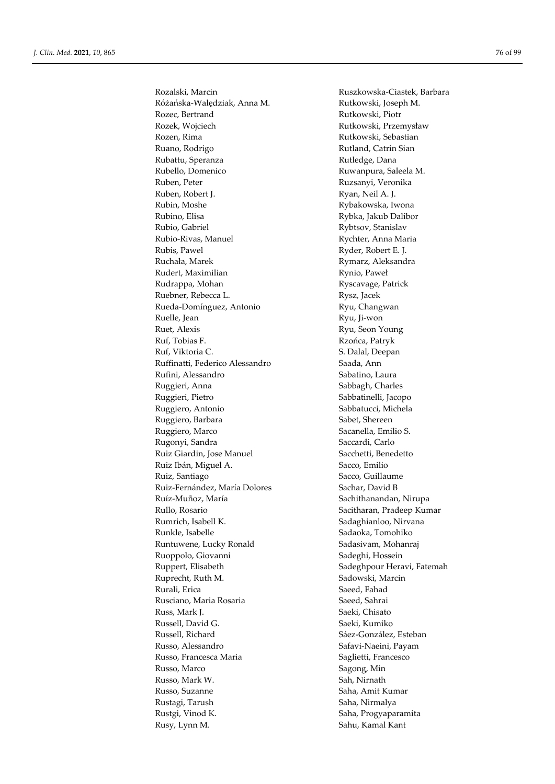Rozalski, Marcin **Ruszkowska-Ciastek, Barbara** Różańska-Walędziak, Anna M. Rutkowski, Joseph M. Rozec, Bertrand Rutkowski, Piotr Rozek, Wojciech Rutkowski, Przemysław Rozen, Rima **Rutkowski**, Sebastian Ruano, Rodrigo **Rutland, Catrin Sian** Rubattu, Speranza **Rutledge**, Dana Rubello, Domenico Ruwanpura, Saleela M. Ruben, Peter Ruzsanyi, Veronika Ruben, Robert J. **Ryan, Neil A. J.** Rubin, Moshe Rybakowska, Iwona Rubino, Elisa Rybka, Jakub Dalibor Rubio, Gabriel Rybtsov, Stanislav Rubio-Rivas, Manuel Rychter, Anna Maria Rubis, Pawel Ryder, Robert E. J. Ruchała, Marek **Rymarz, Aleksandra** Rudert, Maximilian Rynio, Paweł Rudrappa, Mohan Ryscavage, Patrick Ruebner, Rebecca L. Kustan Rysz, Jacek Rueda-Domínguez, Antonio Ryu, Changwan Ruelle, Jean Ryu, Ji-won Ruet, Alexis Ryu, Seon Young Ruf, Tobias F. Rzońca, Patryk Ruf, Viktoria C. S. Dalal, Deepan Ruffinatti, Federico Alessandro **Saada, Ann** Rufini, Alessandro Sabatino, Laura Ruggieri, Anna Sabbagh, Charles Ruggieri, Pietro Sabbatinelli, Jacopo Ruggiero, Antonio Sabbatucci, Michela Ruggiero, Barbara Sabet, Shereen Ruggiero, Marco Sacanella, Emilio S. Rugonyi, Sandra Saccardi, Carlo Ruiz Giardin, Jose Manuel Sacchetti, Benedetto Ruiz Ibán, Miguel A. Sacco, Emilio Ruiz, Santiago Sacco, Guillaume Ruiz-Fernández, María Dolores Sachar, David B Ruíz-Muñoz, María **Nigara a na Sachithanandan**, Nirupa Rullo, Rosario Sacitharan, Pradeep Kumar Rumrich, Isabell K. Sadaghianloo, Nirvana Runkle, Isabelle Sadaoka, Tomohiko Runtuwene, Lucky Ronald Sadasivam, Mohanraj Ruoppolo, Giovanni Sadeghi, Hossein Ruppert, Elisabeth Sadeghpour Heravi, Fatemah Ruprecht, Ruth M. Sadowski, Marcin Rurali, Erica Saeed, Fahad Rusciano, Maria Rosaria **National Saeed**, Sahrai Russ, Mark J. Saeki, Chisato Russell, David G. Saeki, Kumiko Russell, Richard Sáez-González, Esteban Russo, Alessandro Safavi-Naeini, Payam Russo, Francesca Maria (Saglietti, Francesco Russo, Marco Sagong, Min Russo, Mark W. Sah, Nirnath Russo, Suzanne Saha, Amit Kumar Rustagi, Tarush Saha, Nirmalya Rustgi, Vinod K. Saha, Progyaparamita Rusy, Lynn M. Sahu, Kamal Kant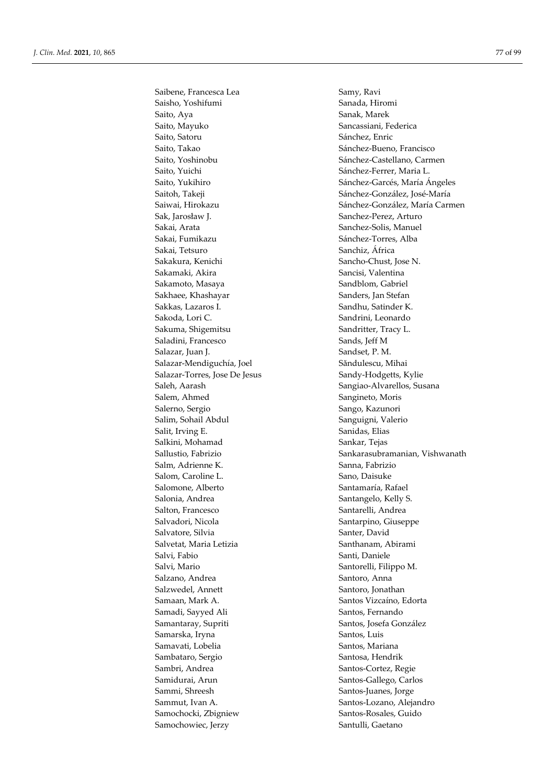Saibene, Francesca Lea Samy, Ravi Saisho, Yoshifumi Sanada, Hiromi Saito, Aya Sanak, Marek Saito, Mayuko Sancassiani, Federica Saito, Satoru Sánchez, Enric Saito, Takao Sánchez-Bueno, Francisco Saito, Yuichi Saito, Yuichi Sánchez-Ferrer, Maria L. Sak, Jarosław J. Sanchez-Perez, Arturo Sakai, Arata Sanchez-Solis, Manuel Sakai, Fumikazu Sánchez-Torres, Alba Sakai, Tetsuro Sanchiz, África Sakakura, Kenichi Sancho-Chust, Jose N. Sakamaki, Akira **Sakamaki, Akira Sancisi**, Valentina Sakamoto, Masaya Sandblom, Gabriel Sakhaee, Khashayar Sanders, Jan Stefan Sakkas, Lazaros I. Sandhu, Satinder K. Sakoda, Lori C. Sandrini, Leonardo Sakuma, Shigemitsu Sandritter, Tracy L. Saladini, Francesco Sands, Jeff M Salazar, Juan J. Sandset, P. M. Salazar-Mendiguchía, Joel Săndulescu, Mihai Salazar-Torres, Jose De Jesus Sandy-Hodgetts, Kylie Saleh, Aarash Sangiao-Alvarellos, Susana Salem, Ahmed Sangineto, Moris Salerno, Sergio Sango, Kazunori Salim, Sohail Abdul Sanguigni, Valerio Salit, Irving E. Sanidas, Elias Salkini, Mohamad Sankar, Tejas Salm, Adrienne K. Sanna, Fabrizio Salom, Caroline L. Sano, Daisuke Salomone, Alberto Santamaría, Rafael Salonia, Andrea Santangelo, Kelly S. Salton, Francesco Santarelli, Andrea Salvadori, Nicola Santarpino, Giuseppe Salvatore, Silvia Santer, David Salvetat, Maria Letizia Santhanam, Abirami Salvi, Fabio Santi, Daniele Salvi, Mario Santorelli, Filippo M. Salzano, Andrea  $S$ antoro, Anna Salzwedel, Annett Santoro, Jonathan Samaan, Mark A. Santos Vizcaíno, Edorta Samadi, Sayyed Ali Santos, Fernando Samantaray, Supriti Santos, Josefa González Samarska, Iryna  $S$ antos, Luis Samavati, Lobelia Santos, Mariana Sambataro, Sergio Santosa, Hendrik Sambri, Andrea Santos-Cortez, Regie Samidurai, Arun Santos-Gallego, Carlos Sammi, Shreesh Santos-Juanes, Jorge Sammut, Ivan A. Santos-Lozano, Alejandro Samochocki, Zbigniew Santos-Rosales, Guido Samochowiec, Jerzy Santulli, Gaetano

Saito, Yoshinobu Sánchez-Castellano, Carmen Saito, Yukihiro Sánchez-Garcés, María Ángeles Saitoh, Takeji Sánchez-González, José-María Saiwai, Hirokazu Sánchez-González, María Carmen Sallustio, Fabrizio Sankarasubramanian, Vishwanath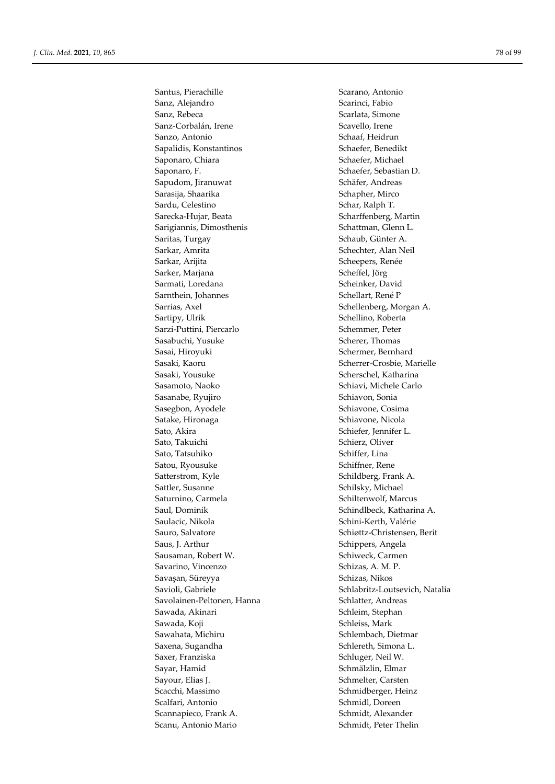Santus, Pierachille Scarano, Antonio Sanz, Alejandro Scarinci, Fabio Sanz, Rebeca Scarlata, Simone Sanz-Corbalán, Irene Scavello, Irene Sanzo, Antonio Schaaf, Heidrun Sapalidis, Konstantinos Schaefer, Benedikt Saponaro, Chiara Schaefer, Michael Saponaro, F. Saponaro, F. Schaefer, Sebastian D. Sapudom, Jiranuwat Schäfer, Andreas Sarasija, Shaarika Schapher, Mirco Sardu, Celestino Schar, Ralph T. Sarecka-Hujar, Beata Scharffenberg, Martin Sarigiannis, Dimosthenis Schattman, Glenn L. Saritas, Turgay Schaub, Günter A. Sarkar, Amrita Schechter, Alan Neil Sarkar, Arijita Scheepers, Renée Sarker, Marjana Scheffel, Jörg Sarmati, Loredana Scheinker, David Sarnthein, Johannes Schellart, René P Sarrias, Axel Schellenberg, Morgan A. Sartipy, Ulrik Schellino, Roberta Sarzi-Puttini, Piercarlo Schemmer, Peter Sasabuchi, Yusuke Scherer, Thomas Sasai, Hiroyuki Schermer, Bernhard Sasaki, Kaoru Scherrer-Crosbie, Marielle Sasaki, Yousuke Sasaki, Yousuke Scherschel, Katharina Sasamoto, Naoko Schiavi, Michele Carlo Sasanabe, Ryujiro Schiavon, Sonia Sasegbon, Ayodele Schiavone, Cosima Satake, Hironaga Schiavone, Nicola Sato, Akira Schiefer, Jennifer L. Sato, Takuichi Schierz, Oliver Sato, Tatsuhiko Schiffer, Lina Satou, Ryousuke Schiffner, Rene Satterstrom, Kyle Schildberg, Frank A. Sattler, Susanne Schilsky, Michael Saturnino, Carmela Schiltenwolf, Marcus Saul, Dominik Schindlbeck, Katharina A. Saulacic, Nikola Schini-Kerth, Valérie Sauro, Salvatore Schiøttz-Christensen, Berit Saus, J. Arthur Schippers, Angela Sausaman, Robert W. Schiweck, Carmen Savarino, Vincenzo Schizas, A. M. P. Savasan, Süreyya Schizas, Nikos Savolainen-Peltonen, Hanna Schlatter, Andreas Sawada, Akinari Sawada, Akinari Schleim, Stephan Sawada, Koji Schleiss, Mark Sawahata, Michiru Sawahata, Michiru Schlembach, Dietmar Saxena, Sugandha Saxena, Sugandha Schlereth, Simona L. Saxer, Franziska Schluger, Neil W. Sayar, Hamid Schmälzlin, Elmar Sayour, Elias J. Schmelter, Carsten Scacchi, Massimo Schmidberger, Heinz Scalfari, Antonio Schmidl, Doreen Scannapieco, Frank A. Schmidt, Alexander Scanu, Antonio Mario **Schmidt**, Peter Thelin

Savioli, Gabriele Schlabritz-Loutsevich, Natalia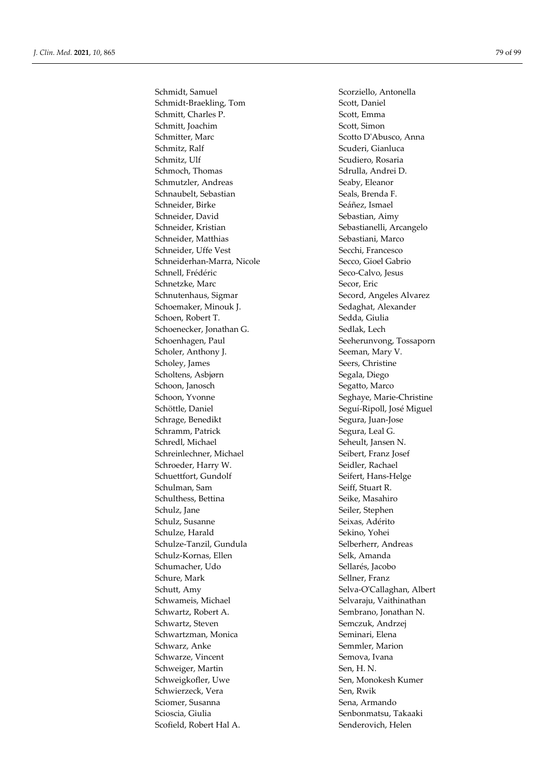Schmidt, Samuel Scorziello, Antonella Schmidt-Braekling, Tom Scott, Daniel Schmitt, Charles P. Scott, Emma Schmitt, Joachim Scott, Simon Schmitter, Marc Scotto D'Abusco, Anna Schmitz, Ralf Scuderi, Gianluca Schmitz, Ulf Scudiero, Rosaria Schmoch, Thomas Sdrulla, Andrei D. Schmutzler, Andreas Seaby, Eleanor Schnaubelt, Sebastian Seals, Brenda F. Schneider, Birke Seáñez, Ismael Schneider, David Sebastian, Aimy Schneider, Kristian Sebastianelli, Arcangelo Schneider, Matthias Sebastiani, Marco Schneider, Uffe Vest Secchi, Francesco Schneiderhan-Marra, Nicole Secco, Gioel Gabrio Schnell, Frédéric Seco-Calvo, Jesus Schnetzke, Marc Secor, Eric Schnutenhaus, Sigmar Secord, Angeles Alvarez Schoemaker, Minouk J. Sedaghat, Alexander Schoen, Robert T. Sedda, Giulia Schoenecker, Jonathan G. Sedlak, Lech Schoenhagen, Paul Seeherunvong, Tossaporn Scholer, Anthony J. Seeman, Mary V. Scholey, James Seers, Christine Scholtens, Asbjørn Segala, Diego Schoon, Janosch Segatto, Marco Schoon, Yvonne Seghaye, Marie-Christine Schöttle, Daniel Seguí-Ripoll, José Miguel Schrage, Benedikt Segura, Juan-Jose Schramm, Patrick Segura, Leal G. Schredl, Michael Seheult, Jansen N. Schreinlechner, Michael Seibert, Franz Josef Schroeder, Harry W. Seidler, Rachael Schuettfort, Gundolf Seifert, Hans-Helge Schulman, Sam Seiff, Stuart R. Schulthess, Bettina Seike, Masahiro Schulz, Jane Seiler, Stephen Schulz, Susanne Seixas, Adérito Schulze, Harald Sekino, Yohei Schulze-Tanzil, Gundula Selberherr, Andreas Schulz-Kornas, Ellen Selk, Amanda Schumacher, Udo Sellarés, Jacobo Schure, Mark Sellner, Franz Schutt, Amy Selva-O'Callaghan, Albert Schwameis, Michael Selvaraju, Vaithinathan Schwartz, Robert A. Sembrano, Jonathan N. Schwartz, Steven Semczuk, Andrzej Schwartzman, Monica Seminari, Elena Schwarz, Anke Semmler, Marion Schwarze, Vincent Semova, Ivana Schweiger, Martin Sen, H. N. Schweigkofler, Uwe Sen, Monokesh Kumer Schwierzeck, Vera Sen, Rwik Sciomer, Susanna New Sena, Armando Scioscia, Giulia Senbonmatsu, Takaaki Scofield, Robert Hal A. Senderovich, Helen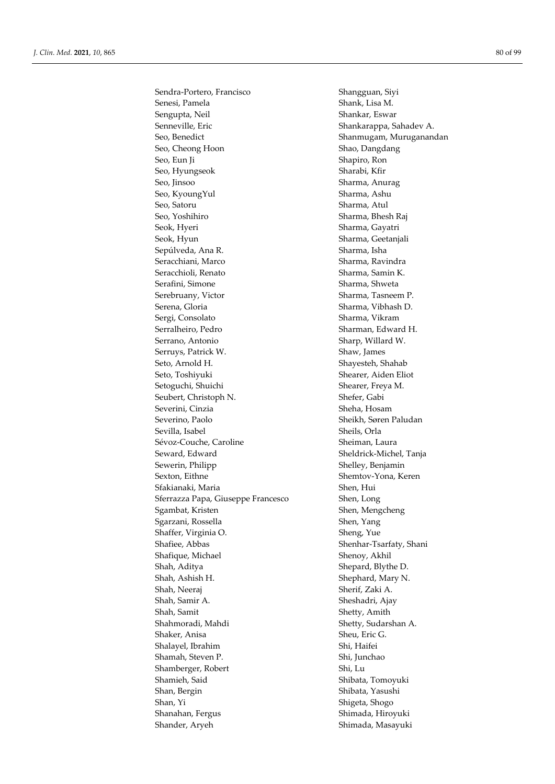Sendra-Portero, Francisco Shangguan, Siyi Senesi, Pamela Shank, Lisa M. Sengupta, Neil Shankar, Eswar Senneville, Eric Shankarappa, Sahadev A. Seo, Benedict **Shanmugam**, Muruganandan Seo, Cheong Hoon Shao, Dangdang Seo, Eun Ji Shapiro, Ron Seo, Hyungseok Sharabi, Kfir Seo, Jinsoo Sharma, Anurag Seo, KyoungYul Sharma, Ashu Seo, Satoru Sharma, Atul Seo, Yoshihiro Sharma, Bhesh Raj Seok, Hyeri Sharma, Gayatri Seok, Hyun Sharma, Geetanjali Sepúlveda, Ana R. Sharma, Isha Seracchiani, Marco Sharma, Ravindra Seracchioli, Renato Sharma, Samin K. Serafini, Simone Sharma, Shweta Serebruany, Victor Sharma, Tasneem P. Serena, Gloria Sharma, Vibhash D. Sergi, Consolato Sharma, Vikram Serralheiro, Pedro Sharman, Edward H. Serrano, Antonio Sharp, Willard W. Serruys, Patrick W. Shaw, James Seto, Arnold H. Shayesteh, Shahab Seto, Toshiyuki Shearer, Aiden Eliot Setoguchi, Shuichi Shearer, Freya M. Seubert, Christoph N. Shefer, Gabi Severini, Cinzia Sheha, Hosam Severino, Paolo Sheikh, Søren Paludan Sevilla, Isabel Sheils, Orla Sévoz-Couche, Caroline Sheiman, Laura Seward, Edward Sheldrick-Michel, Tanja Sewerin, Philipp Shelley, Benjamin Sexton, Eithne Shemtov-Yona, Keren Sfakianaki, Maria **Shen, Hui** Sferrazza Papa, Giuseppe Francesco Shen, Long Sgambat, Kristen Shen, Mengcheng Sgarzani, Rossella Shen, Yang Shaffer, Virginia O. Sheng, Yue Shafiee, Abbas Shenhar-Tsarfaty, Shani Shafique, Michael Shenoy, Akhil Shah, Aditya Shepard, Blythe D. Shah, Ashish H. Shephard, Mary N. Shah, Neeraj Sherif, Zaki A. Shah, Samir A. Sheshadri, Ajay Shah, Samit Shetty, Amith Shahmoradi, Mahdi Shetty, Sudarshan A. Shaker, Anisa Sheu, Eric G. Shalayel, Ibrahim Shi, Haifei Shamah, Steven P. Shi, Junchao Shamberger, Robert Shi, Lu Shamieh, Said Shibata, Tomoyuki Shan, Bergin Shibata, Yasushi Shan, Yi Shigeta, Shogo Shanahan, Fergus Shimada, Hiroyuki Shander, Aryeh Shimada, Masayuki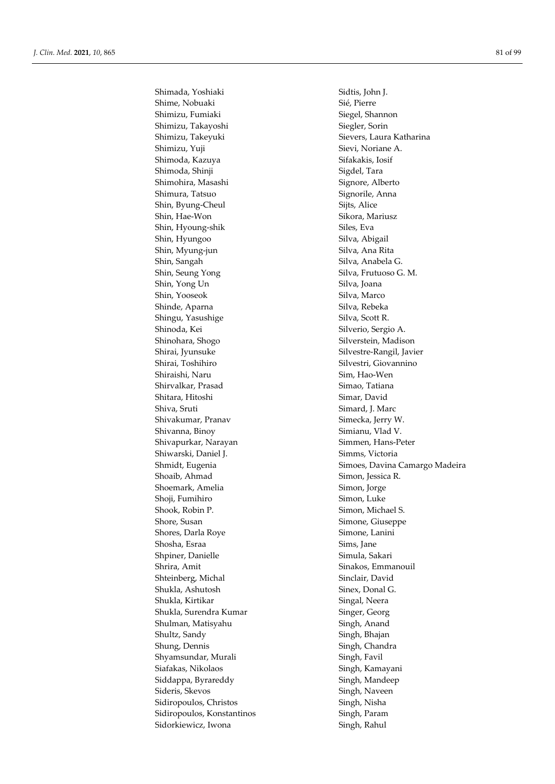Shime, Nobuaki Sié, Pierre Shimizu, Fumiaki Siegel, Shannon Shimizu, Takayoshi Siegler, Sorin Shimizu, Yuji Sievi, Noriane A. Shimoda, Kazuya Sifakakis, Iosif Shimoda, Shinji Sigdel, Tara Shimohira, Masashi Signore, Alberto Shimura, Tatsuo Signorile, Anna Shin, Byung-Cheul Sijts, Alice Shin, Hae-Won Sikora, Mariusz Shin, Hyoung-shik Siles, Eva Shin, Hyungoo Silva, Abigail Shin, Myung-jun Silva, Ana Rita Shin, Sangah Silva, Anabela G. Shin, Seung Yong Silva, Frutuoso G. M. Shin, Yong Un Silva, Joana Shin, Yooseok Silva, Marco Shinde, Aparna Silva, Rebeka Shingu, Yasushige Silva, Scott R. Shinoda, Kei Silverio, Sergio A. Shinohara, Shogo Silverstein, Madison Shirai, Jyunsuke Silvestre-Rangil, Javier Shirai, Toshihiro Silvestri, Giovannino Shiraishi, Naru Sim, Hao-Wen Shirvalkar, Prasad Simao, Tatiana Shitara, Hitoshi Simar, David Shiva, Sruti Simard, J. Marc Shivakumar, Pranav Simecka, Jerry W. Shivanna, Binoy Simianu, Vlad V. Shivapurkar, Narayan Simmen, Hans-Peter Shiwarski, Daniel J. Simms, Victoria Shoaib, Ahmad Simon, Jessica R. Shoemark, Amelia Simon, Jorge Shoji, Fumihiro Simon, Luke Shook, Robin P. Simon, Michael S. Shore, Susan Simone, Giuseppe Shores, Darla Roye Simone, Lanini Shosha, Esraa Sims, Jane Shpiner, Danielle Simula, Sakari Shrira, Amit Sinakos, Emmanouil Shteinberg, Michal Sinclair, David Shukla, Ashutosh Sinex, Donal G. Shukla, Kirtikar Singal, Neera Shukla, Surendra Kumar Singer, Georg Shulman, Matisyahu Singh, Anand Shultz, Sandy Singh, Bhajan Shung, Dennis Singh, Chandra Shyamsundar, Murali Singh, Favil Siafakas, Nikolaos Singh, Kamayani Siddappa, Byrareddy Singh, Mandeep Sideris, Skevos Singh, Naveen Sidiropoulos, Christos Singh, Nisha Sidiropoulos, Konstantinos Singh, Param Sidorkiewicz, Iwona Singh, Rahul

Shimada, Yoshiaki Sidtis, John J. Shimizu, Takeyuki Sievers, Laura Katharina Shmidt, Eugenia Simoes, Davina Camargo Madeira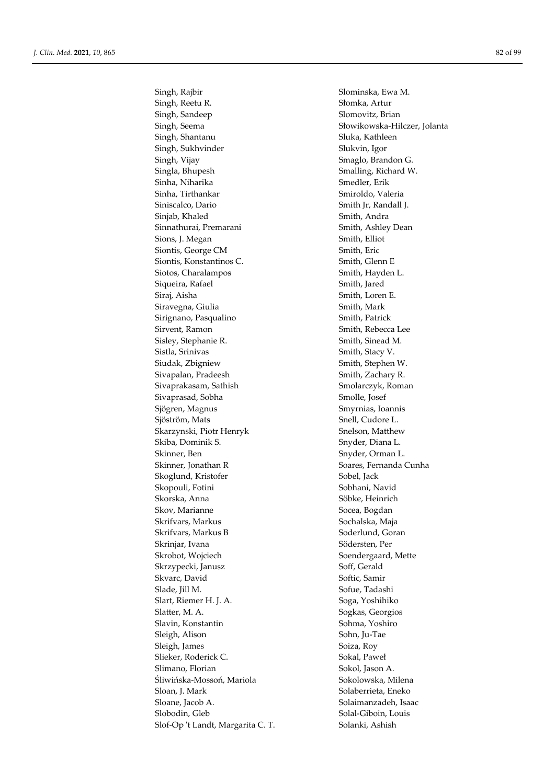Singh, Rajbir Slominska, Ewa M. Singh, Reetu R. Słomka, Artur Singh, Sandeep Singh, Sandeep Slomovitz, Brian Singh, Shantanu Singh, Shantanu Sluka, Kathleen Singh, Sukhvinder Slukvin, Igor Singh, Vijay Smaglo, Brandon G. Singla, Bhupesh Smalling, Richard W. Sinha, Niharika Smedler, Erik Sinha, Tirthankar Smiroldo, Valeria Siniscalco, Dario Smith Jr, Randall J. Sinjab, Khaled Sinjab, Khaled Smith, Andra Sinnathurai, Premarani Smith, Ashley Dean Sions, J. Megan Smith, Elliot Siontis, George CM Smith, Eric Siontis, Konstantinos C. Smith, Glenn E Siotos, Charalampos Smith, Hayden L. Siqueira, Rafael Smith, Jared Siraj, Aisha Smith, Loren E. Siravegna, Giulia Siravegna, Giulia Smith, Mark Sirignano, Pasqualino Smith, Patrick Sirvent, Ramon Sirvent, Rebecca Lee Sisley, Stephanie R. Smith, Sinead M. Sistla, Srinivas Smith, Stacy V. Siudak, Zbigniew Smith, Stephen W. Sivapalan, Pradeesh Smith, Zachary R. Sivaprakasam, Sathish Smolarczyk, Roman Sivaprasad, Sobha Smolle, Josef Sjögren, Magnus Smyrnias, Ioannis Sjöström, Mats Snell, Cudore L. Skarzynski, Piotr Henryk Snelson, Matthew Skiba, Dominik S. Snyder, Diana L. Skinner, Ben Snyder, Orman L. Skinner, Jonathan R<br>
Soares, Fernanda Cunha Skoglund, Kristofer Sobel, Jack Skopouli, Fotini Sobhani, Navid Skorska, Anna Söbke, Heinrich Skov, Marianne Socea, Bogdan Skrifvars, Markus Sochalska, Maja Skrifvars, Markus B Soderlund, Goran Skrinjar, Ivana Södersten, Per Skrobot, Wojciech Soendergaard, Mette Skrzypecki, Janusz Soff, Gerald Skvarc, David Softic, Samir Slade, Jill M. Sofue, Tadashi Slart, Riemer H. J. A. Soga, Yoshihiko Slatter, M. A. Sogkas, Georgios Slavin, Konstantin Sohma, Yoshiro Sleigh, Alison Sohn, Ju-Tae Sleigh, James Soiza, Roy Slieker, Roderick C. Sokal, Paweł Slimano, Florian Sokol, Jason A. Śliwińska-Mossoń, Mariola Sokolowska, Milena Sloan, J. Mark Solaberrieta, Eneko Sloane, Jacob A. Solaimanzadeh, Isaac Slobodin, Gleb Solal-Giboin, Louis

Singh, Seema Słowikowska-Hilczer, Jolanta Slof-Op 't Landt, Margarita C. T. Solanki, Ashish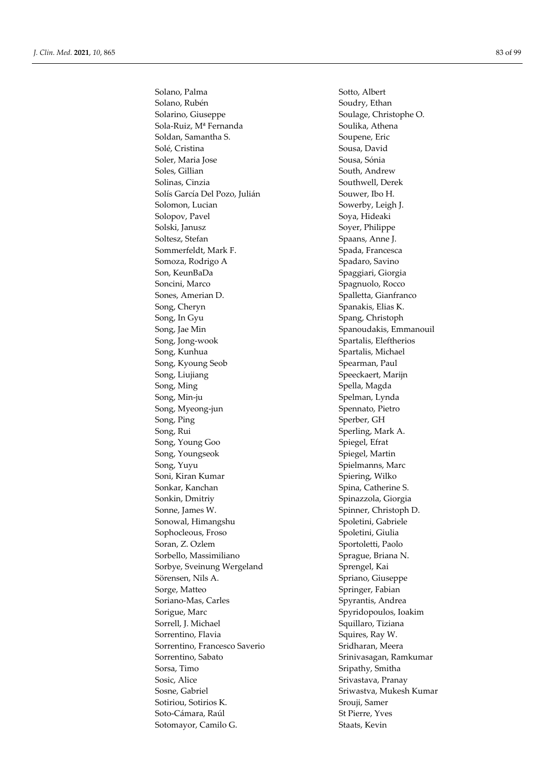Solano, Palma Sotto, Albert Solano, Rubén Soudry, Ethan Solarino, Giuseppe Soulage, Christophe O. Sola-Ruiz, M<sup>a</sup> Fernanda Soulika, Athena Soldan, Samantha S. Soupene, Eric Solé, Cristina Sousa, David Soler, Maria Jose Sousa, Sónia Soles, Gillian South, Andrew Solinas, Cinzia Southwell, Derek Solís García Del Pozo, Julián Souwer, Ibo H. Solomon, Lucian Sowerby, Leigh J. Solopov, Pavel Soya, Hideaki Solski, Janusz Soyer, Philippe Soltesz, Stefan Spaans, Anne J. Sommerfeldt, Mark F. Spada, Francesca Somoza, Rodrigo A Spadaro, Savino Son, KeunBaDa Spaggiari, Giorgia Soncini, Marco Spagnuolo, Rocco Sones, Amerian D. Spalletta, Gianfranco Song, Cheryn Spanakis, Elias K. Song, In Gyu Spang, Christoph Song, Jae Min Spanoudakis, Emmanouil Song, Jong-wook Spartalis, Eleftherios Song, Kunhua Spartalis, Michael Song, Kyoung Seob Spearman, Paul Song, Liujiang Speeckaert, Marijn Song, Ming Spella, Magda Song, Min-ju Spelman, Lynda Song, Myeong-jun Spennato, Pietro Song, Ping Sperber, GH Song, Rui Sperling, Mark A. Song, Young Goo Spiegel, Efrat Song, Youngseok Spiegel, Martin Song, Yuyu Spielmanns, Marc Soni, Kiran Kumar Spiering, Wilko Sonkar, Kanchan Spina, Catherine S. Sonkin, Dmitriy Spinazzola, Giorgia Sonne, James W. Spinner, Christoph D. Sonowal, Himangshu Spoletini, Gabriele Sophocleous, Froso Spoletini, Giulia Soran, Z. Ozlem Sportoletti, Paolo Sorbello, Massimiliano Sprague, Briana N. Sorbye, Sveinung Wergeland Sprengel, Kai Sörensen, Nils A. Spriano, Giuseppe Sorge, Matteo Springer, Fabian Soriano-Mas, Carles Spyrantis, Andrea Sorigue, Marc Spyridopoulos, Ioakim Sorrell, J. Michael Sorrell, S. Michael Squillaro, Tiziana Sorrentino, Flavia Squires, Ray W. Sorrentino, Francesco Saverio Sridharan, Meera Sorrentino, Sabato Srinivasagan, Ramkumar Sorsa, Timo Sripathy, Smitha Sosic, Alice Sosic, Alice Srivastava, Pranay Sosne, Gabriel Sosne, Gabriel Sriwastva, Mukesh Kumar Sotiriou, Sotirios K. Srouji, Samer Soto-Cámara, Raúl St Pierre, Yves Sotomayor, Camilo G. Staats, Kevin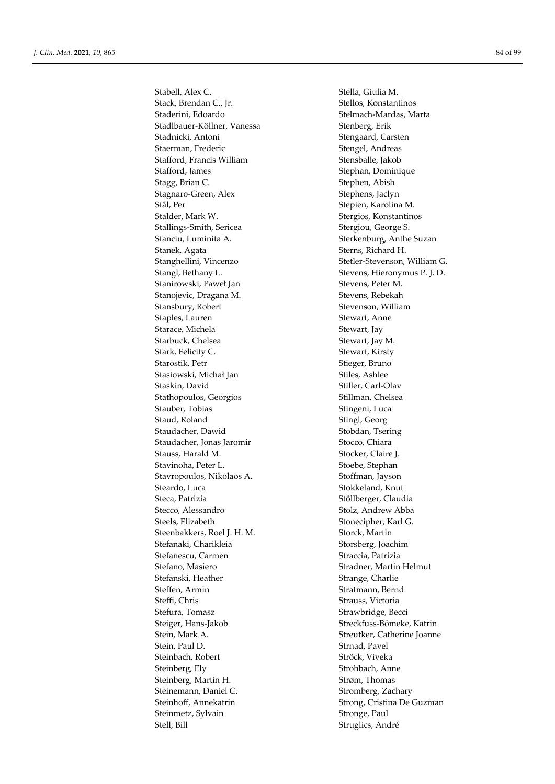Stabell, Alex C. Stella, Giulia M. Stack, Brendan C., Jr. Stellos, Konstantinos Staderini, Edoardo Stelmach-Mardas, Marta Stadlbauer-Köllner, Vanessa Stenberg, Erik Stadnicki, Antoni Stengaard, Carsten Staerman, Frederic Stengel, Andreas Stafford, Francis William Stensballe, Jakob Stafford, James Stephan, Dominique Stagg, Brian C. Stephen, Abish Stagnaro-Green, Alex Stephens, Jaclyn Stål, Per Stepien, Karolina M. Stalder, Mark W. Stergios, Konstantinos Stallings-Smith, Sericea Stergiou, George S. Stanciu, Luminita A. Sterkenburg, Anthe Suzan Stanek, Agata Sterns, Richard H. Stanghellini, Vincenzo Stetler-Stevenson, William G. Stangl, Bethany L. Stevens, Hieronymus P. J. D. Stanirowski, Paweł Jan Stevens, Peter M. Stanojevic, Dragana M. Stevens, Rebekah Stansbury, Robert Stevenson, William Staples, Lauren Stewart, Anne Starace, Michela Stewart, Jay Starbuck, Chelsea Stewart, Jay M. Stark, Felicity C. Stewart, Kirsty Starostik, Petr Stieger, Bruno Stasiowski, Michał Jan Stiles, Ashlee Staskin, David Stiller, Carl-Olav Stathopoulos, Georgios Stillman, Chelsea Stauber, Tobias Stingeni, Luca Staud, Roland Staud, Roland Staud, Roland Staud, Roland Staud, Staud, Staud, Staud, Staud, Staud, St Staudacher, Dawid Stobdan, Tsering Staudacher, Jonas Jaromir Stocco, Chiara Stauss, Harald M. Stocker, Claire J. Stavinoha, Peter L. Stoebe, Stephan Stavropoulos, Nikolaos A. Stoffman, Jayson Steardo, Luca Stokkeland, Knut Steca, Patrizia Stöllberger, Claudia Stecco, Alessandro Stolz, Andrew Abba Steels, Elizabeth Stonecipher, Karl G. Steenbakkers, Roel J. H. M. Storck, Martin Stefanaki, Charikleia Storsberg, Joachim Stefanescu, Carmen Straccia, Patrizia Stefano, Masiero Stradner, Martin Helmut Stefanski, Heather Strange, Charlie Steffen, Armin Stratmann, Bernd Steffi, Chris Strauss, Victoria Stefura, Tomasz **Strawbridge**, Becci Steiger, Hans-Jakob Streckfuss-Bömeke, Katrin Stein, Mark A. Streutker, Catherine Joanne Stein, Paul D. Strnad, Pavel Steinbach, Robert Ströck, Viveka Steinberg, Ely Strohbach, Anne Steinberg, Martin H. Strøm, Thomas Steinemann, Daniel C. Stromberg, Zachary Steinhoff, Annekatrin Strong, Cristina De Guzman Steinmetz, Sylvain Stronge, Paul Stell, Bill Struglics, André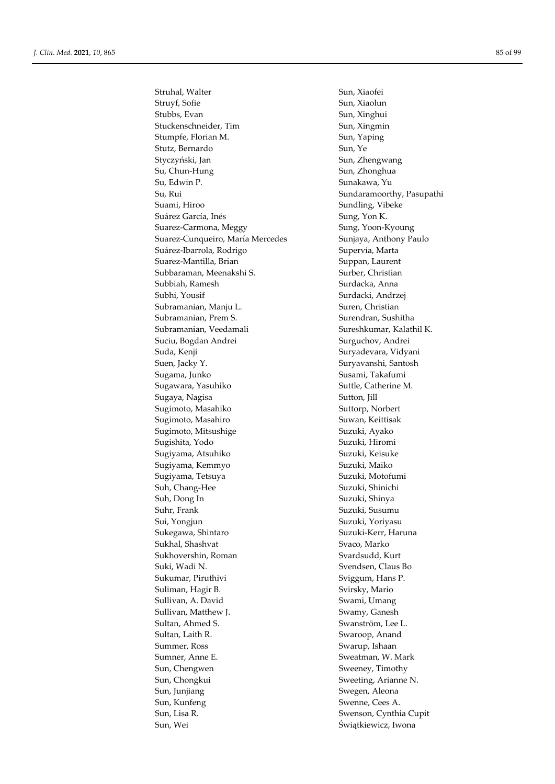Struhal, Walter Sun, Xiaofei Struyf, Sofie Sun, Xiaolun Stubbs, Evan Sun, Xinghui Stuckenschneider, Tim Sun, Xingmin Stumpfe, Florian M. Sun, Yaping Stutz, Bernardo Sun, Ye Styczyński, Jan Sun, Zhengwang Su, Chun-Hung Sun, Zhonghua Su, Edwin P. Sunakawa, Yu Su, Rui Sundaramoorthy, Pasupathi Suami, Hiroo Sundling, Vibeke Suárez García, Inés **Sung, Yon K.** Suarez-Carmona, Meggy Sung, Yoon-Kyoung Suarez-Cunqueiro, María Mercedes Sunjaya, Anthony Paulo Suárez-Ibarrola, Rodrigo Supervía, Marta Suarez-Mantilla, Brian Suppan, Laurent Subbaraman, Meenakshi S. Surber, Christian Subbiah, Ramesh Surdacka, Anna Subhi, Yousif Surdacki, Andrzej Subramanian, Manju L. Suren, Christian Subramanian, Prem S. Surendran, Sushitha Subramanian, Veedamali Sureshkumar, Kalathil K. Suciu, Bogdan Andrei Surguchov, Andrei Suda, Kenji Suryadevara, Vidyani Suen, Jacky Y. Suryavanshi, Santosh Sugama, Junko **Susami, Takafumi** Sugawara, Yasuhiko Suttle, Catherine M. Sugaya, Nagisa Sutton, Jill Sugimoto, Masahiko Suttorp, Norbert Sugimoto, Masahiro Suwan, Keittisak Sugimoto, Mitsushige Suzuki, Ayako Sugishita, Yodo Suzuki, Hiromi Sugiyama, Atsuhiko Suzuki, Keisuke Sugiyama, Kemmyo Suzuki, Maiko Sugiyama, Tetsuya Suzuki, Motofumi Suh, Chang-Hee Suzuki, Shinichi Suh, Dong In Suzuki, Shinya Suhr, Frank Suzuki, Susumu Sui, Yongjun Suzuki, Yoriyasu Sukegawa, Shintaro Suzuki-Kerr, Haruna Sukhal, Shashvat Svaco, Marko Sukhovershin, Roman Svardsudd, Kurt Suki, Wadi N. Svendsen, Claus Bo Sukumar, Piruthivi Sviggum, Hans P. Suliman, Hagir B. Svirsky, Mario Sullivan, A. David Swami, Umang Sullivan, Matthew J. Swamy, Ganesh Sultan, Ahmed S. Swanström, Lee L. Sultan, Laith R. Swaroop, Anand Summer, Ross Swarup, Ishaan Sumner, Anne E. Sweatman, W. Mark Sun, Chengwen Sweeney, Timothy Sun, Chongkui Sweeting, Arianne N. Sun, Junjiang Swegen, Aleona Sun, Kunfeng Swenne, Cees A. Sun, Lisa R. Swenson, Cynthia Cupit Sun, Wei Świątkiewicz, Iwona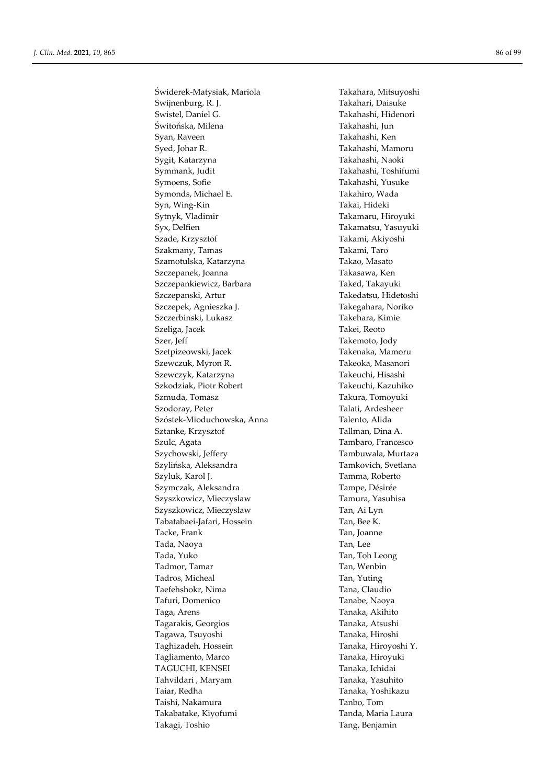Świderek-Matysiak, Mariola Takahara, Mitsuyoshi Swijnenburg, R. J. Takahari, Daisuke Swistel, Daniel G. Takahashi, Hidenori Świtońska, Milena Takahashi, Jun Syan, Raveen Takahashi, Ken Syed, Johar R. Takahashi, Mamoru Sygit, Katarzyna Takahashi, Naoki Symmank, Judit Takahashi, Toshifumi Symoens, Sofie Takahashi, Yusuke Symonds, Michael E. Takahiro, Wada Syn, Wing-Kin Takai, Hideki Sytnyk, Vladimir Takamaru, Hiroyuki Syx, Delfien Takamatsu, Yasuyuki Szade, Krzysztof Takami, Akiyoshi Szakmany, Tamas Takami, Taro Szamotulska, Katarzyna Takao, Masato Szczepanek, Joanna **Takasawa, Ken** Szczepankiewicz, Barbara Taked, Takayuki Szczepanski, Artur Takedatsu, Hidetoshi Szczepek, Agnieszka J. Takegahara, Noriko Szczerbinski, Lukasz Takehara, Kimie Szeliga, Jacek Takei, Reoto Szer, Jeff Takemoto, Jody Szetpizeowski, Jacek Takenaka, Mamoru Szewczuk, Myron R. Takeoka, Masanori Szewczyk, Katarzyna **Takeuchi**, Hisashi Szkodziak, Piotr Robert Takeuchi, Kazuhiko Szmuda, Tomasz Takura, Tomoyuki Szodoray, Peter Talati, Ardesheer Szóstek-Mioduchowska, Anna Talento, Alida Sztanke, Krzysztof Tallman, Dina A. Szulc, Agata Tambaro, Francesco Szychowski, Jeffery Tambuwala, Murtaza Szylińska, Aleksandra Tamkovich, Svetlana Szyluk, Karol J. Tamma, Roberto Szymczak, Aleksandra Tampe, Désirée Szyszkowicz, Mieczyslaw Tamura, Yasuhisa Szyszkowicz, Mieczysław Tan, Ai Lyn Tabatabaei-Jafari, Hossein Tan, Bee K. Tacke, Frank Tan, Joanne Tada, Naoya Tan, Lee Tada, Yuko Tan, Toh Leong Tadmor, Tamar Tan, Wenbin Tadros, Micheal Tan, Yuting Taefehshokr, Nima Tana, Claudio Tafuri, Domenico Tanabe, Naoya Taga, Arens Tanaka, Akihito Tagarakis, Georgios Tanaka, Atsushi Tagawa, Tsuyoshi Tanaka, Hiroshi Taghizadeh, Hossein Tanaka, Hiroyoshi Y. Tagliamento, Marco Tanaka, Hiroyuki TAGUCHI, KENSEI TAGUCHI, KENSEI Tahvildari , Maryam Tanaka, Yasuhito Taiar, Redha Tanaka, Yoshikazu Taishi, Nakamura Tanbo, Tom Takabatake, Kiyofumi Tanda, Maria Laura Takagi, Toshio Tang, Benjamin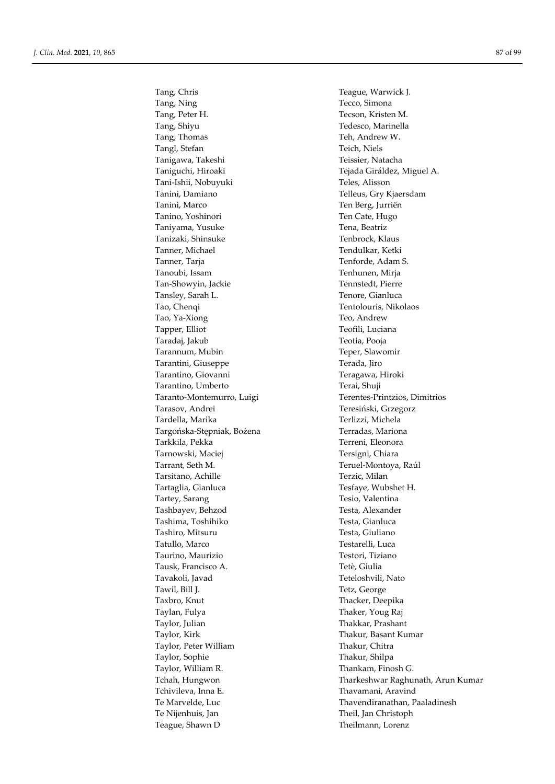Tang, Chris Teague, Warwick J. Tang, Ning Tecco, Simona Tang, Peter H. Tecson, Kristen M. Tang, Shiyu Tedesco, Marinella Tang, Thomas Teh, Andrew W. Tangl, Stefan Teich, Niels Tanigawa, Takeshi Teissier, Natacha Tani-Ishii, Nobuyuki Teles, Alisson Tanini, Damiano Telleus, Gry Kjaersdam Tanini, Marco Ten Berg, Jurriën Tanino, Yoshinori Ten Cate, Hugo Taniyama, Yusuke Tena, Beatriz Tanizaki, Shinsuke Tenbrock, Klaus Tanner, Michael Tendulkar, Ketki Tanner, Taria Tenforde, Adam S. Tanoubi, Issam Tenhunen, Mirja Tan-Showyin, Jackie Tennstedt, Pierre Tansley, Sarah L. Tenore, Gianluca Tao, Chenqi Tentolouris, Nikolaos Tao, Ya-Xiong Teo, Andrew Tapper, Elliot Teofili, Luciana Taradaj, Jakub Teotia, Pooja Tarannum, Mubin Teper, Slawomir Tarantini, Giuseppe Terada, Jiro Tarantino, Giovanni Teragawa, Hiroki Tarantino, Umberto Terai, Shuji Tarasov, Andrei Teresiński, Grzegorz Tardella, Marika Terlizzi, Michela Targońska-Stępniak, Bożena Terradas, Mariona Tarkkila, Pekka Terreni, Eleonora Tarnowski, Maciej **Tersigni**, Chiara Tarrant, Seth M. Teruel-Montoya, Raúl Tarsitano, Achille Terzic, Milan Tartaglia, Gianluca Tesfaye, Wubshet H. Tartey, Sarang Tesio, Valentina Tashbayev, Behzod Testa, Alexander Tashima, Toshihiko Testa, Gianluca Tashiro, Mitsuru Testa, Giuliano Tatullo, Marco Testarelli, Luca Taurino, Maurizio Testori, Tiziano Tausk, Francisco A. Tetè, Giulia Tavakoli, Javad Teteloshvili, Nato Tawil, Bill J. Tetz, George Taxbro, Knut Thacker, Deepika Taylan, Fulya Thaker, Youg Raj Taylor, Julian Taylor, Julian Taylor, Julian Thakkar, Prashant Taylor, Kirk Taylor, Kirk Thakur, Basant Kumar Taylor, Peter William Thakur, Chitra Taylor, Sophie Thakur, Shilpa Taylor, William R. Thankam, Finosh G. Tchivileva, Inna E. Thavamani, Aravind Te Nijenhuis, Jan Theil, Jan Christoph Teague, Shawn D Theilmann, Lorenz

Taniguchi, Hiroaki Tejada Giráldez, Miguel A. Taranto-Montemurro, Luigi Terentes-Printzios, Dimitrios Tchah, Hungwon Tharkeshwar Raghunath, Arun Kumar Te Marvelde, Luc Thavendiranathan, Paaladinesh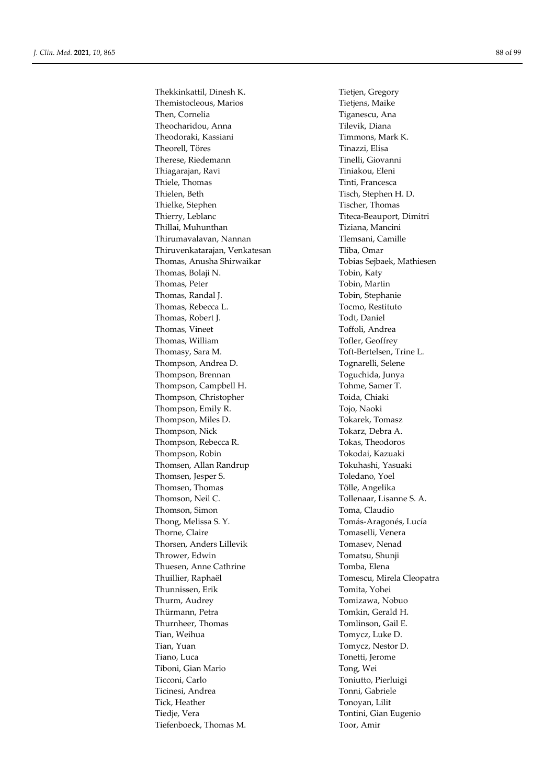Thekkinkattil, Dinesh K. Tietjen, Gregory Themistocleous, Marios Tietjens, Maike Then, Cornelia Then, Cornelia Tiganescu, Ana Theocharidou, Anna Theocharidou, Anna Theodoraki, Kassiani Timmons, Mark K. Theorell, Töres Tinazzi, Elisa Therese, Riedemann Tinelli, Giovanni Thiagarajan, Ravi Tiniakou, Eleni Thiele, Thomas Tinti, Francesca Thielen, Beth Tisch, Stephen H. D. Thielke, Stephen Tischer, Thomas Thierry, Leblanc Titeca-Beauport, Dimitri Thillai, Muhunthan Tiziana, Mancini Thirumavalavan, Nannan Thirumavalavan, Nannan Temsani, Camille Thiruvenkatarajan, Venkatesan Tliba, Omar Thomas, Anusha Shirwaikar Tobias Sejbaek, Mathiesen Thomas, Bolaji N. Tobin, Katy Thomas, Peter Tobin, Martin Thomas, Randal J. Tobin, Stephanie Thomas, Rebecca L. Thomas, Restituto Thomas, Robert J. Todt, Daniel Thomas, Vineet Toffoli, Andrea Thomas, William Tofler, Geoffrey Thomasy, Sara M. Toft-Bertelsen, Trine L. Thompson, Andrea D. Tognarelli, Selene Thompson, Brennan Toguchida, Junya Thompson, Campbell H. Tohme, Samer T. Thompson, Christopher Toida, Chiaki Thompson, Emily R. Tojo, Naoki Thompson, Miles D. Tokarek, Tomasz Thompson, Nick Tokarz, Debra A. Thompson, Rebecca R. Theodoros Thompson, Robin Tokodai, Kazuaki Thomsen, Allan Randrup Tokuhashi, Yasuaki Thomsen, Jesper S. Toledano, Yoel Thomsen, Thomas Tölle, Angelika Thomson, Neil C. Tollenaar, Lisanne S. A. Thomson, Simon Toma, Claudio Thong, Melissa S. Y. Tomás-Aragonés, Lucía Thorne, Claire Tomaselli, Venera Thorsen, Anders Lillevik Tomasev, Nenad Thrower, Edwin Tomatsu, Shunji Thuesen, Anne Cathrine Tomba, Elena Thuillier, Raphaël Tomescu, Mirela Cleopatra Thunnissen, Erik Tomita, Yohei Thurm, Audrey Tomizawa, Nobuo Thürmann, Petra Tomkin, Gerald H. Thurnheer, Thomas Tomlinson, Gail E. Tian, Weihua Tomycz, Luke D. Tian, Yuan Tomycz, Nestor D. Tiano, Luca Tonetti, Jerome Tiboni, Gian Mario Tong, Wei Ticconi, Carlo Toniutto, Pierluigi Ticinesi, Andrea Tonni, Gabriele Tick, Heather Tonoyan, Lilit Tiedje, Vera Tontini, Gian Eugenio Tiefenboeck, Thomas M. Toor, Amir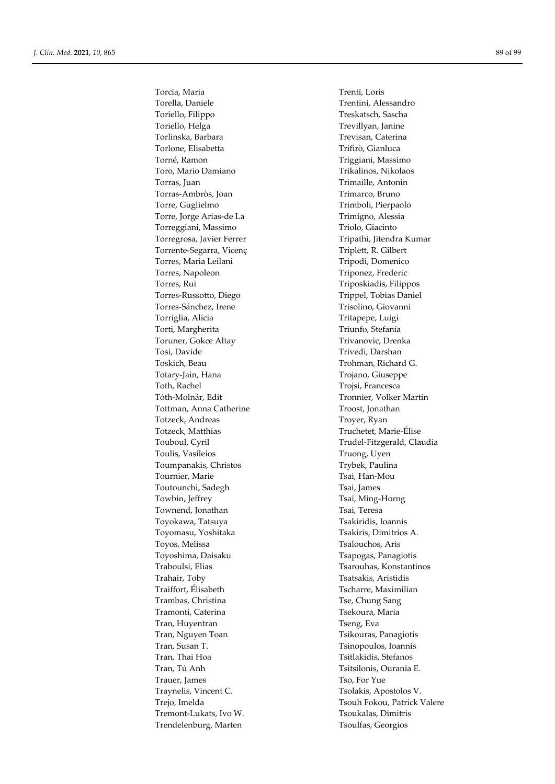Torella, Daniele Trentini, Alessandro Toriello, Filippo Treskatsch, Sascha Toriello, Helga Trevillyan, Janine Torlinska, Barbara Trevisan, Caterina Torlone, Elisabetta Trifirò, Gianluca Torné, Ramon Triggiani, Massimo Toro, Mario Damiano Trikalinos, Nikolaos Torras, Juan Trimaille, Antonin Torras-Ambròs, Joan Trimarco, Bruno Torre, Guglielmo Torre, Guglielmo Torre, Jorge Arias-de La Trimigno, Alessia Torreggiani, Massimo Triolo, Giacinto Torregrosa, Javier Ferrer Tripathi, Jitendra Kumar Torrente-Segarra, Vicenç Triplett, R. Gilbert Torres, Maria Leilani Tripodi, Domenico Torres, Napoleon Triponez, Frederic Torres, Rui Triposkiadis, Filippos Torres-Russotto, Diego Trippel, Tobias Daniel Torres-Sánchez, Irene Trisolino, Giovanni Torriglia, Alicia **Tritapepe, Luigi** Torti, Margherita Triunfo, Stefania Toruner, Gokce Altay Trivanovic, Drenka Tosi, Davide Trivedi, Darshan Toskich, Beau Trohman, Richard G. Totary-Jain, Hana Trojano, Giuseppe Toth, Rachel Trojsi, Francesca Tóth-Molnár, Edit Tronnier, Volker Martin Tottman, Anna Catherine Troost, Jonathan Totzeck, Andreas Troyer, Ryan Totzeck, Matthias Truchetet, Marie-Élise Toulis, Vasileios Truong, Uyen Toumpanakis, Christos Trybek, Paulina Tournier, Marie Tournier, Marie Tsai, Han-Mou Toutounchi, Sadegh Tsai, James Towbin, Jeffrey Tsai, Ming-Horng Townend, Jonathan Tsai, Teresa Toyokawa, Tatsuya Tsakiridis, Ioannis Toyomasu, Yoshitaka Tsakiris, Dimitrios A. Toyos, Melissa Tsalouchos, Aris Toyoshima, Daisaku Tsapogas, Panagiotis Traboulsi, Elias Tsarouhas, Konstantinos Trahair, Toby Tsatsakis, Aristidis Traiffort, Élisabeth Tscharre, Maximilian Trambas, Christina Tse, Chung Sang Tramonti, Caterina Tsekoura, Maria Tran, Huyentran Tran, Eva Tran, Nguyen Toan Tran, Nguyen Toan Tran, Nguyen Toan Tran, Panagiotis Tran, Susan T. Tsinopoulos, Ioannis Tran, Thai Hoa Tsitlakidis, Stefanos Tran, Tú Anh Tsitsilonis, Ourania E. Trauer, James Tso, For Yue Traynelis, Vincent C. Tsolakis, Apostolos V. Tremont-Lukats, Ivo W. Tsoukalas, Dimitris Trendelenburg, Marten Tsoulfas, Georgios

Torcia, Maria Trenti, Loris Touboul, Cyril Trudel-Fitzgerald, Claudia Trejo, Imelda Trejo, Imelda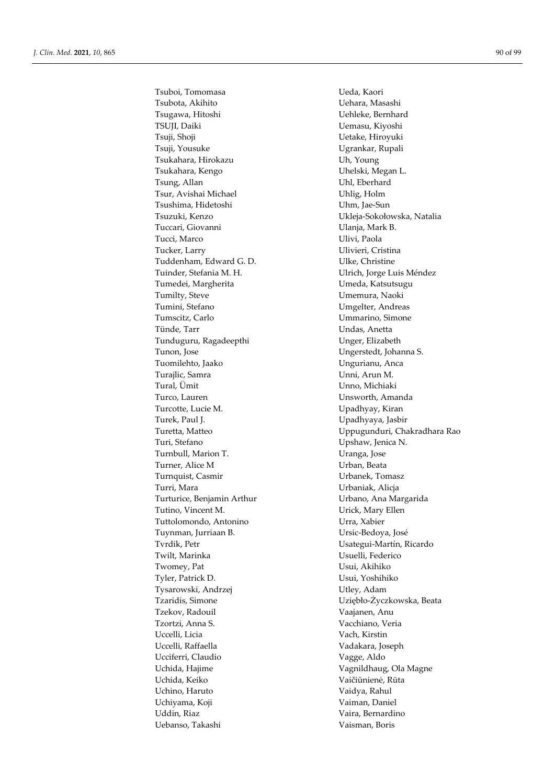Tsuboi, Tomomasa Veda, Kaori Tsubota, Akihito **Vehara**, Masashi Tsugawa, Hitoshi Vehleke, Bernhard TSUJI, Daiki Uemasu, Kiyoshi Tsuji, Shoji Uetake, Hiroyuki Tsuji, Yousuke Ugrankar, Rupali Tsukahara, Hirokazu Uh, Young Tsukahara, Kengo Uhelski, Megan L. Tsung, Allan Uhl, Eberhard Tsur, Avishai Michael Uhlig, Holm Tsushima, Hidetoshi Uhm, Jae-Sun Tsuzuki, Kenzo Ukleja-Sokołowska, Natalia Tuccari, Giovanni Ulanja, Mark B. Tucci, Marco Ulivi, Paola Tucker, Larry Ulivieri, Cristina Tuddenham, Edward G. D. Vike, Christine Tuinder, Stefania M. H. Virich, Jorge Luis Méndez Tumedei, Margherita Van America Umeda, Katsutsugu Tumilty, Steve Umemura, Naoki Tumini, Stefano Umgelter, Andreas Tumscitz, Carlo **Ummarino**, Simone Tünde, Tarr View Undas, Anetta Tunduguru, Ragadeepthi Vinger, Elizabeth Tunon, Jose Ungerstedt, Johanna S. Tuomilehto, Jaako Ungurianu, Anca Turajlic, Samra Vienna, Arun M. Tural, Ümit Unno, Michiaki Turco, Lauren Waren and Unsworth, Amanda Turcotte, Lucie M. View Charles Charles Charles Charles Charles Charles Charles Charles Charles Charles Charles Charles Charles Charles Charles Charles Charles Charles Charles Charles Charles Charles Charles Charles Charle Turek, Paul J. (2008) Charles Upadhyaya, Jasbir Turetta, Matteo **New York Constructs** Uppugunduri, Chakradhara Rao Turi, Stefano Upshaw, Jenica N. Turnbull, Marion T. **Uranga**, Jose Turner, Alice M Urban, Beata Turnquist, Casmir Urbanek, Tomasz Turri, Mara **Mara** 2008 **Mara 2018** Urbaniak, Alicja Turturice, Benjamin Arthur Viennessen Urbano, Ana Margarida Tutino, Vincent M. Vinching M. Urick, Mary Ellen Tuttolomondo, Antonino Urra, Xabier Tuynman, Jurriaan B. Ursic-Bedoya, José Tvrdik, Petr **Victor** Usategui-Martín, Ricardo Twilt, Marinka Usuelli, Federico Twomey, Pat Usui, Akihiko Tyler, Patrick D. Usui, Yoshihiko Tysarowski, Andrzej Wiley, Adam Tzaridis, Simone Uziębło-Życzkowska, Beata Tzekov, Radouil Vaajanen, Anu Tzortzi, Anna S. Vacchiano, Veria Uccelli, Licia Vach, Kirstin Uccelli, Raffaella Vadakara, Joseph Ucciferri, Claudio Vagge, Aldo Uchida, Hajime Vagnildhaug, Ola Magne Uchida, Keiko Vaičiūnienė, Rūta Uchino, Haruto Vaidya, Rahul Uchiyama, Koji **Vaiman**, Daniel Uddin, Riaz Vaira, Bernardino Uebanso, Takashi Vaisman, Boris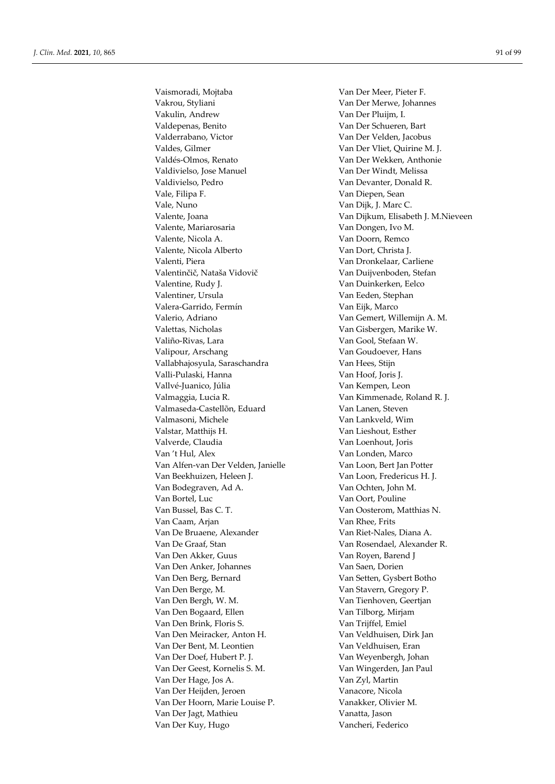Vakrou, Styliani Van Der Merwe, Johannes Vakulin, Andrew Van Der Pluijm, I. Valdepenas, Benito Van Der Schueren, Bart Valderrabano, Victor Van Der Velden, Jacobus Valdes, Gilmer Van Der Vliet, Quirine M. J. Valdés-Olmos, Renato Van Der Wekken, Anthonie Valdivielso, Jose Manuel Van Der Windt, Melissa Valdivielso, Pedro Van Devanter, Donald R. Vale, Filipa F. Van Diepen, Sean Vale, Nuno Van Dijk, J. Marc C. Valente, Mariarosaria (Van Dongen, Ivo M. Valente, Nicola A. Van Doorn, Remco Valente, Nicola Alberto Van Dort, Christa J. Valenti, Piera Van Dronkelaar, Carliene Valentinčič, Nataša Vidovič Van Duijvenboden, Stefan Valentine, Rudy J. Van Duinkerken, Eelco Valentiner, Ursula Van Eeden, Stephan Valera-Garrido, Fermín Van Eijk, Marco Valerio, Adriano Van Gemert, Willemijn A. M. Valettas, Nicholas Van Gisbergen, Marike W. Valiño-Rivas, Lara Van Gool, Stefaan W. Valipour, Arschang Van Goudoever, Hans Vallabhajosyula, Saraschandra Van Hees, Stijn Valli-Pulaski, Hanna Van Hoof, Joris J. Vallvé-Juanico, Júlia Van Kempen, Leon Valmaggia, Lucia R. Van Kimmenade, Roland R. J. Valmaseda-Castellõn, Eduard Van Lanen, Steven Valmasoni, Michele Van Lankveld, Wim Valstar, Matthijs H. Van Lieshout, Esther Valverde, Claudia Van Loenhout, Joris Van 't Hul, Alex Van Londen, Marco Van Alfen-van Der Velden, Janielle Van Loon, Bert Jan Potter Van Beekhuizen, Heleen J. Van Loon, Fredericus H. J. Van Bodegraven, Ad A. Van Ochten, John M. Van Bortel, Luc Van Oort, Pouline Van Bussel, Bas C. T. Van Oosterom, Matthias N. Van Caam, Arjan Van Rhee, Frits Van De Bruaene, Alexander Van Riet-Nales, Diana A. Van De Graaf, Stan Van Rosendael, Alexander R. Van Den Akker, Guus Van Royen, Barend J Van Den Anker, Johannes Van Saen, Dorien Van Den Berg, Bernard Van Setten, Gysbert Botho Van Den Berge, M. Van Stavern, Gregory P. Van Den Bergh, W. M. Van Tienhoven, Geertjan Van Den Bogaard, Ellen Van Tilborg, Mirjam Van Den Brink, Floris S. Van Trijffel, Emiel Van Den Meiracker, Anton H. Van Veldhuisen, Dirk Jan Van Der Bent, M. Leontien Van Veldhuisen, Eran Van Der Doef, Hubert P. J. Van Weyenbergh, Johan Van Der Geest, Kornelis S. M. Van Wingerden, Jan Paul Van Der Hage, Jos A. Van Zyl, Martin Van Der Heijden, Jeroen Vanacore, Nicola Van Der Hoorn, Marie Louise P. Vanakker, Olivier M. Van Der Jagt, Mathieu Vanatta, Jason Van Der Kuy, Hugo Vancheri, Federico

Vaismoradi, Mojtaba Van Der Meer, Pieter F. Valente, Joana Van Dijkum, Elisabeth J. M.Nieveen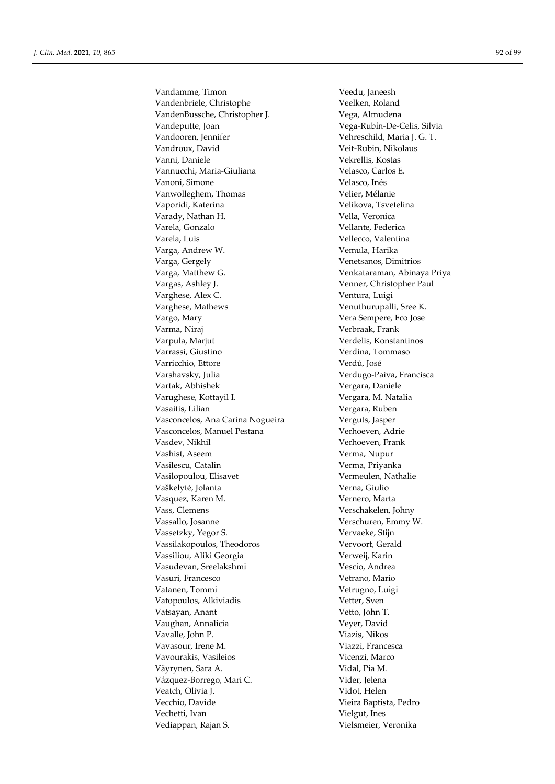Vandamme, Timon Veedu, Janeesh Vandenbriele, Christophe Veelken, Roland VandenBussche, Christopher J. Vega, Almudena Vandeputte, Joan Vega-Rubín-De-Celis, Silvia Vandooren, Jennifer Vehreschild, Maria J. G. T. Vandroux, David Veit-Rubin, Nikolaus Vanni, Daniele Vekrellis, Kostas Vannucchi, Maria-Giuliana Velasco, Carlos E. Vanoni, Simone Velasco, Inés Vanwolleghem, Thomas Velier, Mélanie Vaporidi, Katerina Velikova, Tsvetelina Varady, Nathan H. Vella, Veronica Varela, Gonzalo Vellante, Federica Varela, Luis Vellecco, Valentina Varga, Andrew W. Vemula, Harika Varga, Gergely Venetsanos, Dimitrios Varga, Matthew G. Venkataraman, Abinaya Priya Vargas, Ashley J. Venner, Christopher Paul Varghese, Alex C. Ventura, Luigi Varghese, Mathews **Venuthurupalli**, Sree K. Vargo, Mary Vera Sempere, Fco Jose Varma, Niraj  $V$ erbraak, Frank Varpula, Marjut Verdelis, Konstantinos Varrassi, Giustino Verdina, Tommaso Varricchio, Ettore Verdú, José Varshavsky, Julia Verdugo-Paiva, Francisca Vartak, Abhishek Vergara, Daniele Varughese, Kottayil I. Vergara, M. Natalia Vasaitis, Lilian Vergara, Ruben Vasconcelos, Ana Carina Nogueira Verguts, Jasper Vasconcelos, Manuel Pestana Verhoeven, Adrie Vasdev, Nikhil Verhoeven, Frank Vashist, Aseem Verma, Nupur Vasilescu, Catalin Verma, Priyanka Vasilopoulou, Elisavet Vermeulen, Nathalie Vaškelytė, Jolanta Verna, Giulio Vasquez, Karen M. Vernero, Marta Vass, Clemens Verschakelen, Johny Vassallo, Josanne Verschuren, Emmy W. Vassetzky, Yegor S. Vervaeke, Stijn Vassilakopoulos, Theodoros Vervoort, Gerald Vassiliou, Aliki Georgia Verweij, Karin Vasudevan, Sreelakshmi Vescio, Andrea Vasuri, Francesco **Vetrano**, Mario Vatanen, Tommi Vetrugno, Luigi Vatopoulos, Alkiviadis vetter, Sven Vatsayan, Anant Vetto, John T. Vaughan, Annalicia Veyer, David Vavalle, John P. Viazis, Nikos Vavasour, Irene M. Viazzi, Francesca Vavourakis, Vasileios Vicenzi, Marco Väyrynen, Sara A. Vidal, Pia M. Vázquez-Borrego, Mari C. Vider, Jelena Veatch, Olivia J. Vidot, Helen Vecchio, Davide Vieira Baptista, Pedro Vechetti, Ivan Vielgut, Ines Vediappan, Rajan S. Vielsmeier, Veronika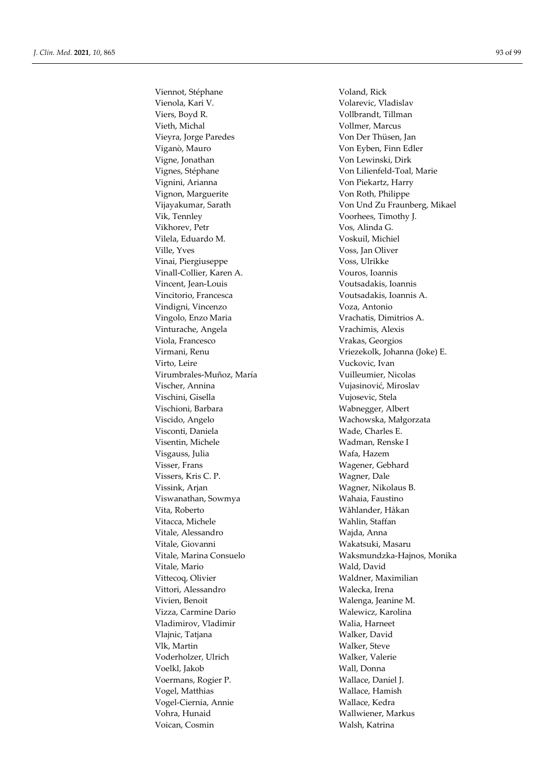Viennot, Stéphane Voland, Rick Vienola, Kari V. Volarevic, Vladislav Viers, Boyd R. Vollbrandt, Tillman Vieth, Michal **Vollmer**, Marcus Vieyra, Jorge Paredes Von Der Thüsen, Jan Viganò, Mauro Von Eyben, Finn Edler Vigne, Jonathan Von Lewinski, Dirk Vignes, Stéphane Von Lilienfeld-Toal, Marie Vignini, Arianna Von Piekartz, Harry Vignon, Marguerite Von Roth, Philippe Vik, Tennley Voorhees, Timothy J. Vikhorev, Petr Vos, Alinda G. Vilela, Eduardo M. Voskuil, Michiel Ville, Yves Voss, Jan Oliver Vinai, Piergiuseppe Voss, Ulrikke Vinall-Collier, Karen A. Vouros, Ioannis Vincent, Jean-Louis Voutsadakis, Ioannis Vincitorio, Francesca Voutsadakis, Ioannis A. Vindigni, Vincenzo Voza, Antonio Vingolo, Enzo Maria Vrachatis, Dimitrios A. Vinturache, Angela Vrachimis, Alexis Viola, Francesco Vrakas, Georgios Virto, Leire Vuckovic, Ivan Virumbrales-Muñoz, María Vuilleumier, Nicolas Vischer, Annina Vujasinović, Miroslav Vischini, Gisella Vujosevic, Stela Vischioni, Barbara Wabnegger, Albert Viscido, Angelo Wachowska, Małgorzata Visconti, Daniela Wade, Charles E. Visentin, Michele Wadman, Renske I Visgauss, Julia Wafa, Hazem Visser, Frans Wagener, Gebhard Vissers, Kris C. P. Wagner, Dale Vissink, Arjan Wagner, Nikolaus B. Viswanathan, Sowmya Wahaia, Faustino Vita, Roberto Wåhlander, Håkan Vitacca, Michele Wahlin, Staffan Vitale, Alessandro Wajda, Anna Vitale, Giovanni Wakatsuki, Masaru Vitale, Mario Wald, David Vittecoq, Olivier Waldner, Maximilian Vittori, Alessandro Walecka, Irena Vivien, Benoit Walenga, Jeanine M. Vizza, Carmine Dario Walewicz, Karolina Vladimirov, Vladimir **Walia**, Harneet Vlajnic, Tatjana Walker, David Vlk, Martin Walker, Steve Voderholzer, Ulrich Walker, Valerie Voelkl, Jakob Wall, Donna Voermans, Rogier P. Wallace, Daniel J. Vogel, Matthias Wallace, Hamish Vogel-Ciernia, Annie Wallace, Kedra Vohra, Hunaid Wallwiener, Markus Voican, Cosmin Walsh, Katrina

Vijayakumar, Sarath Von Und Zu Fraunberg, Mikael Virmani, Renu Vriezekolk, Johanna (Joke) E. Vitale, Marina Consuelo Waksmundzka-Hajnos, Monika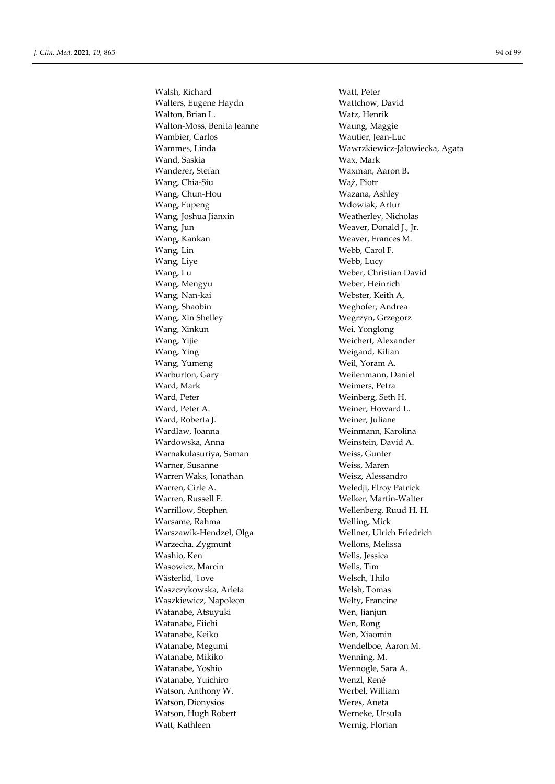Walsh, Richard Walt, Peter<br>
Walters. Eugene Havdn Wattchow, David Walters, Eugene Haydn Walton, Brian L. Watz, Henrik Walton-Moss, Benita Jeanne Waung, Maggie Wambier, Carlos Wautier, Jean-Luc Wand, Saskia Wax, Mark Wanderer, Stefan Waxman, Aaron B. Wang, Chia-Siu Wa̧ż, Piotr Wang, Chun-Hou Wazana, Ashley Wang, Fupeng Wang, Tupeng Wang, Artur Wang, Joshua Jianxin Weatherley, Nicholas Wang, Jun Weaver, Donald J., Jr. Wang, Kankan Weaver, Frances M. Wang, Lin Webb, Carol F. Wang, Live Webb, Lucy Wang, Lu Weber, Christian David Wang, Mengyu Weber, Heinrich Wang, Nan-kai Webster, Keith A, Wang, Shaobin Weghofer, Andrea Wang, Xin Shelley Wegrzyn, Grzegorz Wang, Xinkun Wei, Yonglong<br>
Wei, Yonglong<br>
Weichert, Alexa Wang, Ying Weigand, Kilian Wang, Yumeng Weil, Yoram A. Warburton, Gary Weilenmann, Daniel Ward, Mark Weimers, Petra Ward, Peter Weinberg, Seth H. Ward, Peter A. Weiner, Howard L. Ward, Roberta J. Weiner, Juliane Wardlaw, Joanna Weinmann, Karolina Wardowska, Anna Weinstein, David A. Warnakulasuriya, Saman Weiss, Gunter Warner, Susanne Weiss, Maren Warren Waks, Jonathan Weisz, Alessandro Warren, Cirle A. Weledji, Elroy Patrick Warren, Russell F. Welker, Martin-Walter Warrillow, Stephen Wellenberg, Ruud H. H. Warsame, Rahma Welling, Mick Warszawik-Hendzel, Olga Wellner, Ulrich Friedrich Warzecha, Zygmunt Wellons, Melissa Washio, Ken Wells, Jessica Wasowicz, Marcin Wells, Tim Wästerlid, Tove Welsch, Thilo Waszczykowska, Arleta Welsh, Tomas Waszkiewicz, Napoleon Welty, Francine Watanabe, Atsuyuki Wen, Jianjun Watanabe, Eiichi Wen, Rong Watanabe, Keiko Wen, Xiaomin Watanabe, Megumi Wendelboe, Aaron M. Watanabe, Mikiko Wenning, M. Watanabe, Yoshio Wennogle, Sara A. Watanabe, Yuichiro Wenzl, René Watson, Anthony W. Werbel, William Watson, Dionysios Weres, Aneta Watson, Hugh Robert Werneke, Ursula Watt, Kathleen Wernig, Florian

Wammes, Linda Wawrzkiewicz-Jałowiecka, Agata Weichert, Alexander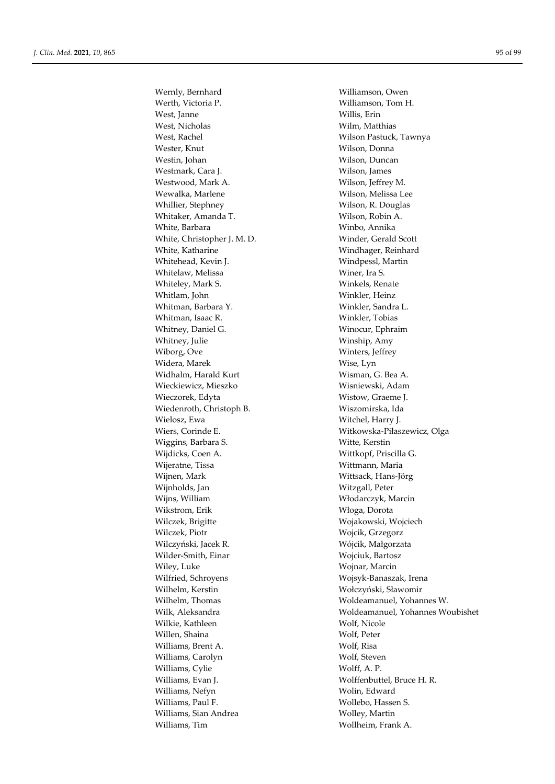Wernly, Bernhard Williamson, Owen Werth, Victoria P. (2008) 2013 19:30 Williamson, Owen Williamson, Tom H West, Janne Willis, Erin West, Nicholas Wilm, Matthias West, Rachel Wilson Pastuck, Tawnya Wester, Knut Wilson, Donna Westin, Johan Wilson, Duncan Westmark, Cara J. Wilson, James Westwood, Mark A. Wilson, Jeffrey M. Wewalka, Marlene Wilson, Melissa Lee Whillier, Stephney Wilson, R. Douglas Whitaker, Amanda T. Wilson, Robin A. White, Barbara Winbo, Annika White, Christopher J. M. D. Winder, Gerald Scott White, Katharine Windhager, Reinhard Whitehead, Kevin J. Windpessl, Martin Whitelaw, Melissa Winer, Ira S. Whiteley, Mark S. Winkels, Renate Whitlam, John Winkler, Heinz Whitman, Barbara Y. Winkler, Sandra L. Whitman, Isaac R. Winkler, Tobias Whitney, Daniel G. Winocur, Ephraim Whitney, Julie Winship, Amy Wiborg, Ove Winters, Jeffrey Widera, Marek **Wise, Lyn** Widhalm, Harald Kurt Wisman, G. Bea A. Wieckiewicz, Mieszko Wisniewski, Adam Wieczorek, Edyta Wistow, Graeme J. Wiedenroth, Christoph B. Wiszomirska, Ida Wielosz, Ewa Witchel, Harry J. Wiers, Corinde E. Witkowska-Piłaszewicz, Olga Wiggins, Barbara S. Witte, Kerstin Wijdicks, Coen A. Wittkopf, Priscilla G. Wijeratne, Tissa Wittmann, Maria Wijnen, Mark Wittsack, Hans-Jörg Wijnholds, Jan Witzgall, Peter Wijns, William Włodarczyk, Marcin Wikstrom, Erik Włoga, Dorota Wilczek, Brigitte Wojakowski, Wojciech Wilczek, Piotr Wojcik, Grzegorz Wilczyński, Jacek R. Wójcik, Małgorzata Wilder-Smith, Einar Wojciuk, Bartosz Wiley, Luke Wojnar, Marcin Wilfried, Schroyens Wojsyk-Banaszak, Irena Wilhelm, Kerstin Wołczyński, Sławomir Wilhelm, Thomas Woldeamanuel, Yohannes W. Wilkie, Kathleen Wolf, Nicole Willen, Shaina Wolf, Peter Williams, Brent A. Wolf, Risa Williams, Carolyn Wolf, Steven Williams, Cylie Wolff, A. P. Williams, Evan J. Wolffenbuttel, Bruce H. R. Williams, Nefyn Wolin, Edward Williams, Paul F. Wollebo, Hassen S. Williams, Sian Andrea Wolley, Martin Williams, Tim Wollheim, Frank A.

Williamson, Tom H. Wilk, Aleksandra Woldeamanuel, Yohannes Woubishet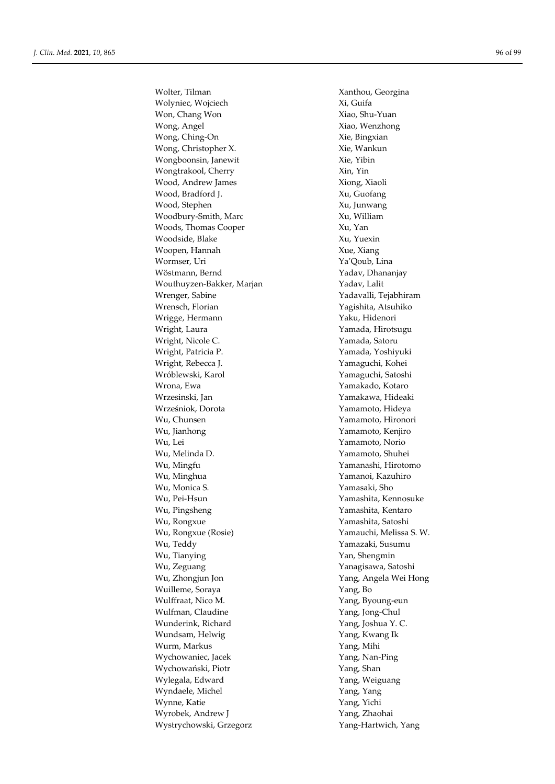Wolter, Tilman Xanthou, Georgina Wolyniec, Wojciech Xi, Guifa Won, Chang Won Xiao, Shu-Yuan Wong, Angel Xiao, Wenzhong Wong, Ching-On Xie, Bingxian Wong, Christopher X. Xie, Wankun Wongboonsin, Janewit Xie, Yibin Wongtrakool, Cherry Xin, Yin Wood, Andrew James Xiong, Xiaoli Wood, Bradford J. Xu, Guofang Wood, Stephen Xu, Junwang Woodbury-Smith, Marc Xu, William Woods, Thomas Cooper Xu, Yan Woodside, Blake Xu, Yuexin Woopen, Hannah Xue, Xiang Wormser, Uri Ya'Qoub, Lina Wöstmann, Bernd Yadav, Dhananjay Wouthuyzen-Bakker, Marjan Yadav, Lalit Wrenger, Sabine Yadavalli, Tejabhiram Wrensch, Florian Yagishita, Atsuhiko Wrigge, Hermann Yaku, Hidenori Wright, Laura **Williams** Yamada, Hirotsugu Wright, Nicole C. The C. The Yamada, Satoru Wright, Patricia P. Yamada, Yoshiyuki Wright, Rebecca J. Yamaguchi, Kohei Wróblewski, Karol Yamaguchi, Satoshi Wrona, Ewa Yamakado, Kotaro Wrzesinski, Jan Yamakawa, Hideaki Wrześniok, Dorota Yamamoto, Hideya Wu, Chunsen Yamamoto, Hironori Wu, Jianhong Yamamoto, Kenjiro Wu, Lei Yamamoto, Norio Wu, Melinda D. Yamamoto, Shuhei Wu, Mingfu Yamanashi, Hirotomo Wu, Minghua Yamanoi, Kazuhiro Wu, Monica S. Yamasaki, Sho Wu, Pei-Hsun Yamashita, Kennosuke Wu, Pingsheng Yamashita, Kentaro Wu, Rongxue Yamashita, Satoshi Wu, Rongxue (Rosie) Yamauchi, Melissa S. W. Wu, Teddy Yamazaki, Susumu Wu, Tianying Tangkan Mu, Shengmin Wu, Zeguang Yanagisawa, Satoshi Wu, Zhongjun Jon Yang, Angela Wei Hong Wuilleme, Soraya Yang, Bo Wulffraat, Nico M. Yang, Byoung-eun Wulfman, Claudine **Wang, 2018** Yang, Jong-Chul Wunderink, Richard Yang, Joshua Y. C. Wundsam, Helwig Theorem 1997 (Yang, Kwang Ik Wurm, Markus Yang, Mihi Wychowaniec, Jacek Yang, Nan-Ping Wychowański, Piotr Yang, Shan Wylegala, Edward Yang, Weiguang Wyndaele, Michel Yang, Yang Wynne, Katie Yang, Yichi Wyrobek, Andrew J Yang, Zhaohai Wystrychowski, Grzegorz Yang-Hartwich, Yang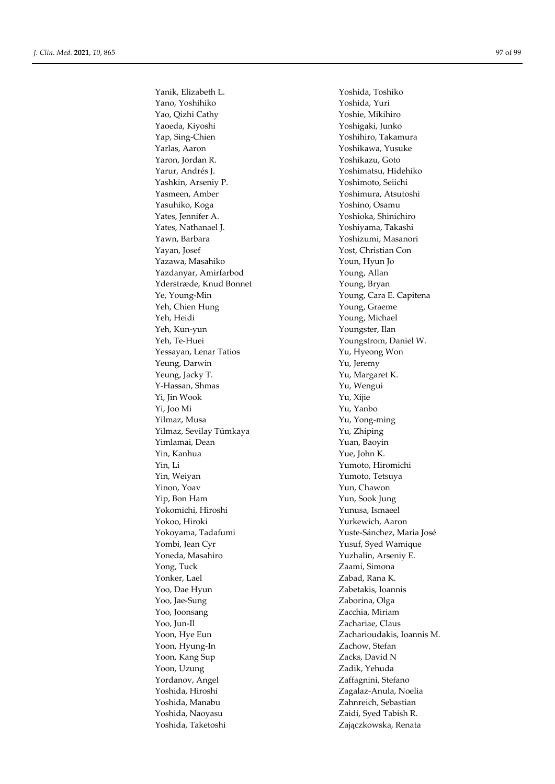Yanik, Elizabeth L. Yoshida, Toshiko Yano, Yoshihiko Yoshida, Yuri Yao, Qizhi Cathy Yoshie, Mikihiro Yaoeda, Kiyoshi Yoshigaki, Junko Yap, Sing-Chien Yoshihiro, Takamura Yarlas, Aaron Yoshikawa, Yusuke Yaron, Jordan R. Yoshikazu, Goto Yarur, Andrés J. Yoshimatsu, Hidehiko Yashkin, Arseniy P. Yoshimoto, Seiichi Yasmeen, Amber Yoshimura, Atsutoshi Yasuhiko, Koga Yoshino, Osamu Yates, Jennifer A. Yoshioka, Shinichiro Yates, Nathanael J. Yoshiyama, Takashi Yawn, Barbara Yoshizumi, Masanori Yayan, Josef Yost, Christian Con Yazawa, Masahiko Youn, Hyun Jo Yazdanyar, Amirfarbod Young, Allan Yderstræde, Knud Bonnet Young, Bryan Ye, Young-Min Young, Cara E. Capitena Yeh, Chien Hung Young, Graeme Yeh, Heidi Young, Michael Yeh, Kun-yun Youngster, Ilan Yeh, Te-Huei Youngstrom, Daniel W. Yessayan, Lenar Tatios Yu, Hyeong Won Yeung, Darwin Yu, Jeremy Yeung, Jacky T. The Contract Contract Contract Contract Contract Contract Contract Contract Contract Contract Contract Contract Contract Contract Contract Contract Contract Contract Contract Contract Contract Contract Cont Y-Hassan, Shmas Yu, Wengui Yi, Jin Wook Yu, Xijie Yi, Joo Mi Yu, Yanbo Yilmaz, Musa Yu, Yong-ming Yilmaz, Sevilay Tümkaya Yu, Zhiping Yimlamai, Dean Yuan, Baoyin Yin, Kanhua Yue, John K. Yin, Li Yumoto, Hiromichi Yin, Weiyan Yumoto, Tetsuya Yinon, Yoav Yun, Chawon Yip, Bon Ham Yun, Sook Jung Yokomichi, Hiroshi Yunusa, Ismaeel Yokoo, Hiroki Yurkewich, Aaron Yokoyama, Tadafumi Yuste-Sánchez, Maria José Yombi, Jean Cyr Yusuf, Syed Wamique Yoneda, Masahiro Yuzhalin, Arseniy E. Yong, Tuck Zaami, Simona Yonker, Lael **Zabad**, Rana K. Yoo, Dae Hyun Zabetakis, Ioannis Yoo, Jae-Sung Zaborina, Olga Yoo, Joonsang Zacchia, Miriam Yoo, Jun-Il Zachariae, Claus Yoon, Hye Eun Zacharioudakis, Ioannis M. Yoon, Hyung-In Zachow, Stefan Yoon, Kang Sup Zacks, David N Yoon, Uzung Zadik, Yehuda Yordanov, Angel Zaffagnini, Stefano Yoshida, Hiroshi Zagalaz-Anula, Noelia Yoshida, Manabu **Zahnreich**, Sebastian Yoshida, Naoyasu Zaidi, Syed Tabish R. Yoshida, Taketoshi Zajączkowska, Renata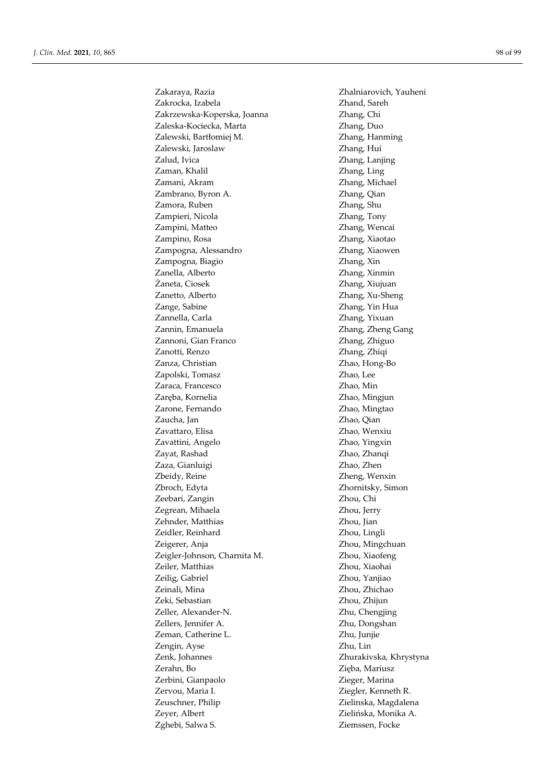Zakrocka, Izabela Zhand, Sareh Zakrzewska-Koperska, Joanna **Zhang**, Chi Zaleska-Kociecka, Marta Zhang, Duo Zalewski, Bartłomiej M. Zhang, Hanming Zalewski, Jaroslaw Zhang, Hui Zalud, Ivica Zhang, Lanjing Zaman, Khalil Zhang, Ling Zamani, Akram  $Z$ hang, Michael Zambrano, Byron A. Zhang, Qian Zamora, Ruben Zhang, Shu Zampieri, Nicola Zhang, Tony Zampini, Matteo Zhang, Wencai Zampino, Rosa  $Z$ hang, Xiaotao Zampogna, Alessandro Zhang, Xiaowen Zampogna, Biagio Zhang, Xin Zanella, Alberto Zhang, Xinmin Żaneta, Ciosek Zhang, Xiujuan Zanetto, Alberto Zhang, Xu-Sheng Zange, Sabine Zhang, Yin Hua Zannella, Carla **Zhang**, Yixuan Zannin, Emanuela **Zhang, Zheng Gang** Zannoni, Gian Franco Zhang, Zhiguo Zanotti, Renzo Zhang, Zhiqi Zanza, Christian Zhao, Hong-Bo Zapolski, Tomasz Zhao, Lee Zaraca, Francesco Zhao, Min Zaręba, Kornelia **Zhao, Mingjun** Zarone, Fernando **Zhao, Mingtao** Zaucha, Jan Zhao, Qian Zavattaro, Elisa Zhao, Wenxiu Zavattini, Angelo Zhao, Yingxin Zayat, Rashad Zhao, Zhanqi Zaza, Gianluigi Zhao, Zhen Zbeidy, Reine **Zheng**, Wenxin Zbroch, Edyta Zhornitsky, Simon Zeebari, Zangin Zhou, Chi Zegrean, Mihaela Zhou, Jerry Zehnder, Matthias Zhou, Jian Zeidler, Reinhard Zhou, Lingli Zeigerer, Anja **Zhou, Mingchuan** Zeigler-Johnson, Charnita M. Zhou, Xiaofeng Zeiler, Matthias Zhou, Xiaohai Zeilig, Gabriel  $\qquad \qquad$  Zhou, Yanjiao Zeinali, Mina Zhou, Zhou, Zhichao Zeki, Sebastian Zhou, Zhijun Zeller, Alexander-N. Zhu, Chengjing Zellers, Jennifer A. Zhu, Dongshan Zeman, Catherine L. Zhu, Junjie Zengin, Ayse Zhu, Lin Zenk, Johannes Zhurakivska, Khrystyna Zerahn, Bo Zięba, Mariusz Zerbini, Gianpaolo Zieger, Marina Zervou, Maria I. Ziegler, Kenneth R. Zeuschner, Philip Zielinska, Magdalena Zeyer, Albert Zielińska, Monika A. Zghebi, Salwa S. Ziemssen, Focke

Zakaraya, Razia Zhalniarovich, Yauheni